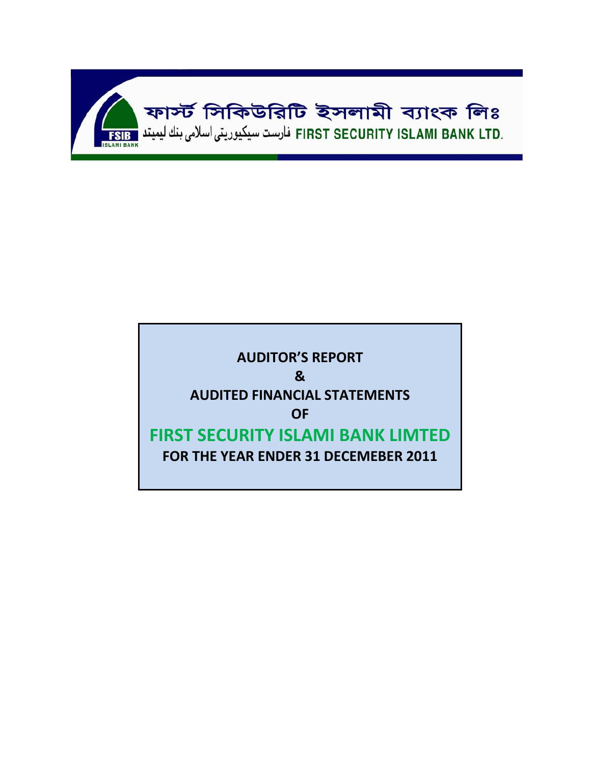

# **AUDITOR'S REPORT & AUDITED FINANCIAL STATEMENTS OF FIRST SECURITY ISLAMI BANK LIMTED FOR THE YEAR ENDER 31 DECEMEBER 2011**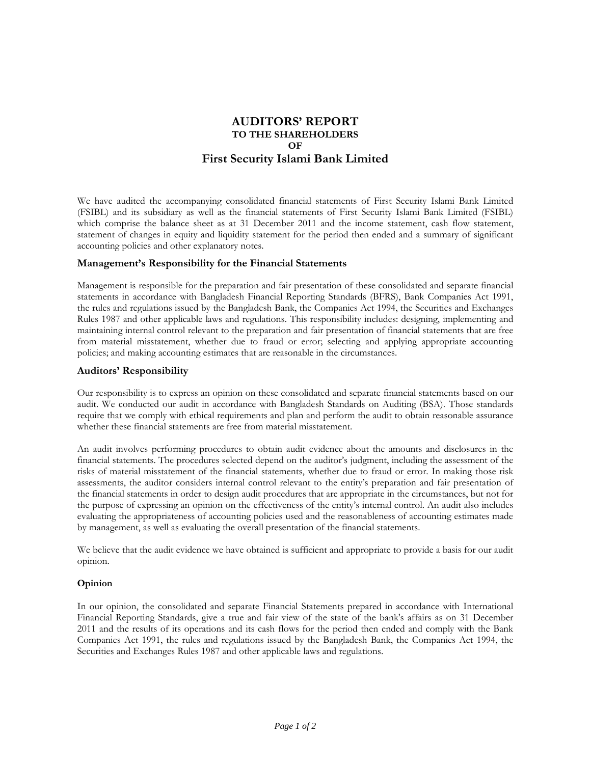# **AUDITORS' REPORT TO THE SHAREHOLDERS OF First Security Islami Bank Limited**

We have audited the accompanying consolidated financial statements of First Security Islami Bank Limited (FSIBL) and its subsidiary as well as the financial statements of First Security Islami Bank Limited (FSIBL) which comprise the balance sheet as at 31 December 2011 and the income statement, cash flow statement, statement of changes in equity and liquidity statement for the period then ended and a summary of significant accounting policies and other explanatory notes.

# **Management's Responsibility for the Financial Statements**

Management is responsible for the preparation and fair presentation of these consolidated and separate financial statements in accordance with Bangladesh Financial Reporting Standards (BFRS), Bank Companies Act 1991, the rules and regulations issued by the Bangladesh Bank, the Companies Act 1994, the Securities and Exchanges Rules 1987 and other applicable laws and regulations. This responsibility includes: designing, implementing and maintaining internal control relevant to the preparation and fair presentation of financial statements that are free from material misstatement, whether due to fraud or error; selecting and applying appropriate accounting policies; and making accounting estimates that are reasonable in the circumstances.

# **Auditors' Responsibility**

Our responsibility is to express an opinion on these consolidated and separate financial statements based on our audit. We conducted our audit in accordance with Bangladesh Standards on Auditing (BSA). Those standards require that we comply with ethical requirements and plan and perform the audit to obtain reasonable assurance whether these financial statements are free from material misstatement.

An audit involves performing procedures to obtain audit evidence about the amounts and disclosures in the financial statements. The procedures selected depend on the auditor's judgment, including the assessment of the risks of material misstatement of the financial statements, whether due to fraud or error. In making those risk assessments, the auditor considers internal control relevant to the entity's preparation and fair presentation of the financial statements in order to design audit procedures that are appropriate in the circumstances, but not for the purpose of expressing an opinion on the effectiveness of the entity's internal control. An audit also includes evaluating the appropriateness of accounting policies used and the reasonableness of accounting estimates made by management, as well as evaluating the overall presentation of the financial statements.

We believe that the audit evidence we have obtained is sufficient and appropriate to provide a basis for our audit opinion.

# **Opinion**

In our opinion, the consolidated and separate Financial Statements prepared in accordance with International Financial Reporting Standards, give a true and fair view of the state of the bank's affairs as on 31 December 2011 and the results of its operations and its cash flows for the period then ended and comply with the Bank Companies Act 1991, the rules and regulations issued by the Bangladesh Bank, the Companies Act 1994, the Securities and Exchanges Rules 1987 and other applicable laws and regulations.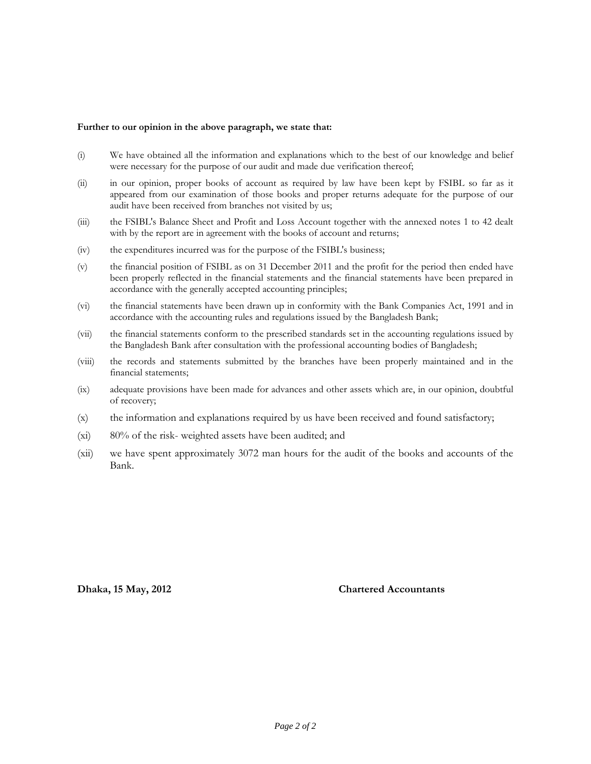### **Further to our opinion in the above paragraph, we state that:**

- (i) We have obtained all the information and explanations which to the best of our knowledge and belief were necessary for the purpose of our audit and made due verification thereof;
- (ii) in our opinion, proper books of account as required by law have been kept by FSIBL so far as it appeared from our examination of those books and proper returns adequate for the purpose of our audit have been received from branches not visited by us;
- (iii) the FSIBL's Balance Sheet and Profit and Loss Account together with the annexed notes 1 to 42 dealt with by the report are in agreement with the books of account and returns;
- (iv) the expenditures incurred was for the purpose of the FSIBL's business;
- (v) the financial position of FSIBL as on 31 December 2011 and the profit for the period then ended have been properly reflected in the financial statements and the financial statements have been prepared in accordance with the generally accepted accounting principles;
- (vi) the financial statements have been drawn up in conformity with the Bank Companies Act, 1991 and in accordance with the accounting rules and regulations issued by the Bangladesh Bank;
- (vii) the financial statements conform to the prescribed standards set in the accounting regulations issued by the Bangladesh Bank after consultation with the professional accounting bodies of Bangladesh;
- (viii) the records and statements submitted by the branches have been properly maintained and in the financial statements;
- (ix) adequate provisions have been made for advances and other assets which are, in our opinion, doubtful of recovery;
- (x) the information and explanations required by us have been received and found satisfactory;
- (xi) 80% of the risk- weighted assets have been audited; and
- (xii) we have spent approximately 3072 man hours for the audit of the books and accounts of the Bank.

**Dhaka, 15 May, 2012 Chartered Accountants**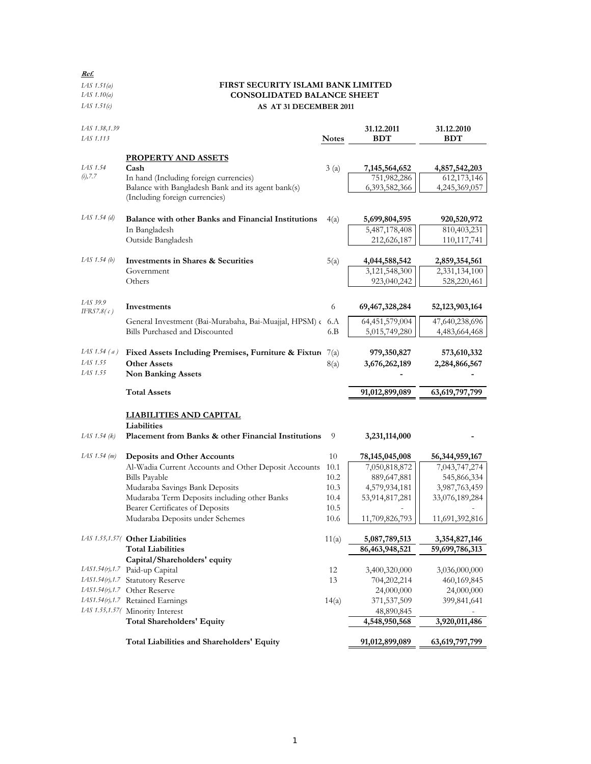| Ref.                       |                                                            |              |                          |                              |  |  |
|----------------------------|------------------------------------------------------------|--------------|--------------------------|------------------------------|--|--|
| LAS $1.51(a)$              | FIRST SECURITY ISLAMI BANK LIMITED                         |              |                          |                              |  |  |
| LAS $1.10(a)$              | <b>CONSOLIDATED BALANCE SHEET</b>                          |              |                          |                              |  |  |
| LAS $1.51(c)$              | AS AT 31 DECEMBER 2011                                     |              |                          |                              |  |  |
|                            |                                                            |              |                          |                              |  |  |
| LAS 1.38,1.39<br>LAS 1.113 |                                                            | <b>Notes</b> | 31.12.2011<br><b>BDT</b> | 31.12.2010<br><b>BDT</b>     |  |  |
|                            |                                                            |              |                          |                              |  |  |
|                            | <b>PROPERTY AND ASSETS</b>                                 |              |                          |                              |  |  |
| LAS 1.54                   | Cash                                                       | 3(a)         | 7,145,564,652            | 4,857,542,203                |  |  |
| (i), 7.7                   | In hand (Including foreign currencies)                     |              | 751,982,286              | 612, 173, 146                |  |  |
|                            | Balance with Bangladesh Bank and its agent bank(s)         |              | 6,393,582,366            | 4,245,369,057                |  |  |
|                            | (Including foreign currencies)                             |              |                          |                              |  |  |
| LAS 1.54 (d)               | <b>Balance with other Banks and Financial Institutions</b> | 4(a)         | 5,699,804,595            | 920,520,972                  |  |  |
|                            | In Bangladesh                                              |              | 5,487,178,408            | 810,403,231                  |  |  |
|                            | Outside Bangladesh                                         |              | 212,626,187              | 110, 117, 741                |  |  |
|                            |                                                            |              |                          |                              |  |  |
| LAS 1.54 (b)               | Investments in Shares & Securities                         | 5(a)         | 4,044,588,542            | 2,859,354,561                |  |  |
|                            | Government<br>Others                                       |              | 3,121,548,300            | 2,331,134,100<br>528,220,461 |  |  |
|                            |                                                            |              | 923,040,242              |                              |  |  |
| LAS 39.9                   |                                                            |              |                          |                              |  |  |
| IFRS7.8 $(c)$              | Investments                                                | 6            | 69, 467, 328, 284        | 52, 123, 903, 164            |  |  |
|                            | General Investment (Bai-Murabaha, Bai-Muajjal, HPSM) o     | 6.A          | 64,451,579,004           | 47,640,238,696               |  |  |
|                            | Bills Purchased and Discounted                             | 6.B          | 5,015,749,280            | 4,483,664,468                |  |  |
| LAS 1.54 ( <i>a</i> )      | Fixed Assets Including Premises, Furniture & Fixture 7(a)  |              | 979,350,827              | 573,610,332                  |  |  |
| LAS 1.55                   | <b>Other Assets</b>                                        | 8(a)         | 3,676,262,189            | 2,284,866,567                |  |  |
| LAS 1.55                   | <b>Non Banking Assets</b>                                  |              |                          |                              |  |  |
|                            | <b>Total Assets</b>                                        |              | 91,012,899,089           | 63, 619, 797, 799            |  |  |
|                            |                                                            |              |                          |                              |  |  |
|                            | <b>LIABILITIES AND CAPITAL</b>                             |              |                          |                              |  |  |
|                            | Liabilities                                                |              |                          |                              |  |  |
| LAS 1.54 $(k)$             | Placement from Banks & other Financial Institutions        | 9            | 3,231,114,000            |                              |  |  |
| LAS 1.54 $(m)$             | <b>Deposits and Other Accounts</b>                         | 10           | 78,145,045,008           | 56, 344, 959, 167            |  |  |
|                            | Al-Wadia Current Accounts and Other Deposit Accounts       | 10.1         | 7,050,818,872            | 7,043,747,274                |  |  |
|                            | <b>Bills Payable</b>                                       | 10.2         | 889,647,881              | 545,866,334                  |  |  |
|                            | Mudaraba Savings Bank Deposits                             | 10.3         | 4,579,934,181            | 3,987,763,459                |  |  |
|                            | Mudaraba Term Deposits including other Banks               | 10.4         | 53,914,817,281           | 33,076,189,284               |  |  |
|                            | Bearer Certificates of Deposits                            | 10.5         |                          |                              |  |  |
|                            | Mudaraba Deposits under Schemes                            | 10.6         | 11,709,826,793           | 11,691,392,816               |  |  |
|                            | LAS 1.55,1.57( Other Liabilities                           | 11(a)        | 5,087,789,513            | 3,354,827,146                |  |  |
|                            | <b>Total Liabilities</b>                                   |              | 86,463,948,521           | 59,699,786,313               |  |  |
|                            | Capital/Shareholders' equity                               |              |                          |                              |  |  |
|                            | LAS1.54(r),1.7 Paid-up Capital                             | 12           | 3,400,320,000            | 3,036,000,000                |  |  |
| LAS1.54(r),1.7             | <b>Statutory Reserve</b>                                   | 13           | 704,202,214              | 460,169,845                  |  |  |
|                            | LAS1.54(r),1.7 Other Reserve                               |              | 24,000,000               | 24,000,000                   |  |  |
|                            | LAS1.54(r),1.7 Retained Earnings                           | 14(a)        | 371,537,509              | 399,841,641                  |  |  |
|                            | LAS 1.55,1.57( Minority Interest                           |              | 48,890,845               |                              |  |  |
|                            | <b>Total Shareholders' Equity</b>                          |              | 4,548,950,568            | 3,920,011,486                |  |  |
|                            | Total Liabilities and Shareholders' Equity                 |              | 91,012,899,089           | 63,619,797,799               |  |  |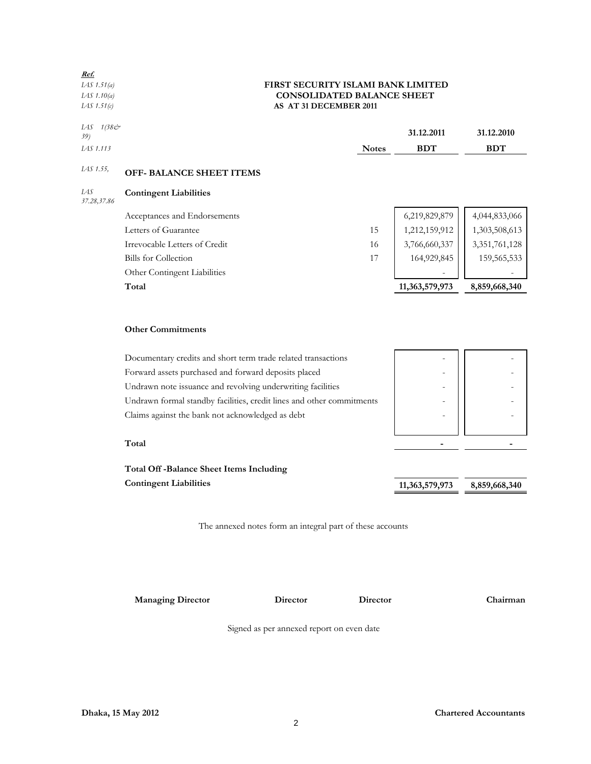## **CONSOLIDATED BALANCE SHEET AS AT 31 DECEMBER 2011 FIRST SECURITY ISLAMI BANK LIMITED**

| $LAS$ $1(38°)$<br>39) |              | 31.12.2011 | 31.12.2010 |
|-----------------------|--------------|------------|------------|
| LAS 1.113             | <b>Notes</b> | <b>BDT</b> | <b>BDT</b> |
|                       |              |            |            |

# *IAS 1.55,* **OFF- BALANCE SHEET ITEMS**

| LAS         | <b>Contingent Liabilities</b> |
|-------------|-------------------------------|
| 37.28,37.86 |                               |

|                               |    | $\overline{\phantom{a}}$ | $\sim$        |
|-------------------------------|----|--------------------------|---------------|
| Other Contingent Liabilities  |    |                          |               |
| Bills for Collection          | 17 | 164,929,845              | 159,565,533   |
| Irrevocable Letters of Credit | 16 | 3,766,660,337            | 3,351,761,128 |
| Letters of Guarantee          | 15 | 1,212,159,912            | 1,303,508,613 |
| Acceptances and Endorsements  |    | 6,219,829,879            | 4,044,833,066 |

# **Other Commitments**

**Total Off -Balance Sheet Items Including Contingent Liabilities** 11,363,579,973 8,859,668,340

The annexed notes form an integral part of these accounts

 **Managing Director Director**

**Director Chairman**

Signed as per annexed report on even date

**Ref.** *IAS 1.51(a)*

*IAS 1.10(a) IAS 1.51(c)*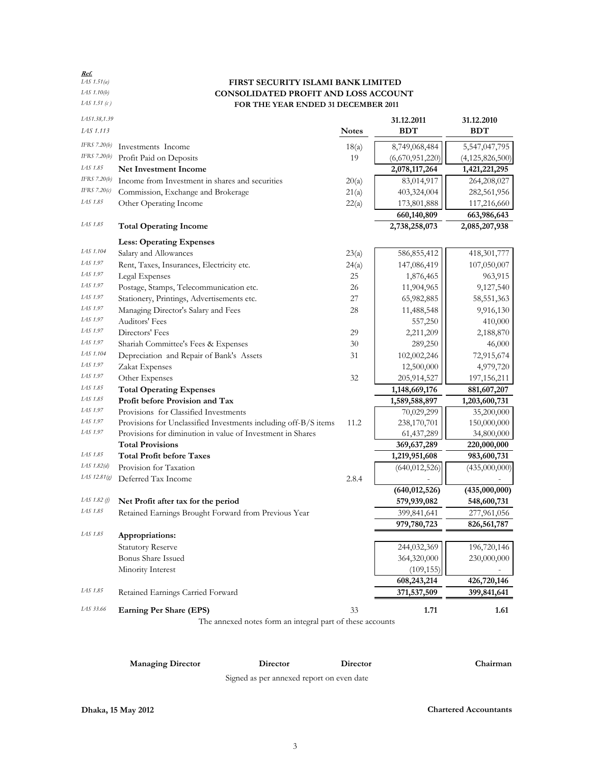| LAS $1.51(a)$<br>LAS 1.10(b)<br>LAS 1.51 $(c)$ | FIRST SECURITY ISLAMI BANK LIMITED<br>CONSOLIDATED PROFIT AND LOSS ACCOUNT<br>FOR THE YEAR ENDED 31 DECEMBER 2011 |              |                          |                          |
|------------------------------------------------|-------------------------------------------------------------------------------------------------------------------|--------------|--------------------------|--------------------------|
| LAS1.38,1.39<br>LAS 1.113                      |                                                                                                                   | <b>Notes</b> | 31.12.2011<br><b>BDT</b> | 31.12.2010<br><b>BDT</b> |
| IFRS 7.20(b)                                   | Investments Income                                                                                                | 18(a)        | 8,749,068,484            | 5,547,047,795            |
| IFRS 7.20(b)                                   | Profit Paid on Deposits                                                                                           | 19           | (6,670,951,220)          | (4,125,826,500)          |
| LAS 1.85                                       | Net Investment Income                                                                                             |              | 2,078,117,264            | 1,421,221,295            |
| IFRS 7.20(b)                                   | Income from Investment in shares and securities                                                                   | 20(a)        | 83,014,917               | 264,208,027              |
| IFRS 7.20(c)                                   | Commission, Exchange and Brokerage                                                                                | 21(a)        | 403,324,004              | 282,561,956              |
| LAS 1.85                                       | Other Operating Income                                                                                            | 22(a)        | 173,801,888              | 117,216,660              |
|                                                |                                                                                                                   |              | 660,140,809              | 663,986,643              |
| LAS 1.85                                       | <b>Total Operating Income</b>                                                                                     |              | 2,738,258,073            | 2,085,207,938            |
|                                                | <b>Less: Operating Expenses</b>                                                                                   |              |                          |                          |
| LAS 1.104                                      | Salary and Allowances                                                                                             | 23(a)        | 586, 855, 412            | 418,301,777              |
| LAS 1.97                                       | Rent, Taxes, Insurances, Electricity etc.                                                                         | 24(a)        | 147,086,419              | 107,050,007              |
| LAS 1.97                                       | Legal Expenses                                                                                                    | 25           | 1,876,465                | 963,915                  |
| LAS 1.97                                       | Postage, Stamps, Telecommunication etc.                                                                           | 26           | 11,904,965               | 9,127,540                |
| LAS 1.97                                       | Stationery, Printings, Advertisements etc.                                                                        | 27           | 65,982,885               | 58, 551, 363             |
| LAS 1.97                                       | Managing Director's Salary and Fees                                                                               | 28           | 11,488,548               | 9,916,130                |
| LAS 1.97                                       | Auditors' Fees                                                                                                    |              | 557,250                  | 410,000                  |
| LAS 1.97                                       | Directors' Fees                                                                                                   | 29           | 2,211,209                | 2,188,870                |
| LAS 1.97                                       | Shariah Committee's Fees & Expenses                                                                               | 30           | 289,250                  | 46,000                   |
| LAS 1.104                                      | Depreciation and Repair of Bank's Assets                                                                          | 31           | 102,002,246              | 72,915,674               |
| LAS 1.97                                       | Zakat Expenses                                                                                                    |              | 12,500,000               | 4,979,720                |
| LAS 1.97                                       | Other Expenses                                                                                                    | 32           | 205,914,527              | 197, 156, 211            |
| LAS 1.85                                       | <b>Total Operating Expenses</b>                                                                                   |              | 1,148,669,176            | 881,607,207              |
| LAS 1.85                                       | Profit before Provision and Tax                                                                                   |              | 1,589,588,897            | 1,203,600,731            |
| LAS 1.97                                       | Provisions for Classified Investments                                                                             |              | 70,029,299               | 35,200,000               |
| LAS 1.97                                       | Provisions for Unclassified Investments including off-B/S items                                                   | 11.2         | 238,170,701              | 150,000,000              |
| LAS 1.97                                       | Provisions for diminution in value of Investment in Shares                                                        |              | 61,437,289               | 34,800,000               |
|                                                | <b>Total Provisions</b>                                                                                           |              | 369,637,289              | 220,000,000              |
| LAS 1.85                                       | <b>Total Profit before Taxes</b>                                                                                  |              | 1,219,951,608            | 983,600,731              |
| LAS 1.82(d)                                    | Provision for Taxation                                                                                            |              | (640, 012, 526)          | (435,000,000)            |
| LAS 12.81(g)                                   | Deferred Tax Income                                                                                               | 2.8.4        |                          |                          |
|                                                |                                                                                                                   |              | (640, 012, 526)          | (435,000,000)            |
|                                                | LAS 1.82 $\emptyset$ Net Profit after tax for the period                                                          |              | 579,939,082              | 548,600,731              |
| LAS 1.85                                       | Retained Earnings Brought Forward from Previous Year                                                              |              | 399,841,641              | 277,961,056              |
|                                                |                                                                                                                   |              | 979,780,723              | 826,561,787              |
| LAS 1.85                                       | Appropriations:                                                                                                   |              |                          |                          |
|                                                | <b>Statutory Reserve</b>                                                                                          |              | 244,032,369              | 196,720,146              |
|                                                | Bonus Share Issued                                                                                                |              | 364,320,000              | 230,000,000              |
|                                                | Minority Interest                                                                                                 |              | (109, 155)               |                          |
|                                                |                                                                                                                   |              | 608,243,214              | 426,720,146              |
| LAS 1.85                                       | Retained Earnings Carried Forward                                                                                 |              | 371,537,509              | 399,841,641              |
| LAS 33.66                                      | Earning Per Share (EPS)                                                                                           | 33           | 1.71                     | 1.61                     |

The annexed notes form an integral part of these accounts

| <b>Managing Director</b> | <b>Director</b>                           | Director | Chairman |
|--------------------------|-------------------------------------------|----------|----------|
|                          | Signed as per annexed report on even date |          |          |

**Ref.**

**Dhaka, 15 May 2012 Chartered Accountants**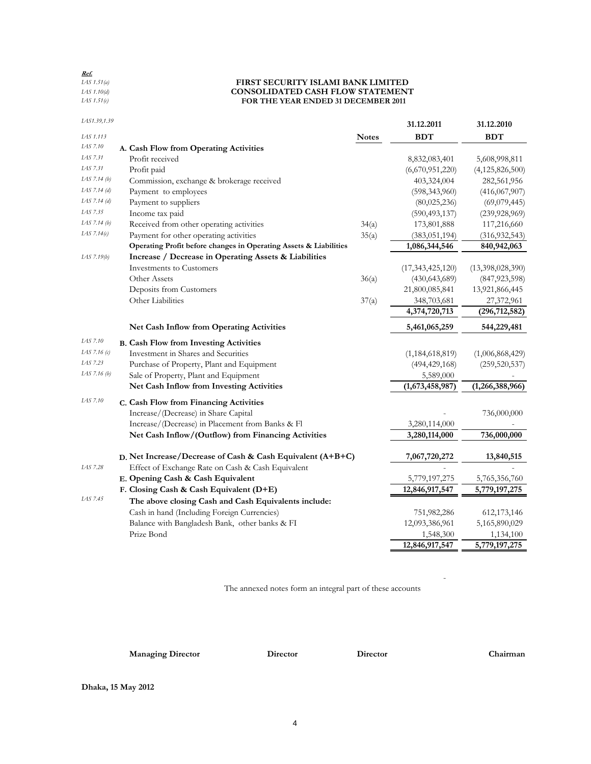*IAS 1.51(a) IAS 1.10(d) IAS 1.51(c)*

### **FIRST SECURITY ISLAMI BANK LIMITED CONSOLIDATED CASH FLOW STATEMENT FOR THE YEAR ENDED 31 DECEMBER 2011**

| <b>BDT</b><br><b>BDT</b><br>LAS 1.113<br><b>Notes</b><br>LAS 7.10<br>A. Cash Flow from Operating Activities<br>LAS 7.31<br>Profit received<br>5,608,998,811<br>8,832,083,401<br>LAS 7.31<br>Profit paid<br>(6,670,951,220)<br>(4,125,826,500)<br>Commission, exchange & brokerage received<br>403,324,004<br>282,561,956<br>LAS 7.14 (d)<br>Payment to employees<br>(598, 343, 960)<br>(416,067,907)<br>LAS 7.14 (d)<br>(69,079,445)<br>Payment to suppliers<br>(80,025,236)<br>LAS 7.35<br>Income tax paid<br>(590, 493, 137)<br>(239, 928, 969)<br>LAS 7.14 (b)<br>Received from other operating activities<br>117,216,660<br>34(a)<br>173,801,888<br>LAS 7.14 $(c)$<br>Payment for other operating activities<br>35(a)<br>(383, 051, 194)<br>(316, 932, 543)<br>Operating Profit before changes in Operating Assets & Liabilities<br>1,086,344,546<br>840,942,063<br>Increase / Decrease in Operating Assets & Liabilities<br>LAS 7.19(b)<br>Investments to Customers<br>(13,398,028,390)<br>(17,343,425,120)<br>Other Assets<br>36(a)<br>(430, 643, 689)<br>(847, 923, 598)<br>21,800,085,841<br>Deposits from Customers<br>13,921,866,445<br>Other Liabilities<br>37(a)<br>348,703,681<br>27,372,961<br>4,374,720,713<br>(296, 712, 582)<br>Net Cash Inflow from Operating Activities<br>5,461,065,259<br>544,229,481<br>LAS 7.10<br><b>B.</b> Cash Flow from Investing Activities<br>LAS 7.16 (c)<br>Investment in Shares and Securities<br>(1, 184, 618, 819)<br>(1,006,868,429)<br>LAS 7.23<br>Purchase of Property, Plant and Equipment<br>(494, 429, 168)<br>(259, 520, 537)<br>LAS 7.16 (b)<br>Sale of Property, Plant and Equipment<br>5,589,000<br>Net Cash Inflow from Investing Activities<br>(1,266,388,966)<br>(1,673,458,987)<br>LAS 7.10<br>C. Cash Flow from Financing Activities<br>Increase/(Decrease) in Share Capital<br>736,000,000<br>Increase/(Decrease) in Placement from Banks & Fl<br>3,280,114,000<br>Net Cash Inflow/(Outflow) from Financing Activities<br>3,280,114,000<br>736,000,000<br>D. Net Increase/Decrease of Cash & Cash Equivalent $(A+B+C)$<br>7,067,720,272<br>13,840,515<br>Effect of Exchange Rate on Cash & Cash Equivalent<br>LAS 7.28<br>E. Opening Cash & Cash Equivalent<br>5,765,356,760<br>5,779,197,275<br>F. Closing Cash & Cash Equivalent (D+E)<br>12,846,917,547<br>5,779,197,275<br>LAS 7.45<br>The above closing Cash and Cash Equivalents include:<br>Cash in hand (Including Foreign Currencies)<br>751,982,286<br>612, 173, 146<br>12,093,386,961<br>Balance with Bangladesh Bank, other banks & FI<br>5,165,890,029<br>Prize Bond<br>1,548,300<br>1,134,100<br>12,846,917,547<br>5,779,197,275 | LAS1.39,1.39 |  | 31.12.2011 | 31.12.2010 |
|------------------------------------------------------------------------------------------------------------------------------------------------------------------------------------------------------------------------------------------------------------------------------------------------------------------------------------------------------------------------------------------------------------------------------------------------------------------------------------------------------------------------------------------------------------------------------------------------------------------------------------------------------------------------------------------------------------------------------------------------------------------------------------------------------------------------------------------------------------------------------------------------------------------------------------------------------------------------------------------------------------------------------------------------------------------------------------------------------------------------------------------------------------------------------------------------------------------------------------------------------------------------------------------------------------------------------------------------------------------------------------------------------------------------------------------------------------------------------------------------------------------------------------------------------------------------------------------------------------------------------------------------------------------------------------------------------------------------------------------------------------------------------------------------------------------------------------------------------------------------------------------------------------------------------------------------------------------------------------------------------------------------------------------------------------------------------------------------------------------------------------------------------------------------------------------------------------------------------------------------------------------------------------------------------------------------------------------------------------------------------------------------------------------------------------------------------------------------------------------------------------------------------------------------------------------------------------------------------------------------------------------------------------------|--------------|--|------------|------------|
|                                                                                                                                                                                                                                                                                                                                                                                                                                                                                                                                                                                                                                                                                                                                                                                                                                                                                                                                                                                                                                                                                                                                                                                                                                                                                                                                                                                                                                                                                                                                                                                                                                                                                                                                                                                                                                                                                                                                                                                                                                                                                                                                                                                                                                                                                                                                                                                                                                                                                                                                                                                                                                                                  |              |  |            |            |
|                                                                                                                                                                                                                                                                                                                                                                                                                                                                                                                                                                                                                                                                                                                                                                                                                                                                                                                                                                                                                                                                                                                                                                                                                                                                                                                                                                                                                                                                                                                                                                                                                                                                                                                                                                                                                                                                                                                                                                                                                                                                                                                                                                                                                                                                                                                                                                                                                                                                                                                                                                                                                                                                  |              |  |            |            |
|                                                                                                                                                                                                                                                                                                                                                                                                                                                                                                                                                                                                                                                                                                                                                                                                                                                                                                                                                                                                                                                                                                                                                                                                                                                                                                                                                                                                                                                                                                                                                                                                                                                                                                                                                                                                                                                                                                                                                                                                                                                                                                                                                                                                                                                                                                                                                                                                                                                                                                                                                                                                                                                                  |              |  |            |            |
|                                                                                                                                                                                                                                                                                                                                                                                                                                                                                                                                                                                                                                                                                                                                                                                                                                                                                                                                                                                                                                                                                                                                                                                                                                                                                                                                                                                                                                                                                                                                                                                                                                                                                                                                                                                                                                                                                                                                                                                                                                                                                                                                                                                                                                                                                                                                                                                                                                                                                                                                                                                                                                                                  |              |  |            |            |
|                                                                                                                                                                                                                                                                                                                                                                                                                                                                                                                                                                                                                                                                                                                                                                                                                                                                                                                                                                                                                                                                                                                                                                                                                                                                                                                                                                                                                                                                                                                                                                                                                                                                                                                                                                                                                                                                                                                                                                                                                                                                                                                                                                                                                                                                                                                                                                                                                                                                                                                                                                                                                                                                  | LAS 7.14 (b) |  |            |            |
|                                                                                                                                                                                                                                                                                                                                                                                                                                                                                                                                                                                                                                                                                                                                                                                                                                                                                                                                                                                                                                                                                                                                                                                                                                                                                                                                                                                                                                                                                                                                                                                                                                                                                                                                                                                                                                                                                                                                                                                                                                                                                                                                                                                                                                                                                                                                                                                                                                                                                                                                                                                                                                                                  |              |  |            |            |
|                                                                                                                                                                                                                                                                                                                                                                                                                                                                                                                                                                                                                                                                                                                                                                                                                                                                                                                                                                                                                                                                                                                                                                                                                                                                                                                                                                                                                                                                                                                                                                                                                                                                                                                                                                                                                                                                                                                                                                                                                                                                                                                                                                                                                                                                                                                                                                                                                                                                                                                                                                                                                                                                  |              |  |            |            |
|                                                                                                                                                                                                                                                                                                                                                                                                                                                                                                                                                                                                                                                                                                                                                                                                                                                                                                                                                                                                                                                                                                                                                                                                                                                                                                                                                                                                                                                                                                                                                                                                                                                                                                                                                                                                                                                                                                                                                                                                                                                                                                                                                                                                                                                                                                                                                                                                                                                                                                                                                                                                                                                                  |              |  |            |            |
|                                                                                                                                                                                                                                                                                                                                                                                                                                                                                                                                                                                                                                                                                                                                                                                                                                                                                                                                                                                                                                                                                                                                                                                                                                                                                                                                                                                                                                                                                                                                                                                                                                                                                                                                                                                                                                                                                                                                                                                                                                                                                                                                                                                                                                                                                                                                                                                                                                                                                                                                                                                                                                                                  |              |  |            |            |
|                                                                                                                                                                                                                                                                                                                                                                                                                                                                                                                                                                                                                                                                                                                                                                                                                                                                                                                                                                                                                                                                                                                                                                                                                                                                                                                                                                                                                                                                                                                                                                                                                                                                                                                                                                                                                                                                                                                                                                                                                                                                                                                                                                                                                                                                                                                                                                                                                                                                                                                                                                                                                                                                  |              |  |            |            |
|                                                                                                                                                                                                                                                                                                                                                                                                                                                                                                                                                                                                                                                                                                                                                                                                                                                                                                                                                                                                                                                                                                                                                                                                                                                                                                                                                                                                                                                                                                                                                                                                                                                                                                                                                                                                                                                                                                                                                                                                                                                                                                                                                                                                                                                                                                                                                                                                                                                                                                                                                                                                                                                                  |              |  |            |            |
|                                                                                                                                                                                                                                                                                                                                                                                                                                                                                                                                                                                                                                                                                                                                                                                                                                                                                                                                                                                                                                                                                                                                                                                                                                                                                                                                                                                                                                                                                                                                                                                                                                                                                                                                                                                                                                                                                                                                                                                                                                                                                                                                                                                                                                                                                                                                                                                                                                                                                                                                                                                                                                                                  |              |  |            |            |
|                                                                                                                                                                                                                                                                                                                                                                                                                                                                                                                                                                                                                                                                                                                                                                                                                                                                                                                                                                                                                                                                                                                                                                                                                                                                                                                                                                                                                                                                                                                                                                                                                                                                                                                                                                                                                                                                                                                                                                                                                                                                                                                                                                                                                                                                                                                                                                                                                                                                                                                                                                                                                                                                  |              |  |            |            |
|                                                                                                                                                                                                                                                                                                                                                                                                                                                                                                                                                                                                                                                                                                                                                                                                                                                                                                                                                                                                                                                                                                                                                                                                                                                                                                                                                                                                                                                                                                                                                                                                                                                                                                                                                                                                                                                                                                                                                                                                                                                                                                                                                                                                                                                                                                                                                                                                                                                                                                                                                                                                                                                                  |              |  |            |            |
|                                                                                                                                                                                                                                                                                                                                                                                                                                                                                                                                                                                                                                                                                                                                                                                                                                                                                                                                                                                                                                                                                                                                                                                                                                                                                                                                                                                                                                                                                                                                                                                                                                                                                                                                                                                                                                                                                                                                                                                                                                                                                                                                                                                                                                                                                                                                                                                                                                                                                                                                                                                                                                                                  |              |  |            |            |
|                                                                                                                                                                                                                                                                                                                                                                                                                                                                                                                                                                                                                                                                                                                                                                                                                                                                                                                                                                                                                                                                                                                                                                                                                                                                                                                                                                                                                                                                                                                                                                                                                                                                                                                                                                                                                                                                                                                                                                                                                                                                                                                                                                                                                                                                                                                                                                                                                                                                                                                                                                                                                                                                  |              |  |            |            |
|                                                                                                                                                                                                                                                                                                                                                                                                                                                                                                                                                                                                                                                                                                                                                                                                                                                                                                                                                                                                                                                                                                                                                                                                                                                                                                                                                                                                                                                                                                                                                                                                                                                                                                                                                                                                                                                                                                                                                                                                                                                                                                                                                                                                                                                                                                                                                                                                                                                                                                                                                                                                                                                                  |              |  |            |            |
|                                                                                                                                                                                                                                                                                                                                                                                                                                                                                                                                                                                                                                                                                                                                                                                                                                                                                                                                                                                                                                                                                                                                                                                                                                                                                                                                                                                                                                                                                                                                                                                                                                                                                                                                                                                                                                                                                                                                                                                                                                                                                                                                                                                                                                                                                                                                                                                                                                                                                                                                                                                                                                                                  |              |  |            |            |
|                                                                                                                                                                                                                                                                                                                                                                                                                                                                                                                                                                                                                                                                                                                                                                                                                                                                                                                                                                                                                                                                                                                                                                                                                                                                                                                                                                                                                                                                                                                                                                                                                                                                                                                                                                                                                                                                                                                                                                                                                                                                                                                                                                                                                                                                                                                                                                                                                                                                                                                                                                                                                                                                  |              |  |            |            |
|                                                                                                                                                                                                                                                                                                                                                                                                                                                                                                                                                                                                                                                                                                                                                                                                                                                                                                                                                                                                                                                                                                                                                                                                                                                                                                                                                                                                                                                                                                                                                                                                                                                                                                                                                                                                                                                                                                                                                                                                                                                                                                                                                                                                                                                                                                                                                                                                                                                                                                                                                                                                                                                                  |              |  |            |            |
|                                                                                                                                                                                                                                                                                                                                                                                                                                                                                                                                                                                                                                                                                                                                                                                                                                                                                                                                                                                                                                                                                                                                                                                                                                                                                                                                                                                                                                                                                                                                                                                                                                                                                                                                                                                                                                                                                                                                                                                                                                                                                                                                                                                                                                                                                                                                                                                                                                                                                                                                                                                                                                                                  |              |  |            |            |
|                                                                                                                                                                                                                                                                                                                                                                                                                                                                                                                                                                                                                                                                                                                                                                                                                                                                                                                                                                                                                                                                                                                                                                                                                                                                                                                                                                                                                                                                                                                                                                                                                                                                                                                                                                                                                                                                                                                                                                                                                                                                                                                                                                                                                                                                                                                                                                                                                                                                                                                                                                                                                                                                  |              |  |            |            |
|                                                                                                                                                                                                                                                                                                                                                                                                                                                                                                                                                                                                                                                                                                                                                                                                                                                                                                                                                                                                                                                                                                                                                                                                                                                                                                                                                                                                                                                                                                                                                                                                                                                                                                                                                                                                                                                                                                                                                                                                                                                                                                                                                                                                                                                                                                                                                                                                                                                                                                                                                                                                                                                                  |              |  |            |            |
|                                                                                                                                                                                                                                                                                                                                                                                                                                                                                                                                                                                                                                                                                                                                                                                                                                                                                                                                                                                                                                                                                                                                                                                                                                                                                                                                                                                                                                                                                                                                                                                                                                                                                                                                                                                                                                                                                                                                                                                                                                                                                                                                                                                                                                                                                                                                                                                                                                                                                                                                                                                                                                                                  |              |  |            |            |
|                                                                                                                                                                                                                                                                                                                                                                                                                                                                                                                                                                                                                                                                                                                                                                                                                                                                                                                                                                                                                                                                                                                                                                                                                                                                                                                                                                                                                                                                                                                                                                                                                                                                                                                                                                                                                                                                                                                                                                                                                                                                                                                                                                                                                                                                                                                                                                                                                                                                                                                                                                                                                                                                  |              |  |            |            |
|                                                                                                                                                                                                                                                                                                                                                                                                                                                                                                                                                                                                                                                                                                                                                                                                                                                                                                                                                                                                                                                                                                                                                                                                                                                                                                                                                                                                                                                                                                                                                                                                                                                                                                                                                                                                                                                                                                                                                                                                                                                                                                                                                                                                                                                                                                                                                                                                                                                                                                                                                                                                                                                                  |              |  |            |            |
|                                                                                                                                                                                                                                                                                                                                                                                                                                                                                                                                                                                                                                                                                                                                                                                                                                                                                                                                                                                                                                                                                                                                                                                                                                                                                                                                                                                                                                                                                                                                                                                                                                                                                                                                                                                                                                                                                                                                                                                                                                                                                                                                                                                                                                                                                                                                                                                                                                                                                                                                                                                                                                                                  |              |  |            |            |
|                                                                                                                                                                                                                                                                                                                                                                                                                                                                                                                                                                                                                                                                                                                                                                                                                                                                                                                                                                                                                                                                                                                                                                                                                                                                                                                                                                                                                                                                                                                                                                                                                                                                                                                                                                                                                                                                                                                                                                                                                                                                                                                                                                                                                                                                                                                                                                                                                                                                                                                                                                                                                                                                  |              |  |            |            |
|                                                                                                                                                                                                                                                                                                                                                                                                                                                                                                                                                                                                                                                                                                                                                                                                                                                                                                                                                                                                                                                                                                                                                                                                                                                                                                                                                                                                                                                                                                                                                                                                                                                                                                                                                                                                                                                                                                                                                                                                                                                                                                                                                                                                                                                                                                                                                                                                                                                                                                                                                                                                                                                                  |              |  |            |            |
|                                                                                                                                                                                                                                                                                                                                                                                                                                                                                                                                                                                                                                                                                                                                                                                                                                                                                                                                                                                                                                                                                                                                                                                                                                                                                                                                                                                                                                                                                                                                                                                                                                                                                                                                                                                                                                                                                                                                                                                                                                                                                                                                                                                                                                                                                                                                                                                                                                                                                                                                                                                                                                                                  |              |  |            |            |
|                                                                                                                                                                                                                                                                                                                                                                                                                                                                                                                                                                                                                                                                                                                                                                                                                                                                                                                                                                                                                                                                                                                                                                                                                                                                                                                                                                                                                                                                                                                                                                                                                                                                                                                                                                                                                                                                                                                                                                                                                                                                                                                                                                                                                                                                                                                                                                                                                                                                                                                                                                                                                                                                  |              |  |            |            |
|                                                                                                                                                                                                                                                                                                                                                                                                                                                                                                                                                                                                                                                                                                                                                                                                                                                                                                                                                                                                                                                                                                                                                                                                                                                                                                                                                                                                                                                                                                                                                                                                                                                                                                                                                                                                                                                                                                                                                                                                                                                                                                                                                                                                                                                                                                                                                                                                                                                                                                                                                                                                                                                                  |              |  |            |            |
|                                                                                                                                                                                                                                                                                                                                                                                                                                                                                                                                                                                                                                                                                                                                                                                                                                                                                                                                                                                                                                                                                                                                                                                                                                                                                                                                                                                                                                                                                                                                                                                                                                                                                                                                                                                                                                                                                                                                                                                                                                                                                                                                                                                                                                                                                                                                                                                                                                                                                                                                                                                                                                                                  |              |  |            |            |
|                                                                                                                                                                                                                                                                                                                                                                                                                                                                                                                                                                                                                                                                                                                                                                                                                                                                                                                                                                                                                                                                                                                                                                                                                                                                                                                                                                                                                                                                                                                                                                                                                                                                                                                                                                                                                                                                                                                                                                                                                                                                                                                                                                                                                                                                                                                                                                                                                                                                                                                                                                                                                                                                  |              |  |            |            |
|                                                                                                                                                                                                                                                                                                                                                                                                                                                                                                                                                                                                                                                                                                                                                                                                                                                                                                                                                                                                                                                                                                                                                                                                                                                                                                                                                                                                                                                                                                                                                                                                                                                                                                                                                                                                                                                                                                                                                                                                                                                                                                                                                                                                                                                                                                                                                                                                                                                                                                                                                                                                                                                                  |              |  |            |            |
|                                                                                                                                                                                                                                                                                                                                                                                                                                                                                                                                                                                                                                                                                                                                                                                                                                                                                                                                                                                                                                                                                                                                                                                                                                                                                                                                                                                                                                                                                                                                                                                                                                                                                                                                                                                                                                                                                                                                                                                                                                                                                                                                                                                                                                                                                                                                                                                                                                                                                                                                                                                                                                                                  |              |  |            |            |
|                                                                                                                                                                                                                                                                                                                                                                                                                                                                                                                                                                                                                                                                                                                                                                                                                                                                                                                                                                                                                                                                                                                                                                                                                                                                                                                                                                                                                                                                                                                                                                                                                                                                                                                                                                                                                                                                                                                                                                                                                                                                                                                                                                                                                                                                                                                                                                                                                                                                                                                                                                                                                                                                  |              |  |            |            |

The annexed notes form an integral part of these accounts

**Managing Director Director Director Chairman**

- 1990 - 1990 - 1990 -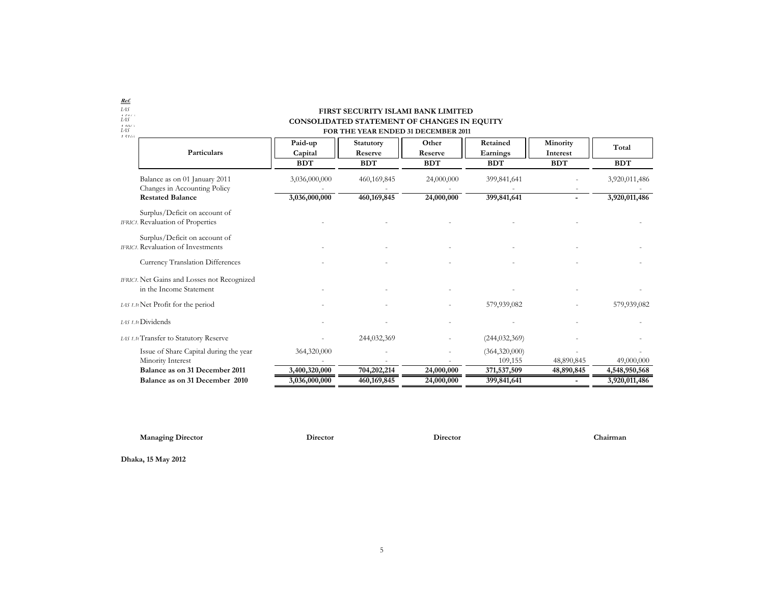### **FIRST SECURITY ISLAMI BANK LIMITED CONSOLIDATED STATEMENT OF CHANGES IN EQUITY FOR THE YEAR ENDED 31 DECEMBER 2011**

| 1.51(n) | Particulars                                                            | Paid-up<br>Capital | Statutory<br>Reserve | Other<br>Reserve | Retained<br>Earnings   | Minority<br>Interest     | Total                       |
|---------|------------------------------------------------------------------------|--------------------|----------------------|------------------|------------------------|--------------------------|-----------------------------|
|         |                                                                        | <b>BDT</b>         | <b>BDT</b>           | <b>BDT</b>       | <b>BDT</b>             | <b>BDT</b>               | <b>BDT</b>                  |
|         | Balance as on 01 January 2011<br>Changes in Accounting Policy          | 3,036,000,000      | 460,169,845          | 24,000,000       | 399,841,641            |                          | 3,920,011,486               |
|         | <b>Restated Balance</b>                                                | 3,036,000,000      | 460,169,845          | 24,000,000       | 399,841,641            |                          | 3,920,011,486               |
|         | Surplus/Deficit on account of<br>IFRIC1. Revaluation of Properties     |                    |                      |                  |                        |                          |                             |
|         | Surplus/Deficit on account of<br>IFRIC1. Revaluation of Investments    |                    |                      |                  |                        |                          |                             |
|         | Currency Translation Differences                                       |                    |                      |                  |                        |                          |                             |
|         | IFRIC1. Net Gains and Losses not Recognized<br>in the Income Statement |                    |                      |                  |                        |                          |                             |
|         | LAS 1.1(Net Profit for the period                                      |                    |                      |                  | 579,939,082            |                          | 579,939,082                 |
|         | LAS 1.1(Dividends                                                      |                    |                      |                  |                        |                          |                             |
|         | LAS 1.1 Transfer to Statutory Reserve                                  |                    | 244,032,369          |                  | (244, 032, 369)        |                          |                             |
|         | Issue of Share Capital during the year                                 | 364,320,000        |                      |                  | (364,320,000)          |                          |                             |
|         | Minority Interest<br>Balance as on 31 December 2011                    | 3,400,320,000      | 704,202,214          | 24,000,000       | 109,155<br>371,537,509 | 48,890,845<br>48,890,845 | 49,000,000<br>4,548,950,568 |
|         | Balance as on 31 December 2010                                         | 3,036,000,000      | 460,169,845          | 24,000,000       | 399,841,641            |                          | 3,920,011,486               |

**Managing Director Director Director Chairman**

**Dhaka, 15 May 2012**

**Ref.** *IAS 1 <i>AS <sup>1</sup> 10( ) IAS*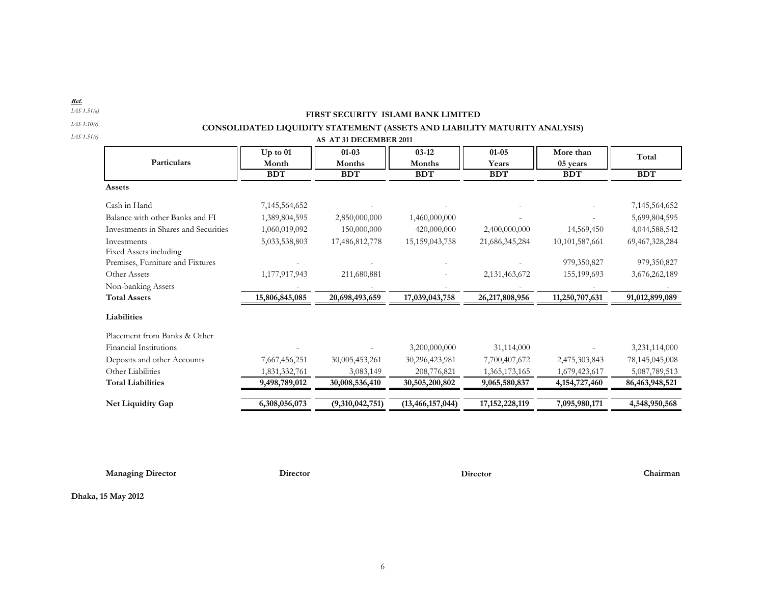*IAS 1.51(a)*

*IAS 1.10(c)*

# **FIRST SECURITY ISLAMI BANK LIMITED**

# **CONSOLIDATED LIQUIDITY STATEMENT (ASSETS AND LIABILITY MATURITY ANALYSIS)**

|                                      |                | AS AT 31 DECEMBER 2011 |                     |                   |                   |                |
|--------------------------------------|----------------|------------------------|---------------------|-------------------|-------------------|----------------|
|                                      | Up to 01       | $01-03$                | $03-12$             | $01 - 05$         | More than         | Total          |
| Particulars                          | Month          | Months                 | Months              | Years             | 05 years          |                |
|                                      | <b>BDT</b>     | <b>BDT</b>             | <b>BDT</b>          | <b>BDT</b>        | <b>BDT</b>        | <b>BDT</b>     |
| Assets                               |                |                        |                     |                   |                   |                |
| Cash in Hand                         | 7,145,564,652  |                        |                     |                   |                   | 7,145,564,652  |
| Balance with other Banks and FI      | 1,389,804,595  | 2,850,000,000          | 1,460,000,000       |                   |                   | 5,699,804,595  |
| Investments in Shares and Securities | 1,060,019,092  | 150,000,000            | 420,000,000         | 2,400,000,000     | 14,569,450        | 4,044,588,542  |
| Investments                          | 5,033,538,803  | 17,486,812,778         | 15, 159, 043, 758   | 21,686,345,284    | 10, 101, 587, 661 | 69,467,328,284 |
| Fixed Assets including               |                |                        |                     |                   |                   |                |
| Premises, Furniture and Fixtures     |                |                        |                     |                   | 979,350,827       | 979,350,827    |
| Other Assets                         | 1,177,917,943  | 211,680,881            |                     | 2,131,463,672     | 155,199,693       | 3,676,262,189  |
| Non-banking Assets                   |                |                        |                     |                   |                   |                |
| <b>Total Assets</b>                  | 15,806,845,085 | 20,698,493,659         | 17,039,043,758      | 26,217,808,956    | 11,250,707,631    | 91,012,899,089 |
| Liabilities                          |                |                        |                     |                   |                   |                |
| Placement from Banks & Other         |                |                        |                     |                   |                   |                |
| Financial Institutions               |                |                        | 3,200,000,000       | 31,114,000        |                   | 3,231,114,000  |
| Deposits and other Accounts          | 7,667,456,251  | 30,005,453,261         | 30,296,423,981      | 7,700,407,672     | 2,475,303,843     | 78,145,045,008 |
| Other Liabilities                    | 1,831,332,761  | 3,083,149              | 208,776,821         | 1,365,173,165     | 1,679,423,617     | 5,087,789,513  |
| <b>Total Liabilities</b>             | 9,498,789,012  | 30,008,536,410         | 30,505,200,802      | 9,065,580,837     | 4, 154, 727, 460  | 86,463,948,521 |
| Net Liquidity Gap                    | 6,308,056,073  | (9,310,042,751)        | (13, 466, 157, 044) | 17, 152, 228, 119 | 7,095,980,171     | 4,548,950,568  |

**Managing Director Director Director Chairman**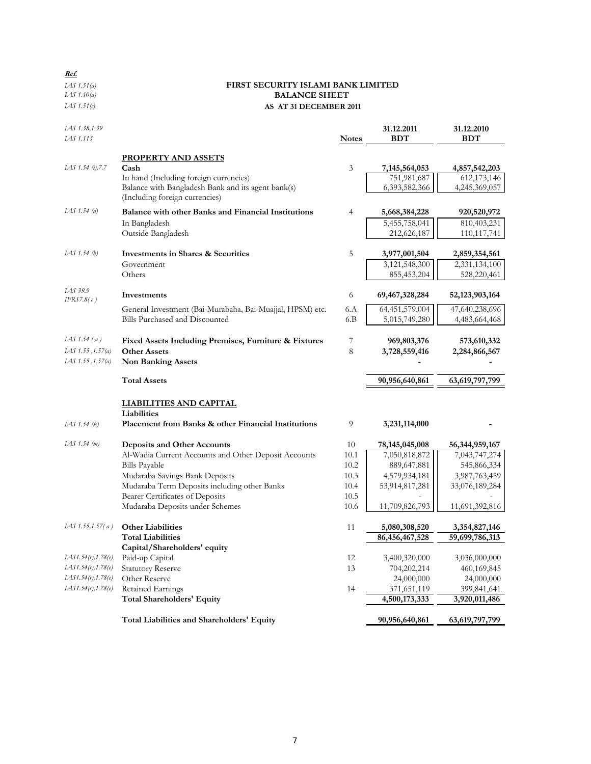| <u>Ref.</u><br>LAS $1.51(a)$<br>LAS $1.10(a)$                                            | FIRST SECURITY ISLAMI BANK LIMITED<br><b>BALANCE SHEET</b>                                                                                                                                                                                                          |                                                    |                                                                                                     |                                                                                                     |  |  |
|------------------------------------------------------------------------------------------|---------------------------------------------------------------------------------------------------------------------------------------------------------------------------------------------------------------------------------------------------------------------|----------------------------------------------------|-----------------------------------------------------------------------------------------------------|-----------------------------------------------------------------------------------------------------|--|--|
| LAS $1.51(c)$                                                                            | AS AT 31 DECEMBER 2011                                                                                                                                                                                                                                              |                                                    |                                                                                                     |                                                                                                     |  |  |
| LAS 1.38,1.39<br>LAS 1.113                                                               |                                                                                                                                                                                                                                                                     | <b>Notes</b>                                       | 31.12.2011<br><b>BDT</b>                                                                            | 31.12.2010<br><b>BDT</b>                                                                            |  |  |
| LAS 1.54 (i), 7.7                                                                        | <b>PROPERTY AND ASSETS</b><br>Cash<br>In hand (Including foreign currencies)<br>Balance with Bangladesh Bank and its agent bank(s)                                                                                                                                  | 3                                                  | 7,145,564,053<br>751,981,687<br>6,393,582,366                                                       | 4,857,542,203<br>612,173,146<br>4,245,369,057                                                       |  |  |
| LAS $1.54$ (d)                                                                           | (Including foreign currencies)<br><b>Balance with other Banks and Financial Institutions</b><br>In Bangladesh<br>Outside Bangladesh                                                                                                                                 | 4                                                  | 5,668,384,228<br>5,455,758,041<br>212,626,187                                                       | 920,520,972<br>810,403,231<br>110, 117, 741                                                         |  |  |
| LAS 1.54 (b)                                                                             | Investments in Shares & Securities<br>Government<br>Others                                                                                                                                                                                                          | 5                                                  | 3,977,001,504<br>3,121,548,300<br>855,453,204                                                       | 2,859,354,561<br>2,331,134,100<br>528,220,461                                                       |  |  |
| LAS 39.9<br>IFRS7.8(c)                                                                   | Investments                                                                                                                                                                                                                                                         | 6                                                  | 69,467,328,284                                                                                      | 52,123,903,164                                                                                      |  |  |
|                                                                                          | General Investment (Bai-Murabaha, Bai-Muajjal, HPSM) etc.<br>Bills Purchased and Discounted                                                                                                                                                                         | 6.A<br>6.B                                         | 64,451,579,004<br>5,015,749,280                                                                     | 47,640,238,696<br>4,483,664,468                                                                     |  |  |
| LAS 1.54 (a)<br>LAS $1.55$ , $1.57(a)$<br>LAS $1.55$ , $1.57(a)$                         | Fixed Assets Including Premises, Furniture & Fixtures<br><b>Other Assets</b><br><b>Non Banking Assets</b>                                                                                                                                                           | 7<br>8                                             | 969,803,376<br>3,728,559,416                                                                        | 573,610,332<br>2,284,866,567                                                                        |  |  |
|                                                                                          | <b>Total Assets</b>                                                                                                                                                                                                                                                 |                                                    | 90,956,640,861                                                                                      | 63,619,797,799                                                                                      |  |  |
| LAS 1.54 $(k)$                                                                           | <b>LIABILITIES AND CAPITAL</b><br>Liabilities<br>Placement from Banks & other Financial Institutions                                                                                                                                                                | 9                                                  | 3,231,114,000                                                                                       |                                                                                                     |  |  |
|                                                                                          |                                                                                                                                                                                                                                                                     |                                                    |                                                                                                     |                                                                                                     |  |  |
| LAS 1.54 $(m)$                                                                           | Deposits and Other Accounts<br>Al-Wadia Current Accounts and Other Deposit Accounts<br><b>Bills Payable</b><br>Mudaraba Savings Bank Deposits<br>Mudaraba Term Deposits including other Banks<br>Bearer Certificates of Deposits<br>Mudaraba Deposits under Schemes | 10<br>10.1<br>10.2<br>10.3<br>10.4<br>10.5<br>10.6 | 78,145,045,008<br>7,050,818,872<br>889,647,881<br>4,579,934,181<br>53,914,817,281<br>11,709,826,793 | 56,344,959,167<br>7,043,747,274<br>545,866,334<br>3,987,763,459<br>33,076,189,284<br>11,691,392,816 |  |  |
| LAS $1.55, 1.57(a)$                                                                      | <b>Other Liabilities</b><br><b>Total Liabilities</b>                                                                                                                                                                                                                | 11                                                 | 5,080,308,520<br>86,456,467,528                                                                     | 3,354,827,146<br>59,699,786,313                                                                     |  |  |
| LAS1.54(r), 1.78(e)<br>LAS1.54(r), 1.78(e)<br>LAS1.54(r), 1.78(e)<br>LAS1.54(r), 1.78(e) | Capital/Shareholders' equity<br>Paid-up Capital<br><b>Statutory Reserve</b><br>Other Reserve<br>Retained Earnings<br><b>Total Shareholders' Equity</b>                                                                                                              | 12<br>13<br>14                                     | 3,400,320,000<br>704,202,214<br>24,000,000<br>371,651,119<br>4,500,173,333                          | 3,036,000,000<br>460,169,845<br>24,000,000<br>399,841,641<br>3,920,011,486                          |  |  |
|                                                                                          | Total Liabilities and Shareholders' Equity                                                                                                                                                                                                                          |                                                    | 90,956,640,861                                                                                      | 63,619,797,799                                                                                      |  |  |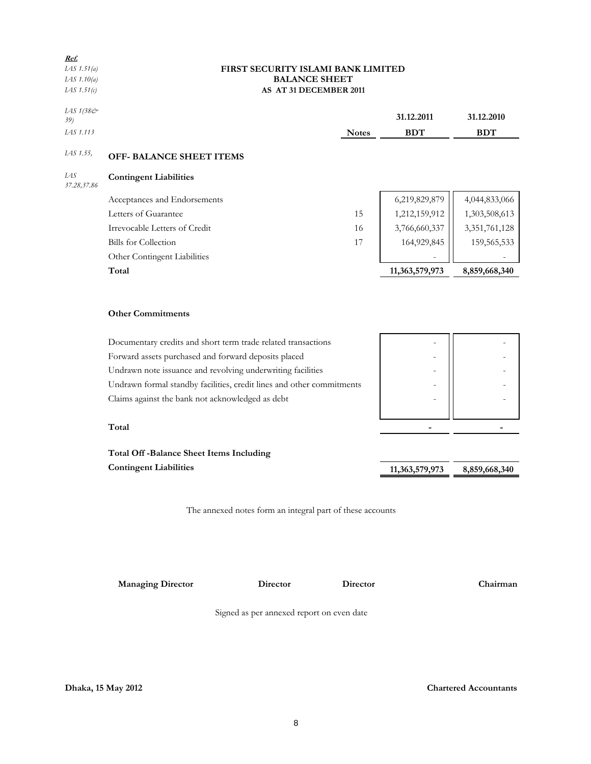| <u>Ref.</u><br>LAS $1.51(a)$<br>LAS 1.10(a)<br>LAS $1.51(c)$ | FIRST SECURITY ISLAMI BANK LIMITED<br><b>BALANCE SHEET</b><br>AS AT 31 DECEMBER 2011      |                                                                                                                           |                 |                |                              |  |  |
|--------------------------------------------------------------|-------------------------------------------------------------------------------------------|---------------------------------------------------------------------------------------------------------------------------|-----------------|----------------|------------------------------|--|--|
| LAS 1(38&<br>39)                                             |                                                                                           |                                                                                                                           |                 | 31.12.2011     | 31.12.2010                   |  |  |
| LAS 1.113                                                    |                                                                                           |                                                                                                                           | <b>Notes</b>    | <b>BDT</b>     | <b>BDT</b>                   |  |  |
| LAS 1.55,                                                    | OFF-BALANCE SHEET ITEMS                                                                   |                                                                                                                           |                 |                |                              |  |  |
| LAS<br>37.28,37.86                                           | <b>Contingent Liabilities</b>                                                             |                                                                                                                           |                 |                |                              |  |  |
|                                                              | Acceptances and Endorsements                                                              |                                                                                                                           |                 | 6,219,829,879  | 4,044,833,066                |  |  |
|                                                              | Letters of Guarantee                                                                      |                                                                                                                           | 15              | 1,212,159,912  | 1,303,508,613                |  |  |
|                                                              | Irrevocable Letters of Credit                                                             |                                                                                                                           | 16              | 3,766,660,337  | 3,351,761,128                |  |  |
|                                                              | <b>Bills</b> for Collection                                                               |                                                                                                                           | 17              | 164,929,845    | 159,565,533                  |  |  |
|                                                              | Other Contingent Liabilities                                                              |                                                                                                                           |                 |                |                              |  |  |
|                                                              | Total                                                                                     |                                                                                                                           |                 | 11,363,579,973 | 8,859,668,340                |  |  |
|                                                              | <b>Other Commitments</b><br>Documentary credits and short term trade related transactions |                                                                                                                           |                 |                |                              |  |  |
|                                                              | Forward assets purchased and forward deposits placed                                      |                                                                                                                           |                 |                |                              |  |  |
|                                                              | Undrawn note issuance and revolving underwriting facilities                               |                                                                                                                           |                 |                |                              |  |  |
|                                                              |                                                                                           | Undrawn formal standby facilities, credit lines and other commitments                                                     |                 |                |                              |  |  |
|                                                              | Claims against the bank not acknowledged as debt                                          |                                                                                                                           |                 |                |                              |  |  |
|                                                              | Total                                                                                     |                                                                                                                           |                 |                |                              |  |  |
|                                                              | <b>Total Off-Balance Sheet Items Including</b>                                            |                                                                                                                           |                 |                |                              |  |  |
|                                                              | <b>Contingent Liabilities</b>                                                             |                                                                                                                           |                 | 11,363,579,973 | 8,859,668,340                |  |  |
|                                                              | <b>Managing Director</b>                                                                  | The annexed notes form an integral part of these accounts<br><b>Director</b><br>Signed as per annexed report on even date | <b>Director</b> |                | Chairman                     |  |  |
| Dhaka, 15 May 2012                                           |                                                                                           |                                                                                                                           |                 |                | <b>Chartered Accountants</b> |  |  |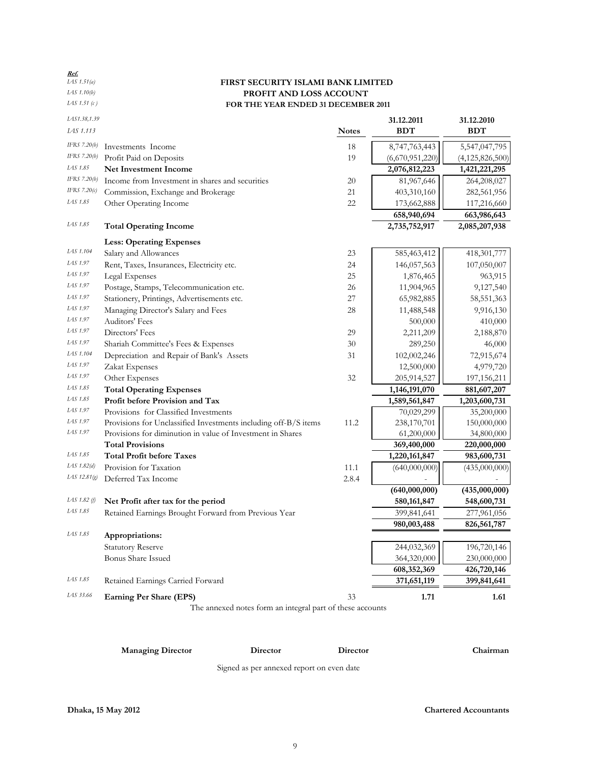| Ref.<br>LAS $1.51(a)$ | FIRST SECURITY ISLAMI BANK LIMITED                                          |              |                 |                 |
|-----------------------|-----------------------------------------------------------------------------|--------------|-----------------|-----------------|
| LAS 1.10(b)           | PROFIT AND LOSS ACCOUNT                                                     |              |                 |                 |
| LAS 1.51 $(c)$        | FOR THE YEAR ENDED 31 DECEMBER 2011                                         |              |                 |                 |
| LAS1.38,1.39          |                                                                             |              | 31.12.2011      | 31.12.2010      |
| LAS 1.113             |                                                                             | <b>Notes</b> | <b>BDT</b>      | <b>BDT</b>      |
| IFRS 7.20(b)          | Investments Income                                                          | 18           | 8,747,763,443   | 5,547,047,795   |
| IFRS 7.20(b)          | Profit Paid on Deposits                                                     | 19           | (6,670,951,220) | (4,125,826,500) |
| LAS 1.85              | Net Investment Income                                                       |              | 2,076,812,223   | 1,421,221,295   |
| IFRS 7.20(b)          | Income from Investment in shares and securities                             | 20           | 81,967,646      | 264,208,027     |
| IFRS 7.20(c)          | Commission, Exchange and Brokerage                                          | 21           | 403,310,160     | 282,561,956     |
| LAS 1.85              | Other Operating Income                                                      | 22           | 173,662,888     | 117,216,660     |
|                       |                                                                             |              | 658,940,694     | 663,986,643     |
| LAS 1.85              | <b>Total Operating Income</b>                                               |              | 2,735,752,917   | 2,085,207,938   |
|                       | <b>Less: Operating Expenses</b>                                             |              |                 |                 |
| LAS 1.104             | Salary and Allowances                                                       | 23           | 585,463,412     | 418,301,777     |
| LAS 1.97              | Rent, Taxes, Insurances, Electricity etc.                                   | 24           | 146,057,563     | 107,050,007     |
| LAS 1.97              | Legal Expenses                                                              | 25           | 1,876,465       | 963,915         |
| LAS 1.97              | Postage, Stamps, Telecommunication etc.                                     | 26           | 11,904,965      | 9,127,540       |
| LAS 1.97              | Stationery, Printings, Advertisements etc.                                  | 27           | 65,982,885      | 58, 551, 363    |
| LAS 1.97              | Managing Director's Salary and Fees                                         | 28           | 11,488,548      | 9,916,130       |
| LAS 1.97              | Auditors' Fees                                                              |              | 500,000         | 410,000         |
| LAS 1.97              | Directors' Fees                                                             | 29           | 2,211,209       | 2,188,870       |
| LAS 1.97              | Shariah Committee's Fees & Expenses                                         | 30           | 289,250         | 46,000          |
| LAS 1.104             | Depreciation and Repair of Bank's Assets                                    | 31           | 102,002,246     | 72,915,674      |
| LAS 1.97              | Zakat Expenses                                                              |              | 12,500,000      | 4,979,720       |
| LAS 1.97              | Other Expenses                                                              | 32           | 205,914,527     | 197, 156, 211   |
| LAS 1.85              | <b>Total Operating Expenses</b>                                             |              | 1,146,191,070   | 881,607,207     |
| LAS 1.85              | Profit before Provision and Tax                                             |              | 1,589,561,847   | 1,203,600,731   |
| LAS 1.97              | Provisions for Classified Investments                                       |              | 70,029,299      | 35,200,000      |
| LAS 1.97              | Provisions for Unclassified Investments including off-B/S items             | 11.2         | 238,170,701     | 150,000,000     |
| LAS 1.97              | Provisions for diminution in value of Investment in Shares                  |              | 61,200,000      | 34,800,000      |
|                       | <b>Total Provisions</b>                                                     |              | 369,400,000     | 220,000,000     |
| LAS 1.85              | <b>Total Profit before Taxes</b>                                            |              | 1,220,161,847   | 983,600,731     |
| LAS 1.82(d)           | Provision for Taxation                                                      | 11.1         | (640,000,000)   | (435,000,000)   |
| LAS 12.81(g)          | Deferred Tax Income                                                         | 2.8.4        |                 |                 |
|                       |                                                                             |              | (640,000,000)   | (435,000,000)   |
|                       | LAS 1.82 $\emptyset$ Net Profit after tax for the period                    |              | 580, 161, 847   | 548,600,731     |
| LAS 1.85              | Retained Earnings Brought Forward from Previous Year                        |              | 399,841,641     | 277,961,056     |
|                       |                                                                             |              | 980,003,488     | 826,561,787     |
| LAS 1.85              | Appropriations:                                                             |              |                 |                 |
|                       | <b>Statutory Reserve</b>                                                    |              | 244,032,369     | 196,720,146     |
|                       | Bonus Share Issued                                                          |              | 364,320,000     | 230,000,000     |
|                       |                                                                             |              | 608, 352, 369   | 426,720,146     |
| LAS 1.85              | Retained Earnings Carried Forward                                           |              | 371,651,119     | 399,841,641     |
| LAS 33.66             | Earning Per Share (EPS)<br>The appened potes form an integral part of these | 33           | 1.71            | 1.61            |

The annexed notes form an integral part of these accounts

| <b>Managing Director</b> | <b>Director</b>                           | <b>Director</b> | Chairman |
|--------------------------|-------------------------------------------|-----------------|----------|
|                          | Signed as per annexed report on even date |                 |          |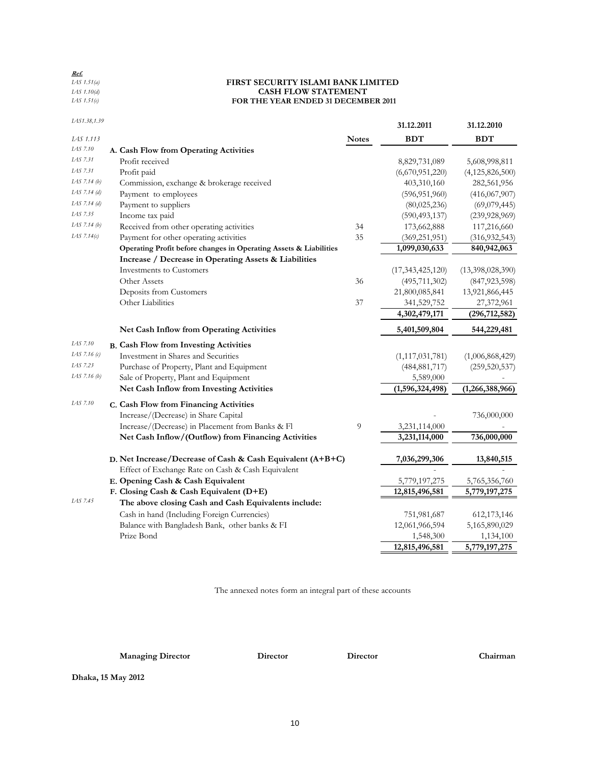*IAS 1.51(a) IAS 1.10(d) IAS 1.51(c)*

### **FIRST SECURITY ISLAMI BANK LIMITED CASH FLOW STATEMENT FOR THE YEAR ENDED 31 DECEMBER 2011**

| LAS1.38,1.39   |                                                                   |              | 31.12.2011          | 31.12.2010         |
|----------------|-------------------------------------------------------------------|--------------|---------------------|--------------------|
| LAS 1.113      |                                                                   | <b>Notes</b> | <b>BDT</b>          | <b>BDT</b>         |
| LAS 7.10       | A. Cash Flow from Operating Activities                            |              |                     |                    |
| LAS 7.31       | Profit received                                                   |              | 8,829,731,089       | 5,608,998,811      |
| LAS 7.31       | Profit paid                                                       |              | (6,670,951,220)     | (4, 125, 826, 500) |
| LAS 7.14 $(b)$ | Commission, exchange & brokerage received                         |              | 403,310,160         | 282,561,956        |
| LAS 7.14 (d)   | Payment to employees                                              |              | (596, 951, 960)     | (416,067,907)      |
| LAS 7.14 (d)   | Payment to suppliers                                              |              | (80, 025, 236)      | (69,079,445)       |
| LAS 7.35       | Income tax paid                                                   |              | (590, 493, 137)     | (239, 928, 969)    |
| LAS 7.14 (b)   | Received from other operating activities                          | 34           | 173,662,888         | 117,216,660        |
| LAS 7.14 $(c)$ | Payment for other operating activities                            | 35           | (369, 251, 951)     | (316, 932, 543)    |
|                | Operating Profit before changes in Operating Assets & Liabilities |              | 1,099,030,633       | 840,942,063        |
|                | Increase / Decrease in Operating Assets & Liabilities             |              |                     |                    |
|                | <b>Investments</b> to Customers                                   |              | (17, 343, 425, 120) | (13,398,028,390)   |
|                | Other Assets                                                      | 36           | (495, 711, 302)     | (847, 923, 598)    |
|                | Deposits from Customers                                           |              | 21,800,085,841      | 13,921,866,445     |
|                | Other Liabilities                                                 | 37           | 341,529,752         | 27,372,961         |
|                |                                                                   |              | 4,302,479,171       | (296, 712, 582)    |
|                | Net Cash Inflow from Operating Activities                         |              | 5,401,509,804       | 544,229,481        |
| LAS 7.10       | <b>B.</b> Cash Flow from Investing Activities                     |              |                     |                    |
| LAS 7.16 $(c)$ | Investment in Shares and Securities                               |              | (1, 117, 031, 781)  | (1,006,868,429)    |
| LAS 7.23       | Purchase of Property, Plant and Equipment                         |              | (484, 881, 717)     | (259, 520, 537)    |
| LAS 7.16 (b)   | Sale of Property, Plant and Equipment                             |              | 5,589,000           |                    |
|                | Net Cash Inflow from Investing Activities                         |              | (1,596,324,498)     | (1,266,388,966)    |
| LAS 7.10       | C. Cash Flow from Financing Activities                            |              |                     |                    |
|                | Increase/(Decrease) in Share Capital                              |              |                     | 736,000,000        |
|                | Increase/(Decrease) in Placement from Banks & Fl                  | 9            | 3,231,114,000       |                    |
|                | Net Cash Inflow/(Outflow) from Financing Activities               |              | 3,231,114,000       | 736,000,000        |
|                |                                                                   |              |                     |                    |
|                | D. Net Increase/Decrease of Cash & Cash Equivalent $(A+B+C)$      |              | 7,036,299,306       | 13,840,515         |
|                | Effect of Exchange Rate on Cash & Cash Equivalent                 |              |                     |                    |
|                | E. Opening Cash & Cash Equivalent                                 |              | 5,779,197,275       | 5,765,356,760      |
|                | F. Closing Cash & Cash Equivalent (D+E)                           |              | 12,815,496,581      | 5,779,197,275      |
| LAS 7.45       | The above closing Cash and Cash Equivalents include:              |              |                     |                    |
|                | Cash in hand (Including Foreign Currencies)                       |              | 751,981,687         | 612, 173, 146      |
|                | Balance with Bangladesh Bank, other banks & FI                    |              | 12,061,966,594      | 5,165,890,029      |
|                | Prize Bond                                                        |              | 1,548,300           | 1,134,100          |
|                |                                                                   |              | 12,815,496,581      | 5,779,197,275      |

The annexed notes form an integral part of these accounts

**Managing Director Director Director Chairman**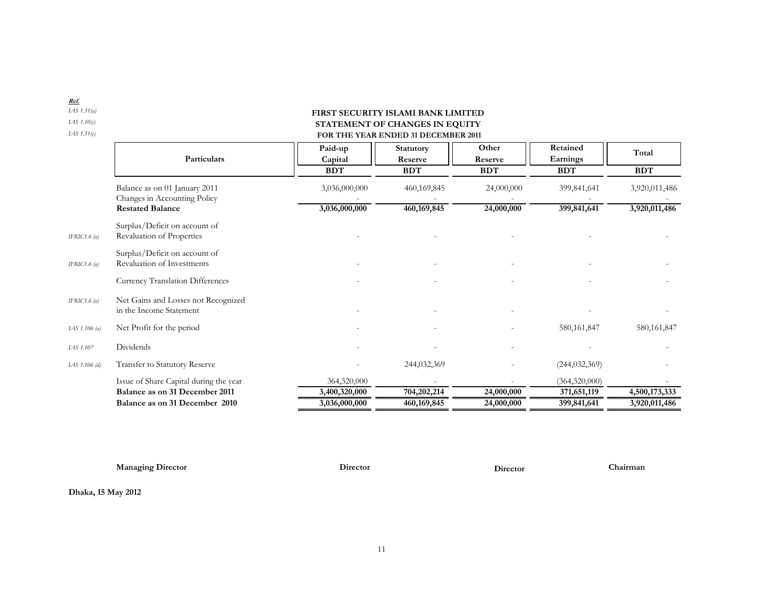*IAS 1.51(a) IAS 1.10(c) IAS 1.51(c)*

# **FIRST SECURITY ISLAMI BANK LIMITED FOR THE YEAR ENDED 31 DECEMBER 2011 STATEMENT OF CHANGES IN EQUITY**

|                | Particulars                                                                              | Paid-up<br>Capital<br><b>BDT</b> | Statutory<br>Reserve<br><b>BDT</b> | Other<br>Reserve<br><b>BDT</b> | Retained<br>Earnings<br><b>BDT</b> | Total<br><b>BDT</b>            |
|----------------|------------------------------------------------------------------------------------------|----------------------------------|------------------------------------|--------------------------------|------------------------------------|--------------------------------|
|                | Balance as on 01 January 2011<br>Changes in Accounting Policy<br><b>Restated Balance</b> | 3,036,000,000<br>3,036,000,000   | 460,169,845<br>460, 169, 845       | 24,000,000<br>24,000,000       | 399,841,641<br>399,841,641         | 3,920,011,486<br>3,920,011,486 |
| IFRIC1.6 (a)   | Surplus/Deficit on account of<br>Revaluation of Properties                               |                                  |                                    |                                |                                    |                                |
| IFRIC1.6 $(a)$ | Surplus/Deficit on account of<br>Revaluation of Investments                              |                                  |                                    |                                |                                    |                                |
|                | Currency Translation Differences                                                         |                                  |                                    |                                |                                    |                                |
| IFRIC1.6 $(a)$ | Net Gains and Losses not Recognized<br>in the Income Statement                           |                                  |                                    |                                |                                    |                                |
| LAS 1.106 (a)  | Net Profit for the period                                                                |                                  |                                    |                                | 580, 161, 847                      | 580, 161, 847                  |
| LAS 1.107      | Dividends                                                                                |                                  |                                    |                                |                                    |                                |
| LAS 1.106 (d)  | Transfer to Statutory Reserve                                                            |                                  | 244,032,369                        |                                | (244, 032, 369)                    |                                |
|                | Issue of Share Capital during the year                                                   | 364,320,000                      |                                    |                                | (364, 320, 000)                    |                                |
|                | Balance as on 31 December 2011                                                           | 3,400,320,000                    | 704,202,214                        | 24,000,000                     | 371,651,119                        | 4,500,173,333                  |
|                | Balance as on 31 December 2010                                                           | 3,036,000,000                    | 460,169,845                        | 24,000,000                     | 399,841,641                        | 3,920,011,486                  |

**Managing Director Director Director Chairman**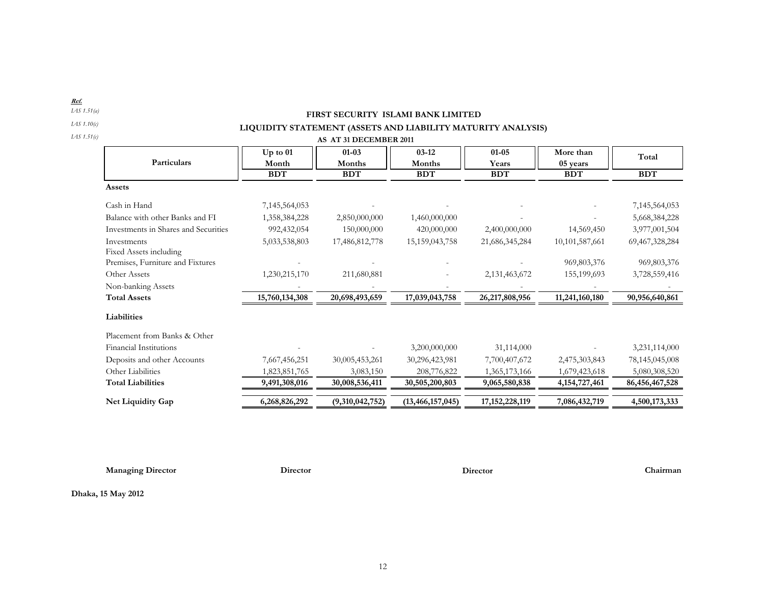*IAS 1.51(a)*

*IAS 1.10(c)*

### *IAS 1.51(c)* **AS AT 31 DECEMBER 2011LIQUIDITY STATEMENT (ASSETS AND LIABILITY MATURITY ANALYSIS)**

**FIRST SECURITY ISLAMI BANK LIMITED**

|                                      | $Up$ to $01$   | $01-03$         | $03-12$             | $01 - 05$         | More than        | Total          |
|--------------------------------------|----------------|-----------------|---------------------|-------------------|------------------|----------------|
| Particulars                          | Month          | Months          | Months              | Years             | 05 years         |                |
|                                      | <b>BDT</b>     | <b>BDT</b>      | <b>BDT</b>          | <b>BDT</b>        | <b>BDT</b>       | <b>BDT</b>     |
| Assets                               |                |                 |                     |                   |                  |                |
| Cash in Hand                         | 7,145,564,053  |                 |                     |                   |                  | 7,145,564,053  |
| Balance with other Banks and FI      | 1,358,384,228  | 2,850,000,000   | 1,460,000,000       |                   |                  | 5,668,384,228  |
| Investments in Shares and Securities | 992,432,054    | 150,000,000     | 420,000,000         | 2,400,000,000     | 14,569,450       | 3,977,001,504  |
| Investments                          | 5,033,538,803  | 17,486,812,778  | 15, 159, 043, 758   | 21,686,345,284    | 10,101,587,661   | 69,467,328,284 |
| Fixed Assets including               |                |                 |                     |                   |                  |                |
| Premises, Furniture and Fixtures     |                |                 |                     |                   | 969,803,376      | 969,803,376    |
| Other Assets                         | 1,230,215,170  | 211,680,881     |                     | 2, 131, 463, 672  | 155,199,693      | 3,728,559,416  |
| Non-banking Assets                   |                |                 |                     |                   |                  |                |
| <b>Total Assets</b>                  | 15,760,134,308 | 20,698,493,659  | 17,039,043,758      | 26,217,808,956    | 11,241,160,180   | 90,956,640,861 |
| Liabilities                          |                |                 |                     |                   |                  |                |
| Placement from Banks & Other         |                |                 |                     |                   |                  |                |
| Financial Institutions               |                |                 | 3,200,000,000       | 31,114,000        |                  | 3,231,114,000  |
| Deposits and other Accounts          | 7,667,456,251  | 30,005,453,261  | 30,296,423,981      | 7,700,407,672     | 2,475,303,843    | 78,145,045,008 |
| Other Liabilities                    | 1,823,851,765  | 3,083,150       | 208,776,822         | 1,365,173,166     | 1,679,423,618    | 5,080,308,520  |
| <b>Total Liabilities</b>             | 9,491,308,016  | 30,008,536,411  | 30,505,200,803      | 9,065,580,838     | 4, 154, 727, 461 | 86,456,467,528 |
| Net Liquidity Gap                    | 6,268,826,292  | (9,310,042,752) | (13, 466, 157, 045) | 17, 152, 228, 119 | 7,086,432,719    | 4,500,173,333  |

**Managing Director Director Director Chairman**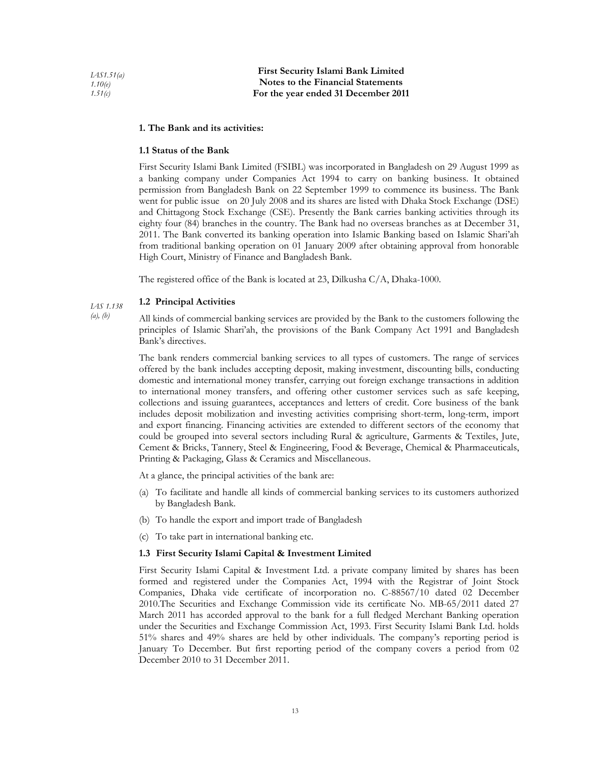*IAS1.51(a) 1.10(e) 1.51(c)* 

### **1. The Bank and its activities:**

### **1.1 Status of the Bank**

First Security Islami Bank Limited (FSIBL) was incorporated in Bangladesh on 29 August 1999 as a banking company under Companies Act 1994 to carry on banking business. It obtained permission from Bangladesh Bank on 22 September 1999 to commence its business. The Bank went for public issue on 20 July 2008 and its shares are listed with Dhaka Stock Exchange (DSE) and Chittagong Stock Exchange (CSE). Presently the Bank carries banking activities through its eighty four (84) branches in the country. The Bank had no overseas branches as at December 31, 2011. The Bank converted its banking operation into Islamic Banking based on Islamic Shari'ah from traditional banking operation on 01 January 2009 after obtaining approval from honorable High Court, Ministry of Finance and Bangladesh Bank.

The registered office of the Bank is located at 23, Dilkusha C/A, Dhaka-1000.

#### *IAS 1.138*  **1.2 Principal Activities**

*(a), (b)* 

All kinds of commercial banking services are provided by the Bank to the customers following the principles of Islamic Shari'ah, the provisions of the Bank Company Act 1991 and Bangladesh Bank's directives.

The bank renders commercial banking services to all types of customers. The range of services offered by the bank includes accepting deposit, making investment, discounting bills, conducting domestic and international money transfer, carrying out foreign exchange transactions in addition to international money transfers, and offering other customer services such as safe keeping, collections and issuing guarantees, acceptances and letters of credit. Core business of the bank includes deposit mobilization and investing activities comprising short-term, long-term, import and export financing. Financing activities are extended to different sectors of the economy that could be grouped into several sectors including Rural & agriculture, Garments & Textiles, Jute, Cement & Bricks, Tannery, Steel & Engineering, Food & Beverage, Chemical & Pharmaceuticals, Printing & Packaging, Glass & Ceramics and Miscellaneous.

At a glance, the principal activities of the bank are:

- (a) To facilitate and handle all kinds of commercial banking services to its customers authorized by Bangladesh Bank.
- (b) To handle the export and import trade of Bangladesh
- (c) To take part in international banking etc.

### **1.3 First Security Islami Capital & Investment Limited**

First Security Islami Capital & Investment Ltd. a private company limited by shares has been formed and registered under the Companies Act, 1994 with the Registrar of Joint Stock Companies, Dhaka vide certificate of incorporation no. C-88567/10 dated 02 December 2010.The Securities and Exchange Commission vide its certificate No. MB-65/2011 dated 27 March 2011 has accorded approval to the bank for a full fledged Merchant Banking operation under the Securities and Exchange Commission Act, 1993. First Security Islami Bank Ltd. holds 51% shares and 49% shares are held by other individuals. The company's reporting period is January To December. But first reporting period of the company covers a period from 02 December 2010 to 31 December 2011.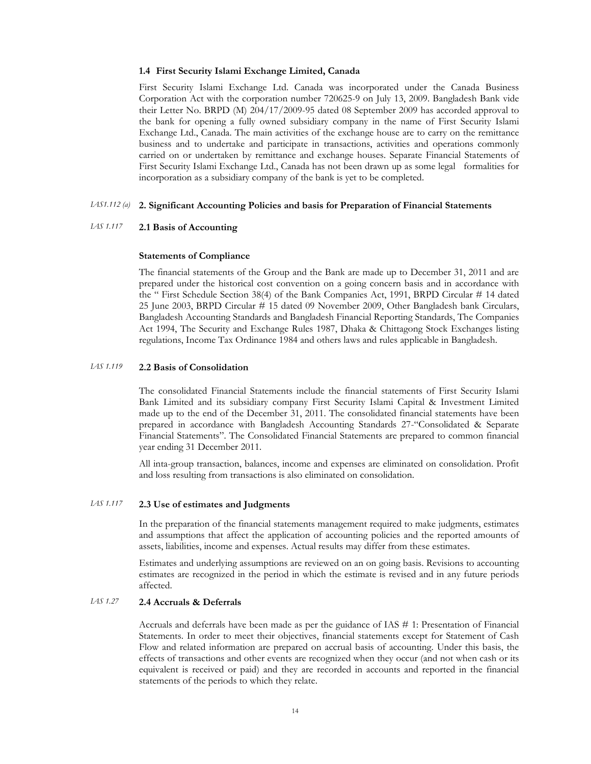### **1.4 First Security Islami Exchange Limited, Canada**

First Security Islami Exchange Ltd. Canada was incorporated under the Canada Business Corporation Act with the corporation number 720625-9 on July 13, 2009. Bangladesh Bank vide their Letter No. BRPD (M) 204/17/2009-95 dated 08 September 2009 has accorded approval to the bank for opening a fully owned subsidiary company in the name of First Security Islami Exchange Ltd., Canada. The main activities of the exchange house are to carry on the remittance business and to undertake and participate in transactions, activities and operations commonly carried on or undertaken by remittance and exchange houses. Separate Financial Statements of First Security Islami Exchange Ltd., Canada has not been drawn up as some legal formalities for incorporation as a subsidiary company of the bank is yet to be completed.

# *IAS1.112 (a)* **2. Significant Accounting Policies and basis for Preparation of Financial Statements**

## *IAS 1.117* **2.1 Basis of Accounting**

### **Statements of Compliance**

The financial statements of the Group and the Bank are made up to December 31, 2011 and are prepared under the historical cost convention on a going concern basis and in accordance with the " First Schedule Section 38(4) of the Bank Companies Act, 1991, BRPD Circular # 14 dated 25 June 2003, BRPD Circular # 15 dated 09 November 2009, Other Bangladesh bank Circulars, Bangladesh Accounting Standards and Bangladesh Financial Reporting Standards, The Companies Act 1994, The Security and Exchange Rules 1987, Dhaka & Chittagong Stock Exchanges listing regulations, Income Tax Ordinance 1984 and others laws and rules applicable in Bangladesh.

### *IAS 1.119* **2.2 Basis of Consolidation**

The consolidated Financial Statements include the financial statements of First Security Islami Bank Limited and its subsidiary company First Security Islami Capital & Investment Limited made up to the end of the December 31, 2011. The consolidated financial statements have been prepared in accordance with Bangladesh Accounting Standards 27-"Consolidated & Separate Financial Statements". The Consolidated Financial Statements are prepared to common financial year ending 31 December 2011.

All inta-group transaction, balances, income and expenses are eliminated on consolidation. Profit and loss resulting from transactions is also eliminated on consolidation.

### *IAS 1.117* **2.3 Use of estimates and Judgments**

In the preparation of the financial statements management required to make judgments, estimates and assumptions that affect the application of accounting policies and the reported amounts of assets, liabilities, income and expenses. Actual results may differ from these estimates.

Estimates and underlying assumptions are reviewed on an on going basis. Revisions to accounting estimates are recognized in the period in which the estimate is revised and in any future periods affected.

### *IAS 1.27* **2.4 Accruals & Deferrals**

Accruals and deferrals have been made as per the guidance of IAS # 1: Presentation of Financial Statements. In order to meet their objectives, financial statements except for Statement of Cash Flow and related information are prepared on accrual basis of accounting. Under this basis, the effects of transactions and other events are recognized when they occur (and not when cash or its equivalent is received or paid) and they are recorded in accounts and reported in the financial statements of the periods to which they relate.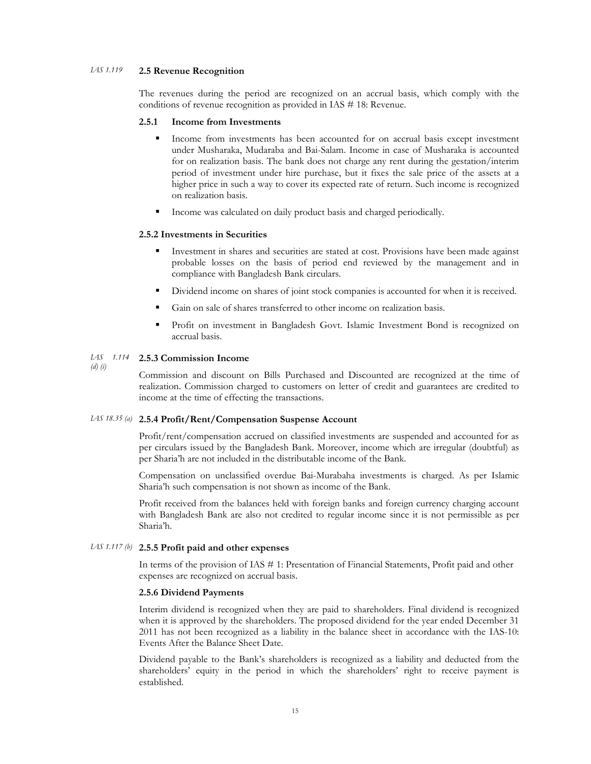# *IAS 1.119* **2.5 Revenue Recognition**

The revenues during the period are recognized on an accrual basis, which comply with the conditions of revenue recognition as provided in IAS # 18: Revenue.

### **2.5.1 Income from Investments**

- Income from investments has been accounted for on accrual basis except investment under Musharaka, Mudaraba and Bai-Salam. Income in case of Musharaka is accounted for on realization basis. The bank does not charge any rent during the gestation/interim period of investment under hire purchase, but it fixes the sale price of the assets at a higher price in such a way to cover its expected rate of return. Such income is recognized on realization basis.
- Income was calculated on daily product basis and charged periodically.

### **2.5.2 Investments in Securities**

- Investment in shares and securities are stated at cost. Provisions have been made against probable losses on the basis of period end reviewed by the management and in compliance with Bangladesh Bank circulars.
- Dividend income on shares of joint stock companies is accounted for when it is received.
- Gain on sale of shares transferred to other income on realization basis.
- Profit on investment in Bangladesh Govt. Islamic Investment Bond is recognized on accrual basis.

#### *IAS 1.114*  **2.5.3 Commission Income**

*(d) (i)* 

Commission and discount on Bills Purchased and Discounted are recognized at the time of realization. Commission charged to customers on letter of credit and guarantees are credited to income at the time of effecting the transactions.

### *IAS 18.35 (a)* **2.5.4 Profit/Rent/Compensation Suspense Account**

Profit/rent/compensation accrued on classified investments are suspended and accounted for as per circulars issued by the Bangladesh Bank. Moreover, income which are irregular (doubtful) as per Sharia'h are not included in the distributable income of the Bank.

Compensation on unclassified overdue Bai-Murabaha investments is charged. As per Islamic Sharia'h such compensation is not shown as income of the Bank.

Profit received from the balances held with foreign banks and foreign currency charging account with Bangladesh Bank are also not credited to regular income since it is not permissible as per Sharia'h.

# *IAS 1.117 (b)* **2.5.5 Profit paid and other expenses**

In terms of the provision of IAS # 1: Presentation of Financial Statements, Profit paid and other expenses are recognized on accrual basis.

### **2.5.6 Dividend Payments**

Interim dividend is recognized when they are paid to shareholders. Final dividend is recognized when it is approved by the shareholders. The proposed dividend for the year ended December 31 2011 has not been recognized as a liability in the balance sheet in accordance with the IAS-10: Events After the Balance Sheet Date.

Dividend payable to the Bank's shareholders is recognized as a liability and deducted from the shareholders' equity in the period in which the shareholders' right to receive payment is established.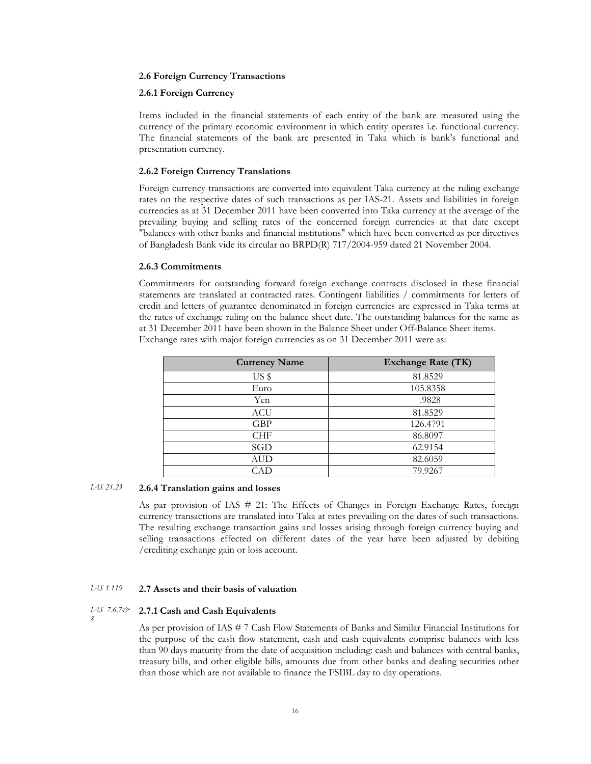### **2.6 Foreign Currency Transactions**

### **2.6.1 Foreign Currency**

Items included in the financial statements of each entity of the bank are measured using the currency of the primary economic environment in which entity operates i.e. functional currency. The financial statements of the bank are presented in Taka which is bank's functional and presentation currency.

### **2.6.2 Foreign Currency Translations**

Foreign currency transactions are converted into equivalent Taka currency at the ruling exchange rates on the respective dates of such transactions as per IAS-21. Assets and liabilities in foreign currencies as at 31 December 2011 have been converted into Taka currency at the average of the prevailing buying and selling rates of the concerned foreign currencies at that date except "balances with other banks and financial institutions" which have been converted as per directives of Bangladesh Bank vide its circular no BRPD(R) 717/2004-959 dated 21 November 2004.

### **2.6.3 Commitments**

Commitments for outstanding forward foreign exchange contracts disclosed in these financial statements are translated at contracted rates. Contingent liabilities / commitments for letters of credit and letters of guarantee denominated in foreign currencies are expressed in Taka terms at the rates of exchange ruling on the balance sheet date. The outstanding balances for the same as at 31 December 2011 have been shown in the Balance Sheet under Off-Balance Sheet items. Exchange rates with major foreign currencies as on 31 December 2011 were as:

| <b>Currency Name</b> | <b>Exchange Rate (TK)</b> |
|----------------------|---------------------------|
| US <sub>s</sub>      | 81.8529                   |
| Euro                 | 105.8358                  |
| Yen                  | .9828                     |
| <b>ACU</b>           | 81.8529                   |
| <b>GBP</b>           | 126.4791                  |
| CHF                  | 86.8097                   |
| SGD                  | 62.9154                   |
| <b>AUD</b>           | 82.6059                   |
| CAD                  | 79.9267                   |

# *IAS 21.23* **2.6.4 Translation gains and losses**

As par provision of IAS # 21: The Effects of Changes in Foreign Exchange Rates, foreign currency transactions are translated into Taka at rates prevailing on the dates of such transactions. The resulting exchange transaction gains and losses arising through foreign currency buying and selling transactions effected on different dates of the year have been adjusted by debiting /crediting exchange gain or loss account.

### *IAS 1.119* **2.7 Assets and their basis of valuation**

#### *IAS 7.6,7&*  **2.7.1 Cash and Cash Equivalents**  *8*

As per provision of IAS # 7 Cash Flow Statements of Banks and Similar Financial Institutions for the purpose of the cash flow statement, cash and cash equivalents comprise balances with less than 90 days maturity from the date of acquisition including: cash and balances with central banks, treasury bills, and other eligible bills, amounts due from other banks and dealing securities other than those which are not available to finance the FSIBL day to day operations.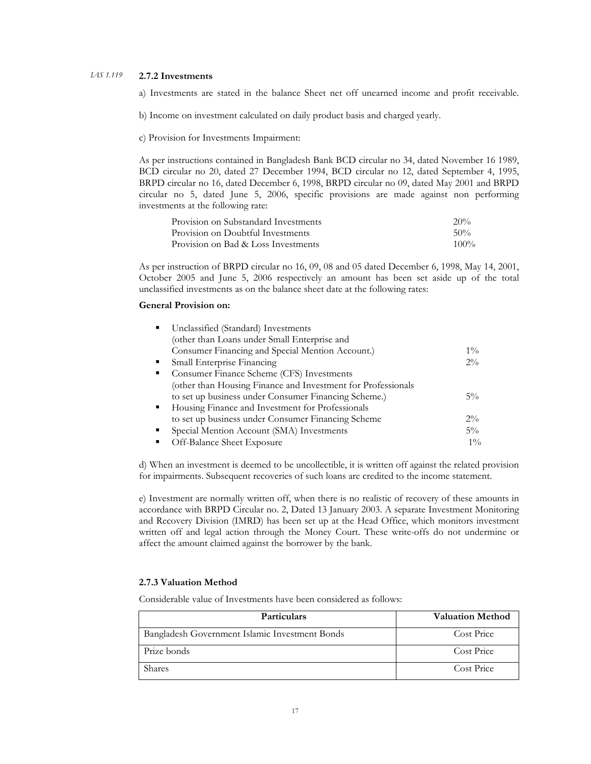### *IAS 1.119* **2.7.2 Investments**

a) Investments are stated in the balance Sheet net off unearned income and profit receivable.

b) Income on investment calculated on daily product basis and charged yearly.

c) Provision for Investments Impairment:

As per instructions contained in Bangladesh Bank BCD circular no 34, dated November 16 1989, BCD circular no 20, dated 27 December 1994, BCD circular no 12, dated September 4, 1995, BRPD circular no 16, dated December 6, 1998, BRPD circular no 09, dated May 2001 and BRPD circular no 5, dated June 5, 2006, specific provisions are made against non performing investments at the following rate:

| Provision on Substandard Investments | 20%     |
|--------------------------------------|---------|
| Provision on Doubtful Investments    | 50%     |
| Provision on Bad & Loss Investments  | $100\%$ |

As per instruction of BRPD circular no 16, 09, 08 and 05 dated December 6, 1998, May 14, 2001, October 2005 and June 5, 2006 respectively an amount has been set aside up of the total unclassified investments as on the balance sheet date at the following rates:

### **General Provision on:**

| Unclassified (Standard) Investments                          |       |
|--------------------------------------------------------------|-------|
| (other than Loans under Small Enterprise and                 |       |
| Consumer Financing and Special Mention Account.)             | $1\%$ |
| Small Enterprise Financing                                   | $2\%$ |
| Consumer Finance Scheme (CFS) Investments                    |       |
| (other than Housing Finance and Investment for Professionals |       |
| to set up business under Consumer Financing Scheme.)         | $5\%$ |
| Housing Finance and Investment for Professionals             |       |
| to set up business under Consumer Financing Scheme           | $2\%$ |
| Special Mention Account (SMA) Investments                    | $5\%$ |
| Off-Balance Sheet Exposure                                   | $1\%$ |

d) When an investment is deemed to be uncollectible, it is written off against the related provision for impairments. Subsequent recoveries of such loans are credited to the income statement.

e) Investment are normally written off, when there is no realistic of recovery of these amounts in accordance with BRPD Circular no. 2, Dated 13 January 2003. A separate Investment Monitoring and Recovery Division (IMRD) has been set up at the Head Office, which monitors investment written off and legal action through the Money Court. These write-offs do not undermine or affect the amount claimed against the borrower by the bank.

### **2.7.3 Valuation Method**

Considerable value of Investments have been considered as follows:

| Particulars                                    | <b>Valuation Method</b> |
|------------------------------------------------|-------------------------|
| Bangladesh Government Islamic Investment Bonds | Cost Price              |
| Prize bonds                                    | Cost Price              |
| Shares                                         | Cost Price              |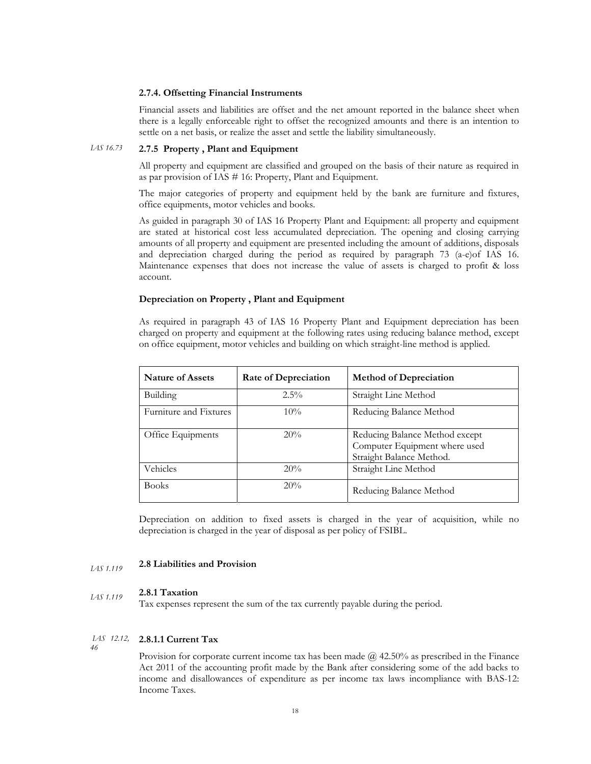### **2.7.4. Offsetting Financial Instruments**

Financial assets and liabilities are offset and the net amount reported in the balance sheet when there is a legally enforceable right to offset the recognized amounts and there is an intention to settle on a net basis, or realize the asset and settle the liability simultaneously.

# *IAS 16.73* **2.7.5 Property , Plant and Equipment**

All property and equipment are classified and grouped on the basis of their nature as required in as par provision of IAS # 16: Property, Plant and Equipment.

The major categories of property and equipment held by the bank are furniture and fixtures, office equipments, motor vehicles and books.

As guided in paragraph 30 of IAS 16 Property Plant and Equipment: all property and equipment are stated at historical cost less accumulated depreciation. The opening and closing carrying amounts of all property and equipment are presented including the amount of additions, disposals and depreciation charged during the period as required by paragraph 73 (a-e)of IAS 16. Maintenance expenses that does not increase the value of assets is charged to profit & loss account.

### **Depreciation on Property , Plant and Equipment**

As required in paragraph 43 of IAS 16 Property Plant and Equipment depreciation has been charged on property and equipment at the following rates using reducing balance method, except on office equipment, motor vehicles and building on which straight-line method is applied.

| <b>Nature of Assets</b> | <b>Rate of Depreciation</b> | <b>Method of Depreciation</b>                                                               |
|-------------------------|-----------------------------|---------------------------------------------------------------------------------------------|
| <b>Building</b>         | $2.5\%$                     | Straight Line Method                                                                        |
| Furniture and Fixtures  | $10\%$                      | Reducing Balance Method                                                                     |
| Office Equipments       | 20%                         | Reducing Balance Method except<br>Computer Equipment where used<br>Straight Balance Method. |
| Vehicles                | 20%                         | Straight Line Method                                                                        |
| <b>Books</b>            | 20%                         | Reducing Balance Method                                                                     |

Depreciation on addition to fixed assets is charged in the year of acquisition, while no depreciation is charged in the year of disposal as per policy of FSIBL.

# *IAS 1.119* **2.8 Liabilities and Provision**

### *IAS 1.119* **2.8.1 Taxation**

Tax expenses represent the sum of the tax currently payable during the period.

#### *IAS 12.12,*  **2.8.1.1 Current Tax**  *46*

Provision for corporate current income tax has been made  $\omega$  42.50% as prescribed in the Finance Act 2011 of the accounting profit made by the Bank after considering some of the add backs to income and disallowances of expenditure as per income tax laws incompliance with BAS-12: Income Taxes.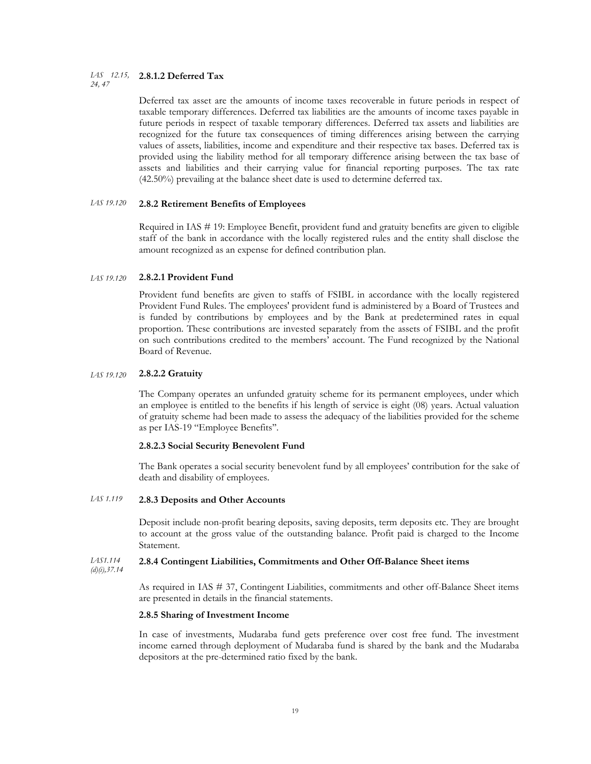# *IAS 12.15,*  **2.8.1.2 Deferred Tax**

*24, 47* 

Deferred tax asset are the amounts of income taxes recoverable in future periods in respect of taxable temporary differences. Deferred tax liabilities are the amounts of income taxes payable in future periods in respect of taxable temporary differences. Deferred tax assets and liabilities are recognized for the future tax consequences of timing differences arising between the carrying values of assets, liabilities, income and expenditure and their respective tax bases. Deferred tax is provided using the liability method for all temporary difference arising between the tax base of assets and liabilities and their carrying value for financial reporting purposes. The tax rate (42.50%) prevailing at the balance sheet date is used to determine deferred tax.

## *IAS 19.120* **2.8.2 Retirement Benefits of Employees**

Required in IAS # 19: Employee Benefit, provident fund and gratuity benefits are given to eligible staff of the bank in accordance with the locally registered rules and the entity shall disclose the amount recognized as an expense for defined contribution plan.

### *IAS 19.120* **2.8.2.1 Provident Fund**

Provident fund benefits are given to staffs of FSIBL in accordance with the locally registered Provident Fund Rules. The employees' provident fund is administered by a Board of Trustees and is funded by contributions by employees and by the Bank at predetermined rates in equal proportion. These contributions are invested separately from the assets of FSIBL and the profit on such contributions credited to the members' account. The Fund recognized by the National Board of Revenue.

### *IAS 19.120* **2.8.2.2 Gratuity**

The Company operates an unfunded gratuity scheme for its permanent employees, under which an employee is entitled to the benefits if his length of service is eight (08) years. Actual valuation of gratuity scheme had been made to assess the adequacy of the liabilities provided for the scheme as per IAS-19 "Employee Benefits''.

### **2.8.2.3 Social Security Benevolent Fund**

The Bank operates a social security benevolent fund by all employees' contribution for the sake of death and disability of employees.

# *IAS 1.119* **2.8.3 Deposits and Other Accounts**

Deposit include non-profit bearing deposits, saving deposits, term deposits etc. They are brought to account at the gross value of the outstanding balance. Profit paid is charged to the Income Statement.

### *IAS1.114 (d)(i),37.14* **2.8.4 Contingent Liabilities, Commitments and Other Off-Balance Sheet items**

As required in IAS # 37, Contingent Liabilities, commitments and other off-Balance Sheet items are presented in details in the financial statements.

### **2.8.5 Sharing of Investment Income**

In case of investments, Mudaraba fund gets preference over cost free fund. The investment income earned through deployment of Mudaraba fund is shared by the bank and the Mudaraba depositors at the pre-determined ratio fixed by the bank.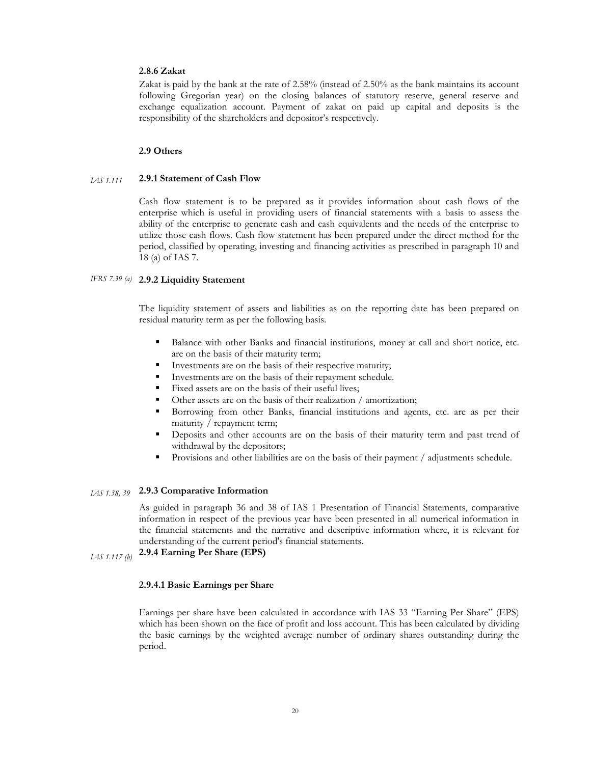### **2.8.6 Zakat**

Zakat is paid by the bank at the rate of 2.58% (instead of 2.50% as the bank maintains its account following Gregorian year) on the closing balances of statutory reserve, general reserve and exchange equalization account. Payment of zakat on paid up capital and deposits is the responsibility of the shareholders and depositor's respectively.

### **2.9 Others**

### *IAS 1.111* **2.9.1 Statement of Cash Flow**

Cash flow statement is to be prepared as it provides information about cash flows of the enterprise which is useful in providing users of financial statements with a basis to assess the ability of the enterprise to generate cash and cash equivalents and the needs of the enterprise to utilize those cash flows. Cash flow statement has been prepared under the direct method for the period, classified by operating, investing and financing activities as prescribed in paragraph 10 and 18 (a) of IAS 7.

### *IFRS 7.39 (a)* **2.9.2 Liquidity Statement**

The liquidity statement of assets and liabilities as on the reporting date has been prepared on residual maturity term as per the following basis.

- **Balance with other Banks and financial institutions, money at call and short notice, etc.** are on the basis of their maturity term;
- Investments are on the basis of their respective maturity;
- Investments are on the basis of their repayment schedule.
- Fixed assets are on the basis of their useful lives;
- Other assets are on the basis of their realization / amortization;
- Borrowing from other Banks, financial institutions and agents, etc. are as per their maturity / repayment term;
- **PEDE** Deposits and other accounts are on the basis of their maturity term and past trend of withdrawal by the depositors;
- Provisions and other liabilities are on the basis of their payment / adjustments schedule.

### *IAS 1.38, 39* **2.9.3 Comparative Information**

As guided in paragraph 36 and 38 of IAS 1 Presentation of Financial Statements, comparative information in respect of the previous year have been presented in all numerical information in the financial statements and the narrative and descriptive information where, it is relevant for understanding of the current period's financial statements.

# *IAS 1.117 (b)* **2.9.4 Earning Per Share (EPS)**

### **2.9.4.1 Basic Earnings per Share**

Earnings per share have been calculated in accordance with IAS 33 "Earning Per Share" (EPS) which has been shown on the face of profit and loss account. This has been calculated by dividing the basic earnings by the weighted average number of ordinary shares outstanding during the period.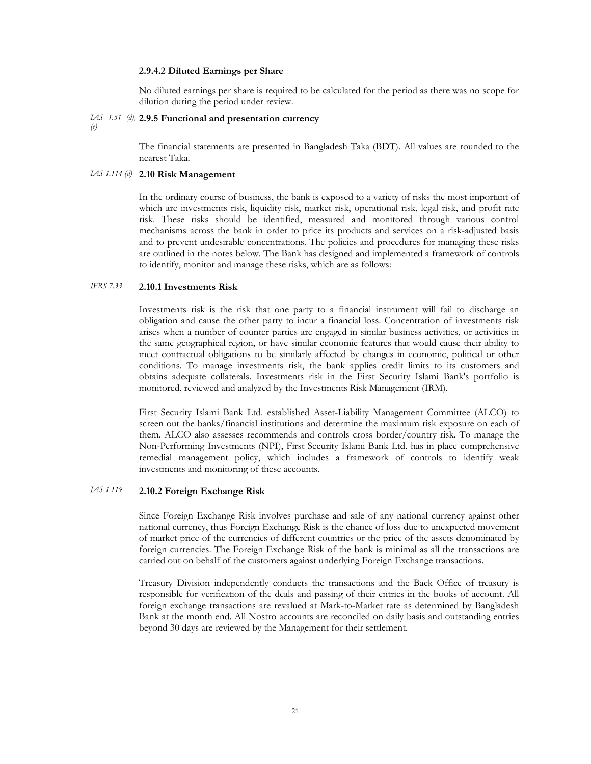### **2.9.4.2 Diluted Earnings per Share**

No diluted earnings per share is required to be calculated for the period as there was no scope for dilution during the period under review.

# *IAS 1.51 (d), (e)* **2.9.5 Functional and presentation currency**

The financial statements are presented in Bangladesh Taka (BDT). All values are rounded to the nearest Taka.

# *IAS 1.114 (d)* **2.10 Risk Management**

In the ordinary course of business, the bank is exposed to a variety of risks the most important of which are investments risk, liquidity risk, market risk, operational risk, legal risk, and profit rate risk. These risks should be identified, measured and monitored through various control mechanisms across the bank in order to price its products and services on a risk-adjusted basis and to prevent undesirable concentrations. The policies and procedures for managing these risks are outlined in the notes below. The Bank has designed and implemented a framework of controls to identify, monitor and manage these risks, which are as follows:

# *IFRS 7.33* **2.10.1 Investments Risk**

Investments risk is the risk that one party to a financial instrument will fail to discharge an obligation and cause the other party to incur a financial loss. Concentration of investments risk arises when a number of counter parties are engaged in similar business activities, or activities in the same geographical region, or have similar economic features that would cause their ability to meet contractual obligations to be similarly affected by changes in economic, political or other conditions. To manage investments risk, the bank applies credit limits to its customers and obtains adequate collaterals. Investments risk in the First Security Islami Bank's portfolio is monitored, reviewed and analyzed by the Investments Risk Management (IRM).

First Security Islami Bank Ltd. established Asset-Liability Management Committee (ALCO) to screen out the banks/financial institutions and determine the maximum risk exposure on each of them. ALCO also assesses recommends and controls cross border/country risk. To manage the Non-Performing Investments (NPI), First Security Islami Bank Ltd. has in place comprehensive remedial management policy, which includes a framework of controls to identify weak investments and monitoring of these accounts.

# *IAS 1.119* **2.10.2 Foreign Exchange Risk**

Since Foreign Exchange Risk involves purchase and sale of any national currency against other national currency, thus Foreign Exchange Risk is the chance of loss due to unexpected movement of market price of the currencies of different countries or the price of the assets denominated by foreign currencies. The Foreign Exchange Risk of the bank is minimal as all the transactions are carried out on behalf of the customers against underlying Foreign Exchange transactions.

Treasury Division independently conducts the transactions and the Back Office of treasury is responsible for verification of the deals and passing of their entries in the books of account. All foreign exchange transactions are revalued at Mark-to-Market rate as determined by Bangladesh Bank at the month end. All Nostro accounts are reconciled on daily basis and outstanding entries beyond 30 days are reviewed by the Management for their settlement.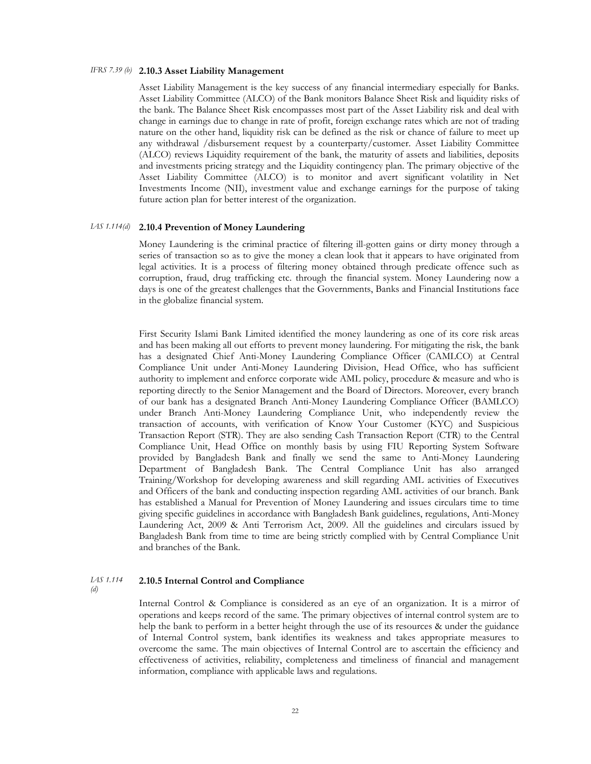### *IFRS 7.39 (b)* **2.10.3 Asset Liability Management**

Asset Liability Management is the key success of any financial intermediary especially for Banks. Asset Liability Committee (ALCO) of the Bank monitors Balance Sheet Risk and liquidity risks of the bank. The Balance Sheet Risk encompasses most part of the Asset Liability risk and deal with change in earnings due to change in rate of profit, foreign exchange rates which are not of trading nature on the other hand, liquidity risk can be defined as the risk or chance of failure to meet up any withdrawal /disbursement request by a counterparty/customer. Asset Liability Committee (ALCO) reviews Liquidity requirement of the bank, the maturity of assets and liabilities, deposits and investments pricing strategy and the Liquidity contingency plan. The primary objective of the Asset Liability Committee (ALCO) is to monitor and avert significant volatility in Net Investments Income (NII), investment value and exchange earnings for the purpose of taking future action plan for better interest of the organization.

# *IAS 1.114(d)* **2.10.4 Prevention of Money Laundering**

Money Laundering is the criminal practice of filtering ill-gotten gains or dirty money through a series of transaction so as to give the money a clean look that it appears to have originated from legal activities. It is a process of filtering money obtained through predicate offence such as corruption, fraud, drug trafficking etc. through the financial system. Money Laundering now a days is one of the greatest challenges that the Governments, Banks and Financial Institutions face in the globalize financial system.

First Security Islami Bank Limited identified the money laundering as one of its core risk areas and has been making all out efforts to prevent money laundering. For mitigating the risk, the bank has a designated Chief Anti-Money Laundering Compliance Officer (CAMLCO) at Central Compliance Unit under Anti-Money Laundering Division, Head Office, who has sufficient authority to implement and enforce corporate wide AML policy, procedure & measure and who is reporting directly to the Senior Management and the Board of Directors. Moreover, every branch of our bank has a designated Branch Anti-Money Laundering Compliance Officer (BAMLCO) under Branch Anti-Money Laundering Compliance Unit, who independently review the transaction of accounts, with verification of Know Your Customer (KYC) and Suspicious Transaction Report (STR). They are also sending Cash Transaction Report (CTR) to the Central Compliance Unit, Head Office on monthly basis by using FIU Reporting System Software provided by Bangladesh Bank and finally we send the same to Anti-Money Laundering Department of Bangladesh Bank. The Central Compliance Unit has also arranged Training/Workshop for developing awareness and skill regarding AML activities of Executives and Officers of the bank and conducting inspection regarding AML activities of our branch. Bank has established a Manual for Prevention of Money Laundering and issues circulars time to time giving specific guidelines in accordance with Bangladesh Bank guidelines, regulations, Anti-Money Laundering Act, 2009 & Anti Terrorism Act, 2009. All the guidelines and circulars issued by Bangladesh Bank from time to time are being strictly complied with by Central Compliance Unit and branches of the Bank.

### *IAS 1.114 (d)* **2.10.5 Internal Control and Compliance**

Internal Control & Compliance is considered as an eye of an organization. It is a mirror of operations and keeps record of the same. The primary objectives of internal control system are to help the bank to perform in a better height through the use of its resources & under the guidance of Internal Control system, bank identifies its weakness and takes appropriate measures to overcome the same. The main objectives of Internal Control are to ascertain the efficiency and effectiveness of activities, reliability, completeness and timeliness of financial and management information, compliance with applicable laws and regulations.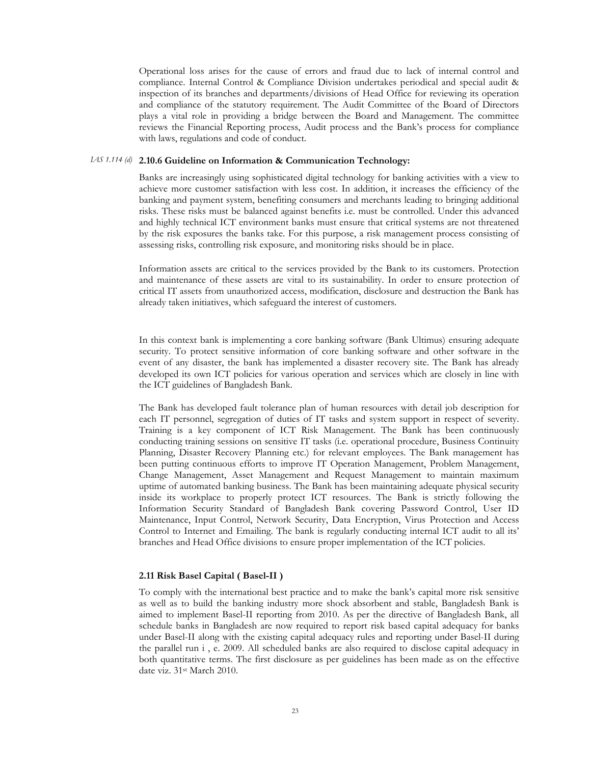Operational loss arises for the cause of errors and fraud due to lack of internal control and compliance. Internal Control & Compliance Division undertakes periodical and special audit & inspection of its branches and departments/divisions of Head Office for reviewing its operation and compliance of the statutory requirement. The Audit Committee of the Board of Directors plays a vital role in providing a bridge between the Board and Management. The committee reviews the Financial Reporting process, Audit process and the Bank's process for compliance with laws, regulations and code of conduct.

### *IAS 1.114 (d)* **2.10.6 Guideline on Information & Communication Technology:**

Banks are increasingly using sophisticated digital technology for banking activities with a view to achieve more customer satisfaction with less cost. In addition, it increases the efficiency of the banking and payment system, benefiting consumers and merchants leading to bringing additional risks. These risks must be balanced against benefits i.e. must be controlled. Under this advanced and highly technical ICT environment banks must ensure that critical systems are not threatened by the risk exposures the banks take. For this purpose, a risk management process consisting of assessing risks, controlling risk exposure, and monitoring risks should be in place.

Information assets are critical to the services provided by the Bank to its customers. Protection and maintenance of these assets are vital to its sustainability. In order to ensure protection of critical IT assets from unauthorized access, modification, disclosure and destruction the Bank has already taken initiatives, which safeguard the interest of customers.

In this context bank is implementing a core banking software (Bank Ultimus) ensuring adequate security. To protect sensitive information of core banking software and other software in the event of any disaster, the bank has implemented a disaster recovery site. The Bank has already developed its own ICT policies for various operation and services which are closely in line with the ICT guidelines of Bangladesh Bank.

The Bank has developed fault tolerance plan of human resources with detail job description for each IT personnel, segregation of duties of IT tasks and system support in respect of severity. Training is a key component of ICT Risk Management. The Bank has been continuously conducting training sessions on sensitive IT tasks (i.e. operational procedure, Business Continuity Planning, Disaster Recovery Planning etc.) for relevant employees. The Bank management has been putting continuous efforts to improve IT Operation Management, Problem Management, Change Management, Asset Management and Request Management to maintain maximum uptime of automated banking business. The Bank has been maintaining adequate physical security inside its workplace to properly protect ICT resources. The Bank is strictly following the Information Security Standard of Bangladesh Bank covering Password Control, User ID Maintenance, Input Control, Network Security, Data Encryption, Virus Protection and Access Control to Internet and Emailing. The bank is regularly conducting internal ICT audit to all its' branches and Head Office divisions to ensure proper implementation of the ICT policies.

### **2.11 Risk Basel Capital ( Basel-II )**

To comply with the international best practice and to make the bank's capital more risk sensitive as well as to build the banking industry more shock absorbent and stable, Bangladesh Bank is aimed to implement Basel-II reporting from 2010. As per the directive of Bangladesh Bank, all schedule banks in Bangladesh are now required to report risk based capital adequacy for banks under Basel-II along with the existing capital adequacy rules and reporting under Basel-II during the parallel run i , e. 2009. All scheduled banks are also required to disclose capital adequacy in both quantitative terms. The first disclosure as per guidelines has been made as on the effective date viz. 31st March 2010.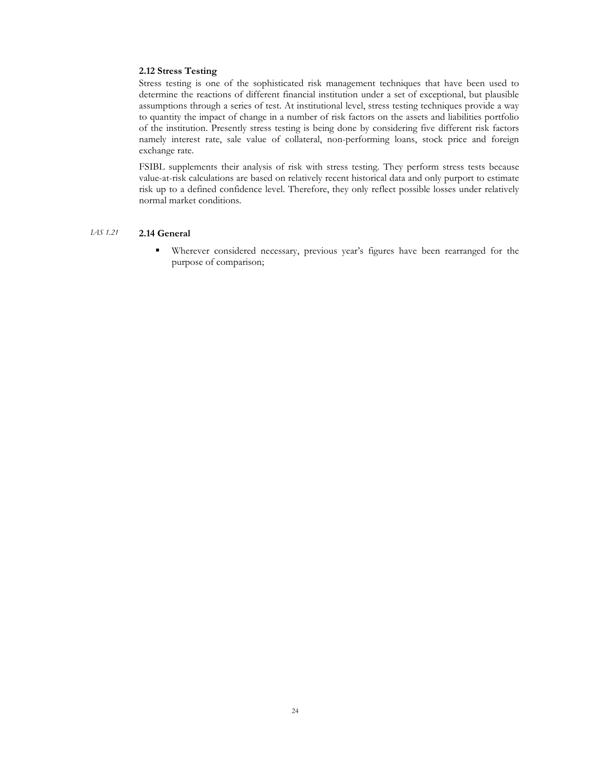### **2.12 Stress Testing**

Stress testing is one of the sophisticated risk management techniques that have been used to determine the reactions of different financial institution under a set of exceptional, but plausible assumptions through a series of test. At institutional level, stress testing techniques provide a way to quantity the impact of change in a number of risk factors on the assets and liabilities portfolio of the institution. Presently stress testing is being done by considering five different risk factors namely interest rate, sale value of collateral, non-performing loans, stock price and foreign exchange rate.

FSIBL supplements their analysis of risk with stress testing. They perform stress tests because value-at-risk calculations are based on relatively recent historical data and only purport to estimate risk up to a defined confidence level. Therefore, they only reflect possible losses under relatively normal market conditions.

## *IAS 1.21* **2.14 General**

 Wherever considered necessary, previous year's figures have been rearranged for the purpose of comparison;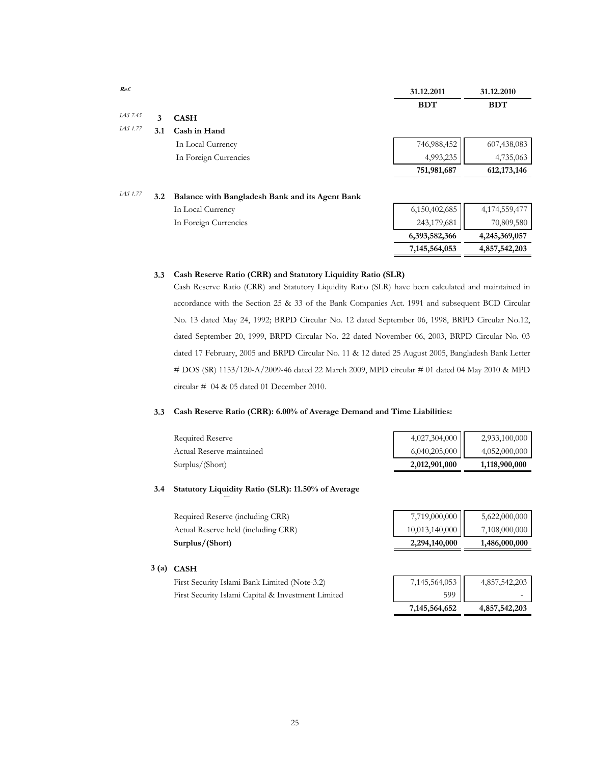| Ref.     |                  |                                                 | 31.12.2011    | 31.12.2010    |
|----------|------------------|-------------------------------------------------|---------------|---------------|
|          |                  |                                                 | <b>BDT</b>    | <b>BDT</b>    |
| LAS 7.45 | 3                | <b>CASH</b>                                     |               |               |
| LAS 1.77 | 3.1              | Cash in Hand                                    |               |               |
|          |                  | In Local Currency                               | 746,988,452   | 607,438,083   |
|          |                  | In Foreign Currencies                           | 4,993,235     | 4,735,063     |
|          |                  |                                                 | 751,981,687   | 612, 173, 146 |
|          |                  |                                                 |               |               |
| LAS 1.77 | $3.2\phantom{0}$ | Balance with Bangladesh Bank and its Agent Bank |               |               |
|          |                  | In Local Currency                               | 6,150,402,685 | 4,174,559,477 |
|          |                  | In Foreign Currencies                           | 243,179,681   | 70,809,580    |

### **3.3 Cash Reserve Ratio (CRR) and Statutory Liquidity Ratio (SLR)**

Cash Reserve Ratio (CRR) and Statutory Liquidity Ratio (SLR) have been calculated and maintained in accordance with the Section 25 & 33 of the Bank Companies Act. 1991 and subsequent BCD Circular No. 13 dated May 24, 1992; BRPD Circular No. 12 dated September 06, 1998, BRPD Circular No.12, dated September 20, 1999, BRPD Circular No. 22 dated November 06, 2003, BRPD Circular No. 03 dated 17 February, 2005 and BRPD Circular No. 11 & 12 dated 25 August 2005, Bangladesh Bank Letter # DOS (SR) 1153/120-A/2009-46 dated 22 March 2009, MPD circular # 01 dated 04 May 2010 & MPD circular # 04 & 05 dated 01 December 2010.

### **3.3 Cash Reserve Ratio (CRR): 6.00% of Average Demand and Time Liabilities:**

| Surplus/(Short)           | 2,012,901,000 | 1,118,900,000 |
|---------------------------|---------------|---------------|
| Actual Reserve maintained | 6,040,205,000 | 4,052,000,000 |
| Required Reserve          | 4,027,304,000 | 2,933,100,000 |

### **3.4 Statutory Liquidity Ratio (SLR): 11.50% of Average**

| Surplus/(Short)                     | 2,294,140,000  | 1,486,000,000 |
|-------------------------------------|----------------|---------------|
| Actual Reserve held (including CRR) | 10,013,140,000 | 7,108,000,000 |
| Required Reserve (including CRR)    | 7,719,000,000  | 5,622,000,000 |

### **3 (a) CASH**

First Security Islami Bank Limited (Note-3.2) First Security Islami Capital & Investment Limited

| 7,145,564,053    | 4,857,542,203 |
|------------------|---------------|
| 599              |               |
| 7, 145, 564, 652 | 4,857,542,203 |

 **4,245,369,057 6,393,582,366 4,857,542,203 7,145,564,053**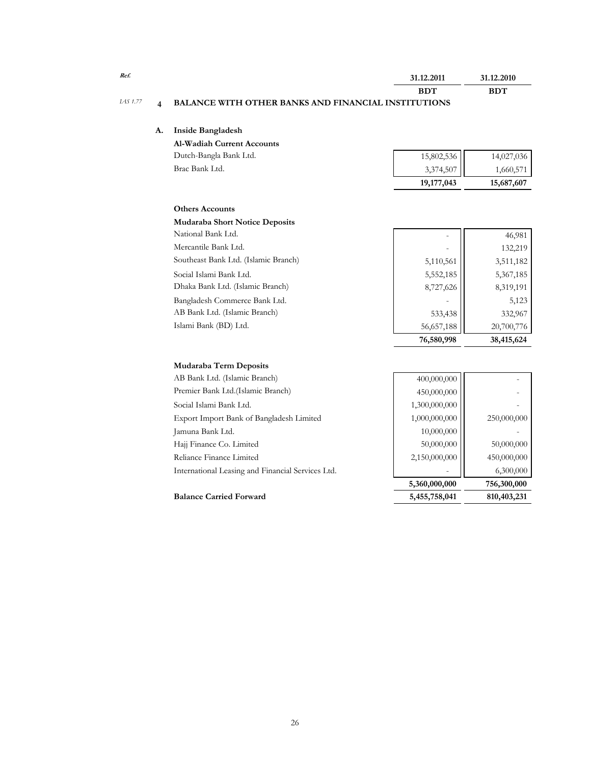| Ref.     |                                                                 | 31.12.2011    | 31.12.2010  |
|----------|-----------------------------------------------------------------|---------------|-------------|
|          |                                                                 | <b>BDT</b>    | <b>BDT</b>  |
| LAS 1.77 | <b>BALANCE WITH OTHER BANKS AND FINANCIAL INSTITUTIONS</b><br>4 |               |             |
|          |                                                                 |               |             |
|          | <b>Inside Bangladesh</b><br>A.                                  |               |             |
|          | <b>Al-Wadiah Current Accounts</b>                               |               |             |
|          | Dutch-Bangla Bank Ltd.                                          | 15,802,536    | 14,027,036  |
|          | Brac Bank Ltd.                                                  | 3,374,507     | 1,660,571   |
|          |                                                                 | 19,177,043    | 15,687,607  |
|          | <b>Others Accounts</b>                                          |               |             |
|          | <b>Mudaraba Short Notice Deposits</b>                           |               |             |
|          | National Bank Ltd.                                              |               | 46,981      |
|          | Mercantile Bank Ltd.                                            |               | 132,219     |
|          | Southeast Bank Ltd. (Islamic Branch)                            | 5,110,561     | 3,511,182   |
|          | Social Islami Bank Ltd.                                         | 5,552,185     | 5,367,185   |
|          | Dhaka Bank Ltd. (Islamic Branch)                                | 8,727,626     | 8,319,191   |
|          | Bangladesh Commerce Bank Ltd.                                   |               | 5,123       |
|          | AB Bank Ltd. (Islamic Branch)                                   | 533,438       | 332,967     |
|          | Islami Bank (BD) Ltd.                                           | 56,657,188    | 20,700,776  |
|          |                                                                 | 76,580,998    | 38,415,624  |
|          |                                                                 |               |             |
|          | Mudaraba Term Deposits                                          |               |             |
|          | AB Bank Ltd. (Islamic Branch)                                   | 400,000,000   |             |
|          | Premier Bank Ltd.(Islamic Branch)                               | 450,000,000   |             |
|          | Social Islami Bank Ltd.                                         | 1,300,000,000 |             |
|          | Export Import Bank of Bangladesh Limited                        | 1,000,000,000 | 250,000,000 |
|          | Jamuna Bank Ltd.                                                | 10,000,000    |             |
|          | Hajj Finance Co. Limited                                        | 50,000,000    | 50,000,000  |
|          | Reliance Finance Limited                                        | 2,150,000,000 | 450,000,000 |
|          | International Leasing and Financial Services Ltd.               |               | 6,300,000   |
|          |                                                                 | 5,360,000,000 | 756,300,000 |
|          | <b>Balance Carried Forward</b>                                  | 5,455,758,041 | 810,403,231 |

26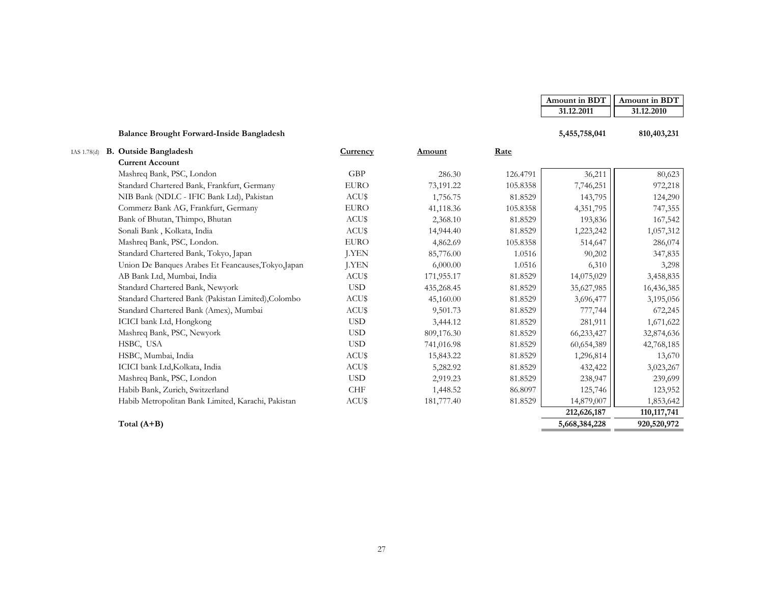| Amount in BDT | Amount in BDT |
|---------------|---------------|
| 31 12 2011    | 31 12 2010    |

**Balance Brought Forward-Inside Bangladesh 5,455,758,041 810,403,231**

| IAS 1.78(d) | <b>B.</b> Outside Bangladesh                        | Currency    | <b>Amount</b> | Rate     |               |               |
|-------------|-----------------------------------------------------|-------------|---------------|----------|---------------|---------------|
|             | <b>Current Account</b>                              |             |               |          |               |               |
|             | Mashreq Bank, PSC, London                           | <b>GBP</b>  | 286.30        | 126.4791 | 36,211        | 80,623        |
|             | Standard Chartered Bank, Frankfurt, Germany         | <b>EURO</b> | 73,191.22     | 105.8358 | 7,746,251     | 972,218       |
|             | NIB Bank (NDLC - IFIC Bank Ltd), Pakistan           | ACU\$       | 1,756.75      | 81.8529  | 143,795       | 124,290       |
|             | Commerz Bank AG, Frankfurt, Germany                 | <b>EURO</b> | 41,118.36     | 105.8358 | 4,351,795     | 747,355       |
|             | Bank of Bhutan, Thimpo, Bhutan                      | ACU\$       | 2,368.10      | 81.8529  | 193,836       | 167,542       |
|             | Sonali Bank, Kolkata, India                         | ACU\$       | 14,944.40     | 81.8529  | 1,223,242     | 1,057,312     |
|             | Mashreq Bank, PSC, London.                          | <b>EURO</b> | 4,862.69      | 105.8358 | 514,647       | 286,074       |
|             | Standard Chartered Bank, Tokyo, Japan               | J.YEN       | 85,776.00     | 1.0516   | 90,202        | 347,835       |
|             | Union De Banques Arabes Et Feancauses, Tokyo, Japan | J.YEN       | 6,000.00      | 1.0516   | 6,310         | 3,298         |
|             | AB Bank Ltd, Mumbai, India                          | ACU\$       | 171,955.17    | 81.8529  | 14,075,029    | 3,458,835     |
|             | Standard Chartered Bank, Newyork                    | <b>USD</b>  | 435,268.45    | 81.8529  | 35,627,985    | 16,436,385    |
|             | Standard Chartered Bank (Pakistan Limited), Colombo | ACU\$       | 45,160.00     | 81.8529  | 3,696,477     | 3,195,056     |
|             | Standard Chartered Bank (Amex), Mumbai              | ACU\$       | 9,501.73      | 81.8529  | 777,744       | 672,245       |
|             | ICICI bank Ltd, Hongkong                            | <b>USD</b>  | 3,444.12      | 81.8529  | 281,911       | 1,671,622     |
|             | Mashreq Bank, PSC, Newyork                          | <b>USD</b>  | 809,176.30    | 81.8529  | 66,233,427    | 32,874,636    |
|             | HSBC, USA                                           | <b>USD</b>  | 741,016.98    | 81.8529  | 60,654,389    | 42,768,185    |
|             | HSBC, Mumbai, India                                 | ACU\$       | 15,843.22     | 81.8529  | 1,296,814     | 13,670        |
|             | ICICI bank Ltd, Kolkata, India                      | ACU\$       | 5,282.92      | 81.8529  | 432,422       | 3,023,267     |
|             | Mashreq Bank, PSC, London                           | <b>USD</b>  | 2,919.23      | 81.8529  | 238,947       | 239,699       |
|             | Habib Bank, Zurich, Switzerland                     | <b>CHF</b>  | 1,448.52      | 86.8097  | 125,746       | 123,952       |
|             | Habib Metropolitan Bank Limited, Karachi, Pakistan  | ACU\$       | 181,777.40    | 81.8529  | 14,879,007    | 1,853,642     |
|             |                                                     |             |               |          | 212,626,187   | 110, 117, 741 |
|             | Total $(A+B)$                                       |             |               |          | 5,668,384,228 | 920,520,972   |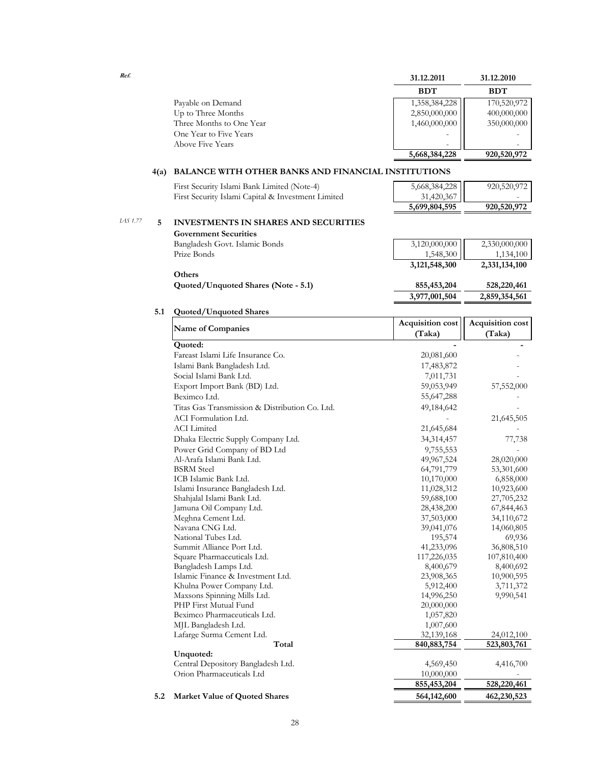| <b>BDT</b><br>170,520,972<br>400,000,000<br>350,000,000<br>920,520,972 |  |  |  |  |
|------------------------------------------------------------------------|--|--|--|--|
|                                                                        |  |  |  |  |
|                                                                        |  |  |  |  |
|                                                                        |  |  |  |  |
|                                                                        |  |  |  |  |
|                                                                        |  |  |  |  |
|                                                                        |  |  |  |  |
|                                                                        |  |  |  |  |
| <b>BALANCE WITH OTHER BANKS AND FINANCIAL INSTITUTIONS</b>             |  |  |  |  |
| 920,520,972                                                            |  |  |  |  |
|                                                                        |  |  |  |  |
| 920,520,972                                                            |  |  |  |  |
|                                                                        |  |  |  |  |
|                                                                        |  |  |  |  |
| 2,330,000,000                                                          |  |  |  |  |
| 1,134,100                                                              |  |  |  |  |
| 2,331,134,100                                                          |  |  |  |  |
|                                                                        |  |  |  |  |
| 528,220,461                                                            |  |  |  |  |
| 2,859,354,561                                                          |  |  |  |  |
|                                                                        |  |  |  |  |

# **5.1 Quoted/Unquoted Shares**

|                                                | Acquisition cost | Acquisition cost |
|------------------------------------------------|------------------|------------------|
| Name of Companies                              | (Taka)           | (Taka)           |
| Quoted:                                        |                  |                  |
| Fareast Islami Life Insurance Co.              | 20,081,600       |                  |
| Islami Bank Bangladesh Ltd.                    | 17,483,872       |                  |
| Social Islami Bank Ltd.                        | 7,011,731        |                  |
| Export Import Bank (BD) Ltd.                   | 59,053,949       | 57,552,000       |
| Beximco Ltd.                                   | 55,647,288       |                  |
| Titas Gas Transmission & Distribution Co. Ltd. | 49,184,642       |                  |
| ACI Formulation Ltd.                           |                  | 21,645,505       |
| <b>ACI</b> Limited                             | 21,645,684       |                  |
| Dhaka Electric Supply Company Ltd.             | 34, 314, 457     | 77,738           |
| Power Grid Company of BD Ltd                   | 9,755,553        |                  |
| Al-Arafa Islami Bank Ltd.                      | 49,967,524       | 28,020,000       |
| <b>BSRM</b> Steel                              | 64,791,779       | 53,301,600       |
| ICB Islamic Bank Ltd.                          | 10,170,000       | 6,858,000        |
| Islami Insurance Bangladesh Ltd.               | 11,028,312       | 10,923,600       |
| Shahjalal Islami Bank Ltd.                     | 59,688,100       | 27,705,232       |
| Jamuna Oil Company Ltd.                        | 28,438,200       | 67,844,463       |
| Meghna Cement Ltd.                             | 37,503,000       | 34,110,672       |
| Navana CNG Ltd.                                | 39,041,076       | 14,060,805       |
| National Tubes Ltd.                            | 195,574          | 69,936           |
| Summit Alliance Port Ltd.                      | 41,233,096       | 36,808,510       |
| Square Pharmaceuticals Ltd.                    | 117,226,035      | 107,810,400      |
| Bangladesh Lamps Ltd.                          | 8,400,679        | 8,400,692        |
| Islamic Finance & Investment Ltd.              | 23,908,365       | 10,900,595       |
| Khulna Power Company Ltd.                      | 5,912,400        | 3,711,372        |
| Maxsons Spinning Mills Ltd.                    | 14,996,250       | 9,990,541        |
| PHP First Mutual Fund                          | 20,000,000       |                  |
| Beximco Pharmaceuticals Ltd.                   | 1,057,820        |                  |
| MJL Bangladesh Ltd.                            | 1,007,600        |                  |
| Lafarge Surma Cement Ltd.                      | 32,139,168       | 24,012,100       |
| Total                                          | 840, 883, 754    | 523,803,761      |
| Unquoted:                                      |                  |                  |
| Central Depository Bangladesh Ltd.             | 4,569,450        | 4,416,700        |
| Orion Pharmaceuticals Ltd                      | 10,000,000       |                  |
|                                                | 855,453,204      | 528,220,461      |
| Market Value of Quoted Shares                  | 564,142,600      | 462,230,523      |
|                                                |                  |                  |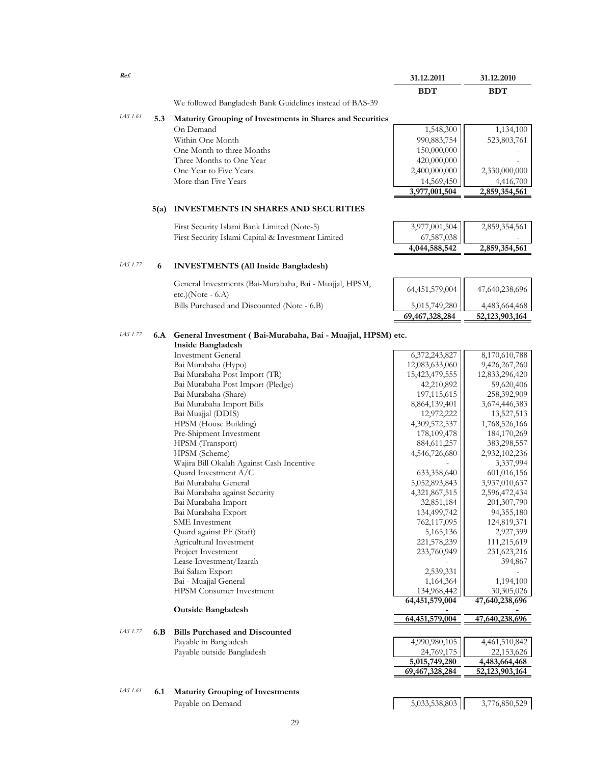| LAS 1.61 | 5.3  | Maturity Grouping of Investments in Shares and Securities       |                               |                              |
|----------|------|-----------------------------------------------------------------|-------------------------------|------------------------------|
|          |      | On Demand                                                       | 1,548,300                     | 1,134,100                    |
|          |      | Within One Month                                                | 990,883,754                   | 523,803,761                  |
|          |      | One Month to three Months                                       | 150,000,000                   |                              |
|          |      | Three Months to One Year                                        | 420,000,000                   |                              |
|          |      | One Year to Five Years                                          | 2,400,000,000                 | 2,330,000,000                |
|          |      | More than Five Years                                            | 14,569,450                    | 4,416,700                    |
|          |      |                                                                 | 3,977,001,504                 | 2,859,354,561                |
|          |      |                                                                 |                               |                              |
|          | 5(a) | <b>INVESTMENTS IN SHARES AND SECURITIES</b>                     |                               |                              |
|          |      | First Security Islami Bank Limited (Note-5)                     | 3,977,001,504                 | 2,859,354,561                |
|          |      | First Security Islami Capital & Investment Limited              | 67,587,038                    |                              |
|          |      |                                                                 | 4,044,588,542                 | 2,859,354,561                |
| LAS 1.77 |      |                                                                 |                               |                              |
|          | 6    | <b>INVESTMENTS</b> (All Inside Bangladesh)                      |                               |                              |
|          |      | General Investments (Bai-Murabaha, Bai - Muajjal, HPSM,         | 64,451,579,004                | 47,640,238,696               |
|          |      | $etc.)(Note - 6.A)$                                             |                               |                              |
|          |      | Bills Purchased and Discounted (Note - 6.B)                     | 5,015,749,280                 | 4,483,664,468                |
|          |      |                                                                 | 69,467,328,284                | 52, 123, 903, 164            |
| LAS 1.77 |      | 6.A General Investment (Bai-Murabaha, Bai - Muajjal, HPSM) etc. |                               |                              |
|          |      | Inside Bangladesh                                               |                               |                              |
|          |      | <b>Investment General</b>                                       | 6,372,243,827                 | 8,170,610,788                |
|          |      | Bai Murabaha (Hypo)                                             | 12,083,633,060                | 9,426,267,260                |
|          |      | Bai Murabaha Post Import (TR)                                   | 15,423,479,555                | 12,833,296,420               |
|          |      | Bai Murabaha Post Import (Pledge)                               | 42,210,892                    | 59,620,406                   |
|          |      | Bai Murabaha (Share)                                            | 197, 115, 615                 | 258,392,909                  |
|          |      | Bai Murabaha Import Bills                                       | 8,864,139,401                 | 3,674,446,383                |
|          |      | Bai Muajjal (DDIS)                                              | 12,972,222                    | 13,527,513                   |
|          |      | HPSM (House Building)                                           | 4,309,572,537                 | 1,768,526,166                |
|          |      | Pre-Shipment Investment                                         | 178, 109, 478                 | 184,170,269                  |
|          |      | HPSM (Transport)                                                | 884, 611, 257                 | 383,298,557                  |
|          |      | HPSM (Scheme)                                                   | 4,546,726,680                 | 2,932,102,236                |
|          |      | Wajira Bill Okalah Against Cash Incentive                       |                               | 3,337,994                    |
|          |      | Quard Investment A/C                                            | 633,358,640                   | 601,016,156                  |
|          |      | Bai Murabaha General                                            | 5,052,893,843                 | 3,937,010,637                |
|          |      | Bai Murabaha against Security                                   | 4,321,867,515                 | 2,596,472,434                |
|          |      | Bai Murabaha Import                                             | 32,851,184                    | 201, 307, 790                |
|          |      | Bai Murabaha Export                                             | 134,499,742                   | 94,355,180                   |
|          |      | <b>SME</b> Investment                                           | 762,117,095                   | 124,819,371                  |
|          |      | Quard against PF (Staff)                                        | 5,165,136                     | 2,927,399                    |
|          |      | Agricultural Investment                                         | 221,578,239                   | 111,215,619                  |
|          |      | Project Investment                                              | 233,760,949                   | 231,623,216                  |
|          |      | Lease Investment/Izarah                                         |                               | 394,867                      |
|          |      | Bai Salam Export                                                | 2,539,331                     |                              |
|          |      | Bai - Muajjal General                                           | 1,164,364                     | 1,194,100                    |
|          |      | HPSM Consumer Investment                                        | 134,968,442<br>64,451,579,004 | 30,305,026<br>47,640,238,696 |
|          |      | <b>Outside Bangladesh</b>                                       |                               |                              |
|          |      |                                                                 | 64,451,579,004                | <u>47,640,238,696</u>        |
| LAS 1.77 | 6.B  | <b>Bills Purchased and Discounted</b>                           |                               |                              |
|          |      | Payable in Bangladesh                                           | 4,990,980,105                 | 4,461,510,842                |
|          |      | Payable outside Bangladesh                                      | 24,769,175                    | 22,153,626                   |
|          |      |                                                                 | 5,015,749,280                 | 4,483,664,468                |
|          |      |                                                                 | 69, 467, 328, 284             | 52,123,903,164               |
| LAS 1.61 | 6.1  |                                                                 |                               |                              |
|          |      | <b>Maturity Grouping of Investments</b>                         |                               |                              |
|          |      | Payable on Demand                                               | 5,033,538,803                 | 3,776,850,529                |
|          |      | 29                                                              |                               |                              |

We followed Bangladesh Bank Guidelines instead of BAS-39

**BDT BDT**

**Ref. 31.12.2011 31.12.2010**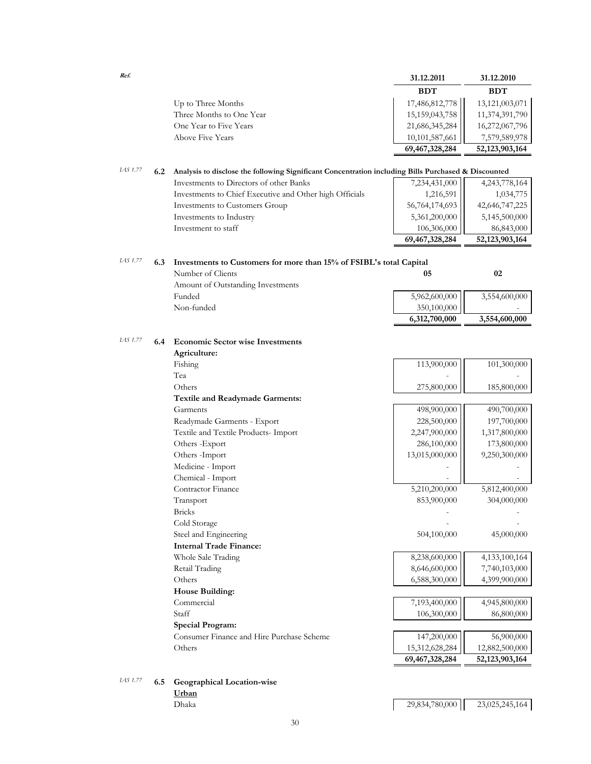| Ref.                     | 31.12.2011        | 31.12.2010        |
|--------------------------|-------------------|-------------------|
|                          | <b>BDT</b>        | <b>BDT</b>        |
| Up to Three Months       | 17,486,812,778    | 13, 121, 003, 071 |
| Three Months to One Year | 15, 159, 043, 758 | 11,374,391,790    |
| One Year to Five Years   | 21,686,345,284    | 16,272,067,796    |
| Above Five Years         | 10,101,587,661    | 7,579,589,978     |
|                          | 69, 467, 328, 284 | 52, 123, 903, 164 |

# *IAS 1.77* **6.2 Analysis to disclose the following Significant Concentration including Bills Purchased & Discounted**

|                                                         | 69, 467, 328, 284 | 52, 123, 903, 164 |
|---------------------------------------------------------|-------------------|-------------------|
| Investment to staff                                     | 106,306,000       | 86,843,000        |
| Investments to Industry                                 | 5,361,200,000     | 5,145,500,000     |
| Investments to Customers Group                          | 56,764,174,693    | 42, 646, 747, 225 |
| Investments to Chief Executive and Other high Officials | 1,216,591         | 1,034,775         |
| Investments to Directors of other Banks                 | 7,234,431,000     | 4, 243, 778, 164  |

# *IAS 1.77* **6.3 Investments to Customers for more than 15% of FSIBL's total Capital**

| Number of Clients                 | 05            | 02            |
|-----------------------------------|---------------|---------------|
| Amount of Outstanding Investments |               |               |
| Funded                            | 5,962,600,000 | 3,554,600,000 |
| Non-funded                        | 350,100,000   |               |
|                                   | 6,312,700,000 | 3,554,600,000 |

# *IAS 1.77* **6.4 Economic Sector wise Investments**

| Agriculture:                              |                |                |
|-------------------------------------------|----------------|----------------|
| Fishing                                   | 113,900,000    | 101,300,000    |
| Tea                                       |                |                |
| Others                                    | 275,800,000    | 185,800,000    |
| <b>Textile and Readymade Garments:</b>    |                |                |
| Garments                                  | 498,900,000    | 490,700,000    |
| Readymade Garments - Export               | 228,500,000    | 197,700,000    |
| Textile and Textile Products- Import      | 2,247,900,000  | 1,317,800,000  |
| Others -Export                            | 286,100,000    | 173,800,000    |
| Others -Import                            | 13,015,000,000 | 9,250,300,000  |
| Medicine - Import                         |                |                |
| Chemical - Import                         |                |                |
| Contractor Finance                        | 5,210,200,000  | 5,812,400,000  |
| Transport                                 | 853,900,000    | 304,000,000    |
| <b>Bricks</b>                             |                |                |
| Cold Storage                              |                |                |
| Steel and Engineering                     | 504,100,000    | 45,000,000     |
| <b>Internal Trade Finance:</b>            |                |                |
| Whole Sale Trading                        | 8,238,600,000  | 4,133,100,164  |
| Retail Trading                            | 8,646,600,000  | 7,740,103,000  |
| Others                                    | 6,588,300,000  | 4,399,900,000  |
| House Building:                           |                |                |
| Commercial                                | 7,193,400,000  | 4,945,800,000  |
| Staff                                     | 106,300,000    | 86,800,000     |
| <b>Special Program:</b>                   |                |                |
| Consumer Finance and Hire Purchase Scheme | 147,200,000    | 56,900,000     |
| Others                                    | 15,312,628,284 | 12,882,500,000 |
|                                           | 69,467,328,284 | 52,123,903,164 |
| <b>Geographical Location-wise</b>         |                |                |
| Urban                                     |                |                |
|                                           |                |                |

# *IAS 1.77* 6.

Dhaka 29,834,780,000 23,025,245,164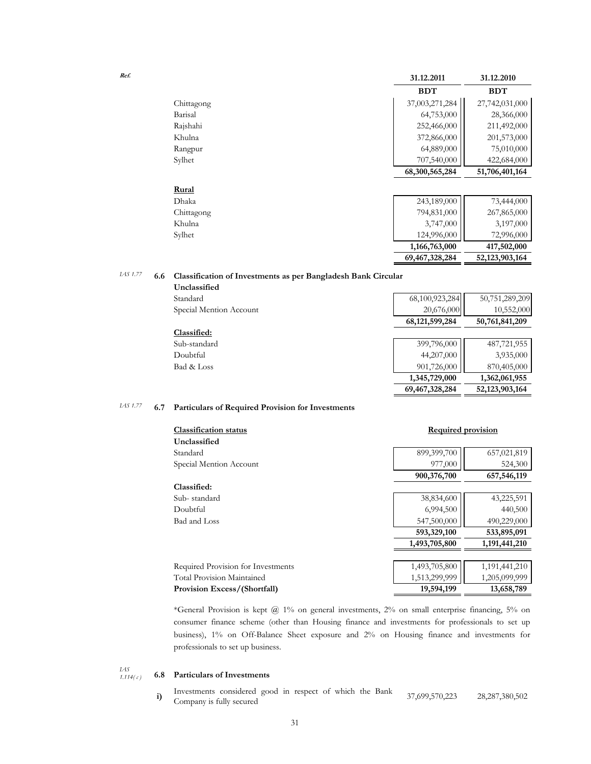| Ref. |            | 31.12.2011     | 31.12.2010        |
|------|------------|----------------|-------------------|
|      |            | <b>BDT</b>     | <b>BDT</b>        |
|      | Chittagong | 37,003,271,284 | 27,742,031,000    |
|      | Barisal    | 64,753,000     | 28,366,000        |
|      | Rajshahi   | 252,466,000    | 211,492,000       |
|      | Khulna     | 372,866,000    | 201,573,000       |
|      | Rangpur    | 64,889,000     | 75,010,000        |
|      | Sylhet     | 707,540,000    | 422,684,000       |
|      |            | 68,300,565,284 | 51,706,401,164    |
|      | Rural      |                |                   |
|      | Dhaka      | 243,189,000    | 73,444,000        |
|      | Chittagong | 794,831,000    | 267,865,000       |
|      | Khulna     | 3,747,000      | 3,197,000         |
|      | Sylhet     | 124,996,000    | 72,996,000        |
|      |            | 1,166,763,000  | 417,502,000       |
|      |            | 69,467,328,284 | 52, 123, 903, 164 |
|      |            |                |                   |

# *IAS 1.77* **6.6 Classification of Investments as per Bangladesh Bank Circular**

| Unclassified            |                   |                |
|-------------------------|-------------------|----------------|
| Standard                | 68,100,923,284    | 50,751,289,209 |
| Special Mention Account | 20,676,000        | 10,552,000     |
|                         | 68, 121, 599, 284 | 50,761,841,209 |
| Classified:             |                   |                |
| Sub-standard            | 399,796,000       | 487,721,955    |
| Doubtful                | 44,207,000        | 3,935,000      |
| Bad & Loss              | 901,726,000       | 870,405,000    |
|                         | 1,345,729,000     | 1,362,061,955  |
|                         | 69,467,328,284    | 52,123,903,164 |

### *IAS 1.77* **6.7 Particulars of Required Provision for Investments**

| <b>Classification status</b>        |               | <b>Required provision</b> |  |
|-------------------------------------|---------------|---------------------------|--|
| Unclassified                        |               |                           |  |
| Standard                            | 899,399,700   | 657,021,819               |  |
| Special Mention Account             | 977,000       | 524,300                   |  |
|                                     | 900,376,700   | 657,546,119               |  |
| Classified:                         |               |                           |  |
| Sub-standard                        | 38,834,600    | 43,225,591                |  |
| Doubtful                            | 6,994,500     | 440,500                   |  |
| Bad and Loss                        | 547,500,000   | 490,229,000               |  |
|                                     | 593,329,100   | 533,895,091               |  |
|                                     | 1,493,705,800 | 1,191,441,210             |  |
|                                     |               |                           |  |
| Required Provision for Investments  | 1,493,705,800 | 1,191,441,210             |  |
| Total Provision Maintained          | 1,513,299,999 | 1,205,099,999             |  |
| <b>Provision Excess/(Shortfall)</b> | 19,594,199    | 13,658,789                |  |

\*General Provision is kept @ 1% on general investments, 2% on small enterprise financing, 5% on consumer finance scheme (other than Housing finance and investments for professionals to set up business), 1% on Off-Balance Sheet exposure and 2% on Housing finance and investments for professionals to set up business.

*IAS* 

### *1.114( c )* **6.8 Particulars of Investments**

**i)** Investments considered good in respect of which the Bank Investments considered good in respect of which the Bank<br>Company is fully secured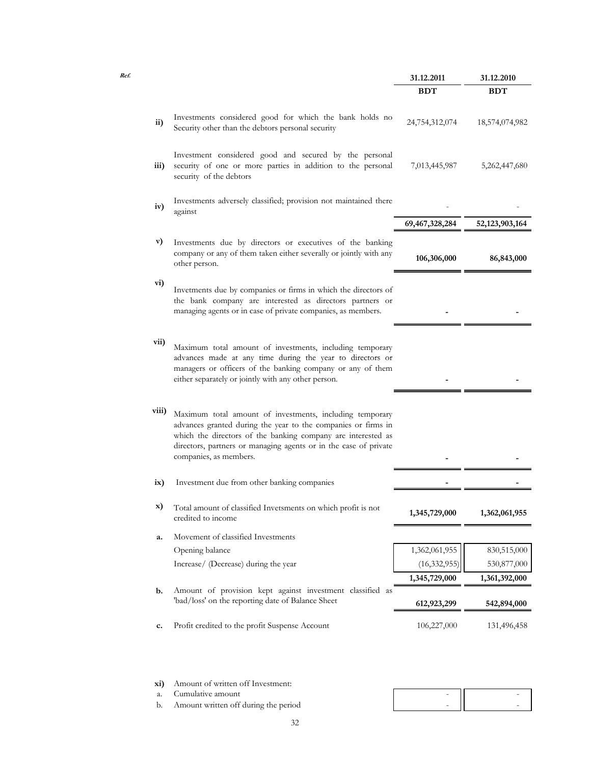| <b>BDT</b><br><b>BDT</b><br>Investments considered good for which the bank holds no<br>ii)<br>24,754,312,074<br>Security other than the debtors personal security<br>Investment considered good and secured by the personal<br>security of one or more parties in addition to the personal<br>iii)<br>7,013,445,987<br>security of the debtors<br>Investments adversely classified; provision not maintained there<br>iv)<br>against<br>69,467,328,284<br>v)<br>Investments due by directors or executives of the banking<br>company or any of them taken either severally or jointly with any<br>106,306,000<br>other person.<br>vi)<br>Invetments due by companies or firms in which the directors of<br>the bank company are interested as directors partners or<br>managing agents or in case of private companies, as members.<br>vii)<br>Maximum total amount of investments, including temporary<br>advances made at any time during the year to directors or<br>managers or officers of the banking company or any of them<br>either separately or jointly with any other person.<br>viii)<br>Maximum total amount of investments, including temporary<br>advances granted during the year to the companies or firms in<br>which the directors of the banking company are interested as<br>directors, partners or managing agents or in the case of private<br>companies, as members.<br>Investment due from other banking companies<br>ix)<br>x)<br>Total amount of classified Invetsments on which profit is not<br>1,345,729,000<br>credited to income<br>Movement of classified Investments<br>a.<br>Opening balance<br>1,362,061,955<br>Increase/ (Decrease) during the year<br>(16, 332, 955)<br>1,345,729,000<br>Amount of provision kept against investment classified as<br>b.<br>'bad/loss' on the reporting date of Balance Sheet | Ref. | 31.12.2011  | 31.12.2010     |
|------------------------------------------------------------------------------------------------------------------------------------------------------------------------------------------------------------------------------------------------------------------------------------------------------------------------------------------------------------------------------------------------------------------------------------------------------------------------------------------------------------------------------------------------------------------------------------------------------------------------------------------------------------------------------------------------------------------------------------------------------------------------------------------------------------------------------------------------------------------------------------------------------------------------------------------------------------------------------------------------------------------------------------------------------------------------------------------------------------------------------------------------------------------------------------------------------------------------------------------------------------------------------------------------------------------------------------------------------------------------------------------------------------------------------------------------------------------------------------------------------------------------------------------------------------------------------------------------------------------------------------------------------------------------------------------------------------------------------------------------------------------------------------------------------------------------------------------------------|------|-------------|----------------|
|                                                                                                                                                                                                                                                                                                                                                                                                                                                                                                                                                                                                                                                                                                                                                                                                                                                                                                                                                                                                                                                                                                                                                                                                                                                                                                                                                                                                                                                                                                                                                                                                                                                                                                                                                                                                                                                      |      |             |                |
|                                                                                                                                                                                                                                                                                                                                                                                                                                                                                                                                                                                                                                                                                                                                                                                                                                                                                                                                                                                                                                                                                                                                                                                                                                                                                                                                                                                                                                                                                                                                                                                                                                                                                                                                                                                                                                                      |      |             | 18,574,074,982 |
|                                                                                                                                                                                                                                                                                                                                                                                                                                                                                                                                                                                                                                                                                                                                                                                                                                                                                                                                                                                                                                                                                                                                                                                                                                                                                                                                                                                                                                                                                                                                                                                                                                                                                                                                                                                                                                                      |      |             | 5,262,447,680  |
|                                                                                                                                                                                                                                                                                                                                                                                                                                                                                                                                                                                                                                                                                                                                                                                                                                                                                                                                                                                                                                                                                                                                                                                                                                                                                                                                                                                                                                                                                                                                                                                                                                                                                                                                                                                                                                                      |      |             |                |
|                                                                                                                                                                                                                                                                                                                                                                                                                                                                                                                                                                                                                                                                                                                                                                                                                                                                                                                                                                                                                                                                                                                                                                                                                                                                                                                                                                                                                                                                                                                                                                                                                                                                                                                                                                                                                                                      |      |             | 52,123,903,164 |
|                                                                                                                                                                                                                                                                                                                                                                                                                                                                                                                                                                                                                                                                                                                                                                                                                                                                                                                                                                                                                                                                                                                                                                                                                                                                                                                                                                                                                                                                                                                                                                                                                                                                                                                                                                                                                                                      |      |             | 86,843,000     |
|                                                                                                                                                                                                                                                                                                                                                                                                                                                                                                                                                                                                                                                                                                                                                                                                                                                                                                                                                                                                                                                                                                                                                                                                                                                                                                                                                                                                                                                                                                                                                                                                                                                                                                                                                                                                                                                      |      |             |                |
|                                                                                                                                                                                                                                                                                                                                                                                                                                                                                                                                                                                                                                                                                                                                                                                                                                                                                                                                                                                                                                                                                                                                                                                                                                                                                                                                                                                                                                                                                                                                                                                                                                                                                                                                                                                                                                                      |      |             |                |
|                                                                                                                                                                                                                                                                                                                                                                                                                                                                                                                                                                                                                                                                                                                                                                                                                                                                                                                                                                                                                                                                                                                                                                                                                                                                                                                                                                                                                                                                                                                                                                                                                                                                                                                                                                                                                                                      |      |             |                |
|                                                                                                                                                                                                                                                                                                                                                                                                                                                                                                                                                                                                                                                                                                                                                                                                                                                                                                                                                                                                                                                                                                                                                                                                                                                                                                                                                                                                                                                                                                                                                                                                                                                                                                                                                                                                                                                      |      |             |                |
|                                                                                                                                                                                                                                                                                                                                                                                                                                                                                                                                                                                                                                                                                                                                                                                                                                                                                                                                                                                                                                                                                                                                                                                                                                                                                                                                                                                                                                                                                                                                                                                                                                                                                                                                                                                                                                                      |      |             | 1,362,061,955  |
|                                                                                                                                                                                                                                                                                                                                                                                                                                                                                                                                                                                                                                                                                                                                                                                                                                                                                                                                                                                                                                                                                                                                                                                                                                                                                                                                                                                                                                                                                                                                                                                                                                                                                                                                                                                                                                                      |      |             |                |
|                                                                                                                                                                                                                                                                                                                                                                                                                                                                                                                                                                                                                                                                                                                                                                                                                                                                                                                                                                                                                                                                                                                                                                                                                                                                                                                                                                                                                                                                                                                                                                                                                                                                                                                                                                                                                                                      |      |             | 830,515,000    |
|                                                                                                                                                                                                                                                                                                                                                                                                                                                                                                                                                                                                                                                                                                                                                                                                                                                                                                                                                                                                                                                                                                                                                                                                                                                                                                                                                                                                                                                                                                                                                                                                                                                                                                                                                                                                                                                      |      |             | 530,877,000    |
|                                                                                                                                                                                                                                                                                                                                                                                                                                                                                                                                                                                                                                                                                                                                                                                                                                                                                                                                                                                                                                                                                                                                                                                                                                                                                                                                                                                                                                                                                                                                                                                                                                                                                                                                                                                                                                                      |      |             | 1,361,392,000  |
|                                                                                                                                                                                                                                                                                                                                                                                                                                                                                                                                                                                                                                                                                                                                                                                                                                                                                                                                                                                                                                                                                                                                                                                                                                                                                                                                                                                                                                                                                                                                                                                                                                                                                                                                                                                                                                                      |      | 612,923,299 | 542,894,000    |
| Profit credited to the profit Suspense Account<br>106,227,000<br>c.                                                                                                                                                                                                                                                                                                                                                                                                                                                                                                                                                                                                                                                                                                                                                                                                                                                                                                                                                                                                                                                                                                                                                                                                                                                                                                                                                                                                                                                                                                                                                                                                                                                                                                                                                                                  |      |             | 131,496,458    |

**xi)** Amount of written off Investment:

a. Cumulative amount

b. Amount written off during the period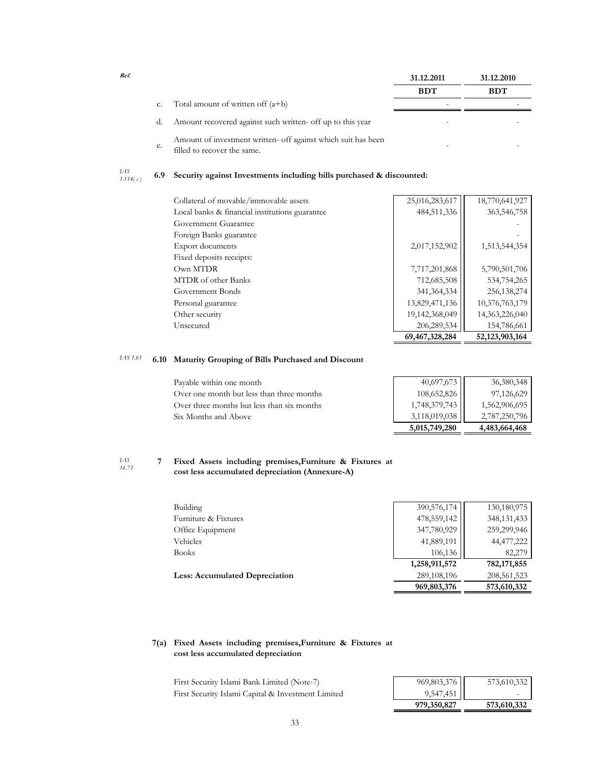| Ref. |             |                                                                                              | 31.12.2011 | 31.12.2010 |
|------|-------------|----------------------------------------------------------------------------------------------|------------|------------|
|      |             |                                                                                              | <b>BDT</b> | <b>BDT</b> |
|      | $C_{\star}$ | Total amount of written of $(a+b)$                                                           |            |            |
|      | d.          | Amount recovered against such written- off up to this year                                   |            |            |
|      | e.          | Amount of investment written- off against which suit has been<br>filled to recover the same. |            |            |

#### $\frac{L}{1.114(\epsilon)}$ *1.114( c )* **6.9 Security against Investments including bills purchased & discounted:**

| Collateral of movable/immovable assets         | 25,016,283,617 | 18,770,641,927 |
|------------------------------------------------|----------------|----------------|
| Local banks & financial institutions guarantee | 484,511,336    | 363, 546, 758  |
| Government Guarantee                           |                |                |
| Foreign Banks guarantee                        |                |                |
| <b>Export documents</b>                        | 2,017,152,902  | 1,513,544,354  |
| Fixed deposits receipts:                       |                |                |
| Own MTDR                                       | 7,717,201,868  | 5,790,501,706  |
| MTDR of other Banks                            | 712,685,508    | 534,754,265    |
| Government Bonds                               | 341, 364, 334  | 256, 138, 274  |
| Personal guarantee                             | 13,829,471,136 | 10,376,763,179 |
| Other security                                 | 19,142,368,049 | 14,363,226,040 |
| Unsecured                                      | 206,289,534    | 154,786,661    |
|                                                | 69,467,328,284 | 52,123,903,164 |

# *IAS 1.61* **6.10 Maturity Grouping of Bills Purchased and Discount**

| Payable within one month                   | 40,697,673    | 36,380,348    |
|--------------------------------------------|---------------|---------------|
| Over one month but less than three months  | 108,652,826   | 97,126,629    |
| Over three months but less than six months | 1,748,379,743 | 1,562,906,695 |
| Six Months and Above                       | 3,118,019,038 | 2,787,250,796 |
|                                            | 5,015,749,280 | 4,483,664,468 |

# *IAS*

### *16.73* **7 Fixed Assets including premises,Furniture & Fixtures at cost less accumulated depreciation (Annexure-A)**

| Building                              | 390,576,174   | 130,180,975   |
|---------------------------------------|---------------|---------------|
| Furniture & Fixtures                  | 478,559,142   | 348, 131, 433 |
| Office Equipment                      | 347,780,929   | 259,299,946   |
| Vehicles                              | 41,889,191    | 44,477,222    |
| <b>Books</b>                          | 106,136       | 82,279        |
|                                       | 1,258,911,572 | 782,171,855   |
| <b>Less: Accumulated Depreciation</b> | 289, 108, 196 | 208, 561, 523 |
|                                       | 969,803,376   | 573,610,332   |

### **7(a) Fixed Assets including premises,Furniture & Fixtures at cost less accumulated depreciation**

33

|                                                    | 979,350,827 | 573,610,332              |
|----------------------------------------------------|-------------|--------------------------|
| First Security Islami Capital & Investment Limited | 9,547,451   | $\overline{\phantom{a}}$ |
| First Security Islami Bank Limited (Note-7)        | 969,803,376 | 573,610,332              |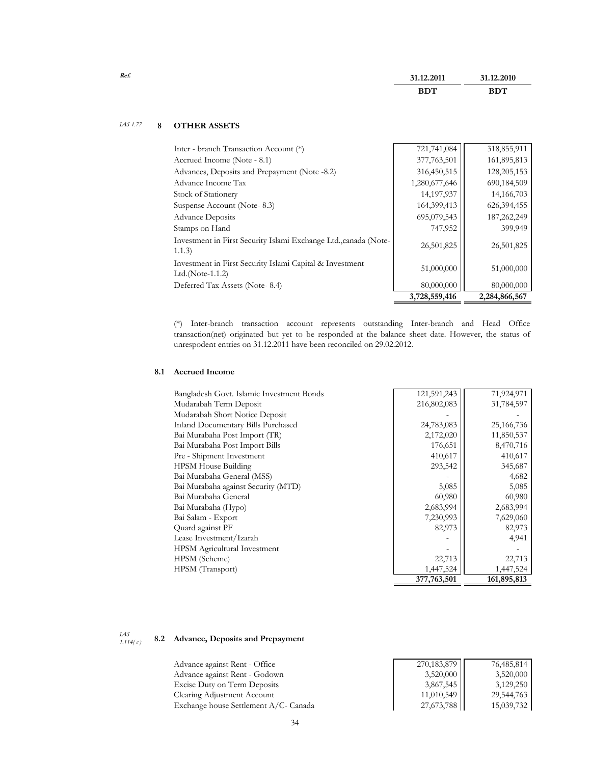| 31.12.2011 | 31.12.2010 |
|------------|------------|
| <b>BDT</b> | <b>BDT</b> |

## *IAS 1.77* **8 OTHER ASSETS**

| Inter - branch Transaction Account (*)                                            | 721,741,084   | 318,855,911   |
|-----------------------------------------------------------------------------------|---------------|---------------|
| Accrued Income (Note - 8.1)                                                       | 377, 763, 501 | 161,895,813   |
| Advances, Deposits and Prepayment (Note -8.2)                                     | 316,450,515   | 128, 205, 153 |
| Advance Income Tax                                                                | 1,280,677,646 | 690,184,509   |
| <b>Stock of Stationery</b>                                                        | 14,197,937    | 14, 166, 703  |
| Suspense Account (Note-8.3)                                                       | 164,399,413   | 626, 394, 455 |
| <b>Advance Deposits</b>                                                           | 695,079,543   | 187,262,249   |
| Stamps on Hand                                                                    | 747,952       | 399,949       |
| Investment in First Security Islami Exchange Ltd., canada (Note-<br>1.1.3)        | 26,501,825    | 26,501,825    |
| Investment in First Security Islami Capital & Investment<br>Ltd. (Note- $1.1.2$ ) | 51,000,000    | 51,000,000    |
| Deferred Tax Assets (Note-8.4)                                                    | 80,000,000    | 80,000,000    |
|                                                                                   | 3,728,559,416 | 2,284,866,567 |

(\*) Inter-branch transaction account represents outstanding Inter-branch and Head Office transaction(net) originated but yet to be responded at the balance sheet date. However, the status of unrespodent entries on 31.12.2011 have been reconciled on 29.02.2012.

### **8.1 Accrued Income**

| Bangladesh Govt. Islamic Investment Bonds | 121,591,243 | 71,924,971  |
|-------------------------------------------|-------------|-------------|
| Mudarabah Term Deposit                    | 216,802,083 | 31,784,597  |
| Mudarabah Short Notice Deposit            |             |             |
| Inland Documentary Bills Purchased        | 24,783,083  | 25,166,736  |
| Bai Murabaha Post Import (TR)             | 2,172,020   | 11,850,537  |
| Bai Murabaha Post Import Bills            | 176,651     | 8,470,716   |
| Pre - Shipment Investment                 | 410,617     | 410,617     |
| <b>HPSM House Building</b>                | 293,542     | 345,687     |
| Bai Murabaha General (MSS)                |             | 4,682       |
| Bai Murabaha against Security (MTD)       | 5,085       | 5,085       |
| Bai Murabaha General                      | 60,980      | 60,980      |
| Bai Murabaha (Hypo)                       | 2,683,994   | 2,683,994   |
| Bai Salam - Export                        | 7,230,993   | 7,629,060   |
| Quard against PF                          | 82,973      | 82,973      |
| Lease Investment/Izarah                   |             | 4,941       |
| <b>HPSM</b> Agricultural Investment       |             |             |
| HPSM (Scheme)                             | 22,713      | 22,713      |
| HPSM (Transport)                          | 1,447,524   | 1,447,524   |
|                                           | 377,763,501 | 161,895,813 |

### *IAS 1.114( c )* **8.2 Advance, Deposits and Prepayment**

| Advance against Rent - Office         | 270,183,879 | 76,485,814 |
|---------------------------------------|-------------|------------|
| Advance against Rent - Godown         | 3,520,000   | 3,520,000  |
| Excise Duty on Term Deposits          | 3,867,545   | 3,129,250  |
| Clearing Adjustment Account           | 11,010,549  | 29,544,763 |
| Exchange house Settlement A/C- Canada | 27,673,788  | 15,039,732 |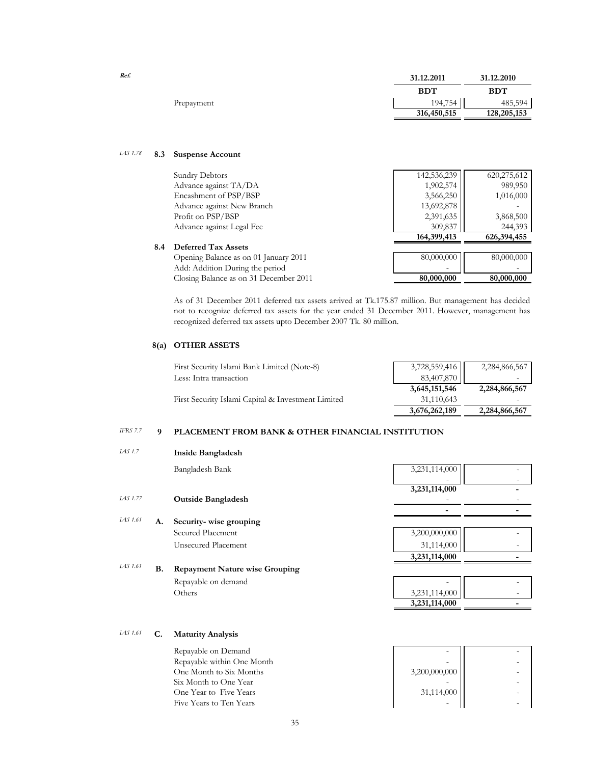| Ref.       | 31.12.2011  | 31.12.2010    |
|------------|-------------|---------------|
|            | <b>BDT</b>  | <b>BDT</b>    |
| Prepayment | 194,754     | 485,594       |
|            | 316,450,515 | 128, 205, 153 |

# *IAS 1.78* **8.3 Suspense Account**

| Sundry Debtors                         | 142,536,239 | 620,275,612   |
|----------------------------------------|-------------|---------------|
|                                        |             |               |
| Advance against TA/DA                  | 1,902,574   | 989,950       |
| Encashment of PSP/BSP                  | 3,566,250   | 1,016,000     |
| Advance against New Branch             | 13,692,878  |               |
| Profit on PSP/BSP                      | 2,391,635   | 3,868,500     |
| Advance against Legal Fee              | 309,837     | 244,393       |
|                                        | 164,399,413 | 626, 394, 455 |
| <b>Deferred Tax Assets</b><br>8.4      |             |               |
| Opening Balance as on 01 January 2011  | 80,000,000  | 80,000,000    |
| Add: Addition During the period        |             |               |
| Closing Balance as on 31 December 2011 | 80,000,000  | 80,000,000    |

As of 31 December 2011 deferred tax assets arrived at Tk.175.87 million. But management has decided not to recognize deferred tax assets for the year ended 31 December 2011. However, management has recognized deferred tax assets upto December 2007 Tk. 80 million.

### **8(a) OTHER ASSETS**

| First Security Islami Bank Limited (Note-8)        | 3,728,559,416 | 2,284,866,567 |
|----------------------------------------------------|---------------|---------------|
| Less: Intra transaction                            | 83,407,870    |               |
|                                                    | 3,645,151,546 | 2,284,866,567 |
| First Security Islami Capital & Investment Limited | 31,110,643    |               |
|                                                    | 3,676,262,189 | 2,284,866,567 |

## *IFRS 7.7* **9 PLACEMENT FROM BANK & OTHER FINANCIAL INSTITUTION**

| LAS 1.7 |  | Inside Bangladesh |
|---------|--|-------------------|
|---------|--|-------------------|

Bangladesh Bank 3,231,114,000

- *IAS 1.77* **Outside Bangladesh**
- *IAS 1.61* **A. Security- wise grouping** Secured Placement Unsecured Placement
- *IAS 1.61* **B. Repayment Nature wise Grouping** Repayable on demand

| Security- wise grouping               |                             |  |
|---------------------------------------|-----------------------------|--|
| Secured Placement                     |                             |  |
| Unsecured Placement                   | 3,200,000,000<br>31,114,000 |  |
|                                       | 3,231,114,000               |  |
| <b>Repayment Nature wise Grouping</b> |                             |  |
| Repayable on demand                   |                             |  |
| Others                                | 3,231,114,000               |  |
|                                       | 3,231,114,000               |  |

- -

 **- 3,231,114,000** 

# *IAS 1.61* **C. Maturity Analysis**

Repayable on Demand Repayable within One Month One Month to Six Months Six Month to One Year One Year to Five Years Five Years to Ten Years - -

| 3,200,000,000 |  |
|---------------|--|
|               |  |
| 31,114,000    |  |
|               |  |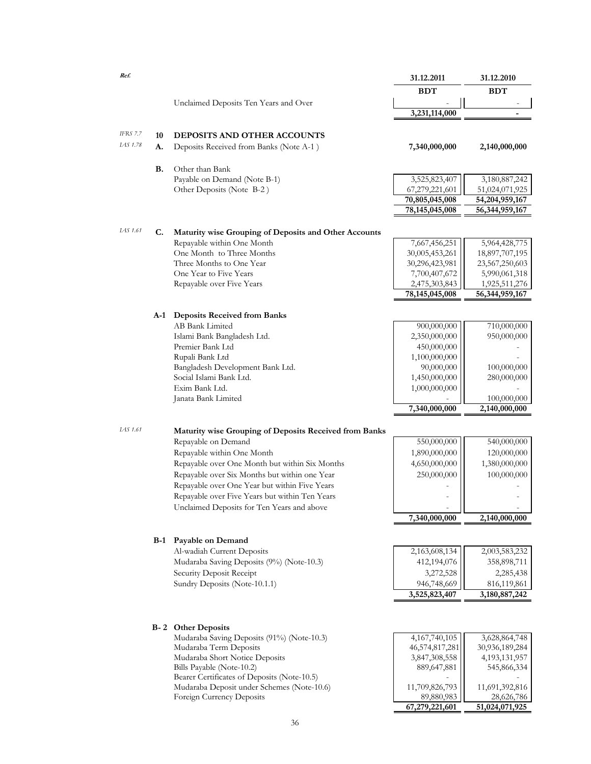| Ref.     |            |                                                                         | 31.12.2011                         | 31.12.2010                         |
|----------|------------|-------------------------------------------------------------------------|------------------------------------|------------------------------------|
|          |            |                                                                         | <b>BDT</b>                         | <b>BDT</b>                         |
|          |            | Unclaimed Deposits Ten Years and Over                                   |                                    |                                    |
|          |            |                                                                         | 3,231,114,000                      |                                    |
|          |            |                                                                         |                                    |                                    |
| IFRS 7.7 | 10         | DEPOSITS AND OTHER ACCOUNTS                                             |                                    |                                    |
| LAS 1.78 | A.         | Deposits Received from Banks (Note A-1)                                 | 7,340,000,000                      | 2,140,000,000                      |
|          | В.         | Other than Bank                                                         |                                    |                                    |
|          |            | Payable on Demand (Note B-1)                                            | 3,525,823,407                      | 3,180,887,242                      |
|          |            | Other Deposits (Note B-2)                                               | 67,279,221,601                     | 51,024,071,925                     |
|          |            |                                                                         | 70,805,045,008                     | 54,204,959,167                     |
|          |            |                                                                         | 78,145,045,008                     | 56, 344, 959, 167                  |
|          |            |                                                                         |                                    |                                    |
| LAS 1.61 | C.         | Maturity wise Grouping of Deposits and Other Accounts                   |                                    |                                    |
|          |            | Repayable within One Month                                              | 7,667,456,251                      | 5,964,428,775                      |
|          |            | One Month to Three Months<br>Three Months to One Year                   | 30,005,453,261                     | 18,897,707,195                     |
|          |            | One Year to Five Years                                                  | 30,296,423,981                     | 23,567,250,603                     |
|          |            |                                                                         | 7,700,407,672                      | 5,990,061,318                      |
|          |            | Repayable over Five Years                                               | 2,475,303,843<br>78, 145, 045, 008 | 1,925,511,276<br>56, 344, 959, 167 |
|          |            |                                                                         |                                    |                                    |
|          |            | A-1 Deposits Received from Banks                                        |                                    |                                    |
|          |            | AB Bank Limited                                                         | 900,000,000                        | 710,000,000                        |
|          |            | Islami Bank Bangladesh Ltd.                                             | 2,350,000,000                      | 950,000,000                        |
|          |            | Premier Bank Ltd                                                        | 450,000,000                        |                                    |
|          |            | Rupali Bank Ltd                                                         | 1,100,000,000                      |                                    |
|          |            | Bangladesh Development Bank Ltd.                                        | 90,000,000                         | 100,000,000                        |
|          |            | Social Islami Bank Ltd.                                                 | 1,450,000,000                      | 280,000,000                        |
|          |            | Exim Bank Ltd.                                                          | 1,000,000,000                      |                                    |
|          |            | Janata Bank Limited                                                     |                                    | 100,000,000                        |
|          |            |                                                                         | 7,340,000,000                      | 2,140,000,000                      |
| LAS 1.61 |            |                                                                         |                                    |                                    |
|          |            | Maturity wise Grouping of Deposits Received from Banks                  |                                    |                                    |
|          |            | Repayable on Demand                                                     | 550,000,000                        | 540,000,000                        |
|          |            | Repayable within One Month                                              | 1,890,000,000                      | 120,000,000                        |
|          |            | Repayable over One Month but within Six Months                          | 4,650,000,000                      | 1,380,000,000                      |
|          |            | Repayable over Six Months but within one Year                           | 250,000,000                        | 100,000,000                        |
|          |            | Repayable over One Year but within Five Years                           |                                    |                                    |
|          |            | Repayable over Five Years but within Ten Years                          |                                    |                                    |
|          |            | Unclaimed Deposits for Ten Years and above                              | 7,340,000,000                      | 2,140,000,000                      |
|          |            |                                                                         |                                    |                                    |
|          | <b>B-1</b> | Payable on Demand                                                       |                                    |                                    |
|          |            | Al-wadiah Current Deposits                                              | 2,163,608,134                      | 2,003,583,232                      |
|          |            | Mudaraba Saving Deposits (9%) (Note-10.3)                               | 412,194,076                        | 358,898,711                        |
|          |            | Security Deposit Receipt                                                | 3,272,528                          | 2,285,438                          |
|          |            | Sundry Deposits (Note-10.1.1)                                           | 946,748,669                        | 816,119,861                        |
|          |            |                                                                         | 3,525,823,407                      | 3,180,887,242                      |
|          |            |                                                                         |                                    |                                    |
|          |            |                                                                         |                                    |                                    |
|          |            | <b>B-2</b> Other Deposits<br>Mudaraba Saving Deposits (91%) (Note-10.3) | 4, 167, 740, 105                   | 3,628,864,748                      |
|          |            | Mudaraba Term Deposits                                                  | 46,574,817,281                     | 30,936,189,284                     |
|          |            | Mudaraba Short Notice Deposits                                          | 3,847,308,558                      | 4, 193, 131, 957                   |
|          |            | Bills Payable (Note-10.2)                                               | 889,647,881                        | 545,866,334                        |
|          |            | Bearer Certificates of Deposits (Note-10.5)                             |                                    |                                    |
|          |            | Mudaraba Deposit under Schemes (Note-10.6)                              | 11,709,826,793                     | 11,691,392,816                     |
|          |            | Foreign Currency Deposits                                               | 89,880,983                         | 28,626,786                         |
|          |            |                                                                         | 67,279,221,601                     | 51,024,071,925                     |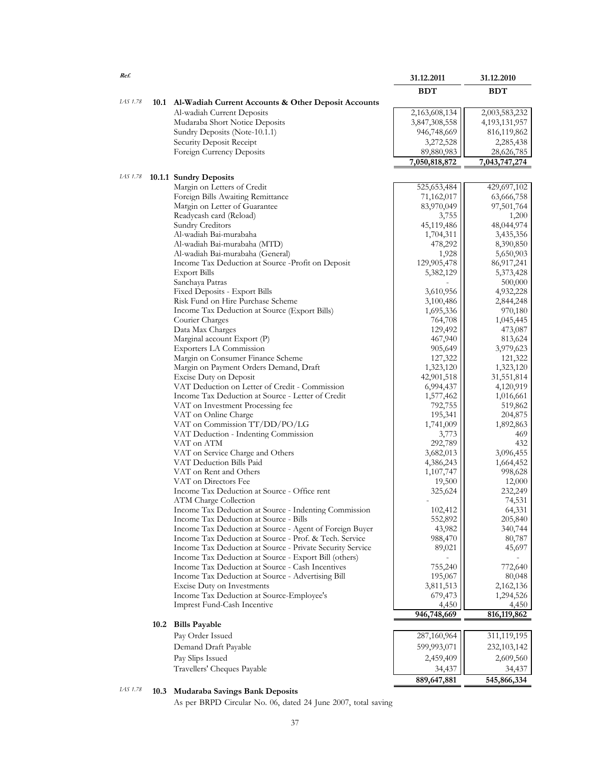| Ref.     |                                                                                       | 31.12.2011              | 31.12.2010              |
|----------|---------------------------------------------------------------------------------------|-------------------------|-------------------------|
|          |                                                                                       | <b>BDT</b>              | BDT                     |
| LAS 1.78 | 10.1 Al-Wadiah Current Accounts & Other Deposit Accounts                              |                         |                         |
|          | Al-wadiah Current Deposits                                                            | 2,163,608,134           | 2,003,583,232           |
|          | Mudaraba Short Notice Deposits                                                        | 3,847,308,558           | 4, 193, 131, 957        |
|          | Sundry Deposits (Note-10.1.1)                                                         | 946,748,669             | 816,119,862             |
|          | Security Deposit Receipt                                                              | 3,272,528               | 2,285,438               |
|          | Foreign Currency Deposits                                                             | 89,880,983              | 28,626,785              |
|          |                                                                                       | 7,050,818,872           | 7,043,747,274           |
| LAS 1.78 | 10.1.1 Sundry Deposits                                                                |                         |                         |
|          | Margin on Letters of Credit                                                           | 525,653,484             | 429,697,102             |
|          | Foreign Bills Awaiting Remittance                                                     | 71,162,017              | 63,666,758              |
|          | Margin on Letter of Guarantee                                                         | 83,970,049              | 97,501,764              |
|          | Readycash card (Reload)                                                               | 3,755                   | 1,200                   |
|          | Sundry Creditors                                                                      | 45,119,486              | 48,044,974              |
|          | Al-wadiah Bai-murabaha                                                                | 1,704,311               | 3,435,356               |
|          | Al-wadiah Bai-murabaha (MTD)                                                          | 478,292                 | 8,390,850               |
|          | Al-wadiah Bai-murabaha (General)<br>Income Tax Deduction at Source -Profit on Deposit | 1,928<br>129,905,478    | 5,650,903<br>86,917,241 |
|          | <b>Export Bills</b>                                                                   | 5,382,129               | 5,373,428               |
|          | Sanchaya Patras                                                                       |                         | 500,000                 |
|          | Fixed Deposits - Export Bills                                                         | 3,610,956               | 4,932,228               |
|          | Risk Fund on Hire Purchase Scheme                                                     | 3,100,486               | 2,844,248               |
|          | Income Tax Deduction at Source (Export Bills)                                         | 1,695,336               | 970,180                 |
|          | Courier Charges                                                                       | 764,708                 | 1,045,445               |
|          | Data Max Charges                                                                      | 129,492                 | 473,087                 |
|          | Marginal account Export (P)                                                           | 467,940                 | 813,624                 |
|          | <b>Exporters LA Commission</b>                                                        | 905,649                 | 3,979,623               |
|          | Margin on Consumer Finance Scheme                                                     | 127,322                 | 121,322                 |
|          | Margin on Payment Orders Demand, Draft                                                | 1,323,120               | 1,323,120               |
|          | Excise Duty on Deposit<br>VAT Deduction on Letter of Credit - Commission              | 42,901,518<br>6,994,437 | 31,551,814<br>4,120,919 |
|          | Income Tax Deduction at Source - Letter of Credit                                     | 1,577,462               | 1,016,661               |
|          | VAT on Investment Processing fee                                                      | 792,755                 | 519,862                 |
|          | VAT on Online Charge                                                                  | 195,341                 | 204,875                 |
|          | VAT on Commission TT/DD/PO/LG                                                         | 1,741,009               | 1,892,863               |
|          | VAT Deduction - Indenting Commission                                                  | 3,773                   | 469                     |
|          | VAT on ATM                                                                            | 292,789                 | 432                     |
|          | VAT on Service Charge and Others                                                      | 3,682,013               | 3,096,455               |
|          | VAT Deduction Bills Paid                                                              | 4,386,243               | 1,664,452               |
|          | VAT on Rent and Others                                                                | 1,107,747               | 998,628                 |
|          | VAT on Directors Fee                                                                  | 19,500                  | 12,000                  |
|          | Income Tax Deduction at Source - Office rent<br>ATM Charge Collection                 | 325,624                 | 232,249                 |
|          | Income Tax Deduction at Source - Indenting Commission                                 | 102,412                 | 74,531<br>64,331        |
|          | Income Tax Deduction at Source - Bills                                                | 552,892                 | 205,840                 |
|          | Income Tax Deduction at Source - Agent of Foreign Buyer                               | 43,982                  | 340,744                 |
|          | Income Tax Deduction at Source - Prof. & Tech. Service                                | 988,470                 | 80,787                  |
|          | Income Tax Deduction at Source - Private Security Service                             | 89,021                  | 45,697                  |
|          | Income Tax Deduction at Source - Export Bill (others)                                 |                         |                         |
|          | Income Tax Deduction at Source - Cash Incentives                                      | 755,240                 | 772,640                 |
|          | Income Tax Deduction at Source - Advertising Bill                                     | 195,067                 | 80,048                  |
|          | Excise Duty on Investments                                                            | 3,811,513               | 2,162,136               |
|          | Income Tax Deduction at Source-Employee's                                             | 679,473                 | 1,294,526               |
|          | Imprest Fund-Cash Incentive                                                           | 4,450                   | 4,450                   |
|          |                                                                                       | 946,748,669             | 816,119,862             |
|          | 10.2 Bills Payable                                                                    |                         |                         |
|          | Pay Order Issued                                                                      | 287,160,964             | 311,119,195             |
|          | Demand Draft Payable                                                                  | 599,993,071             | 232,103,142             |
|          | Pay Slips Issued                                                                      | 2,459,409               | 2,609,560               |
|          | Travellers' Cheques Payable                                                           | 34,437                  | 34,437                  |
|          |                                                                                       | 889,647,881             | 545,866,334             |

# *IAS 1.78* **10.3 Mudaraba Savings Bank Deposits**

As per BRPD Circular No. 06, dated 24 June 2007, total saving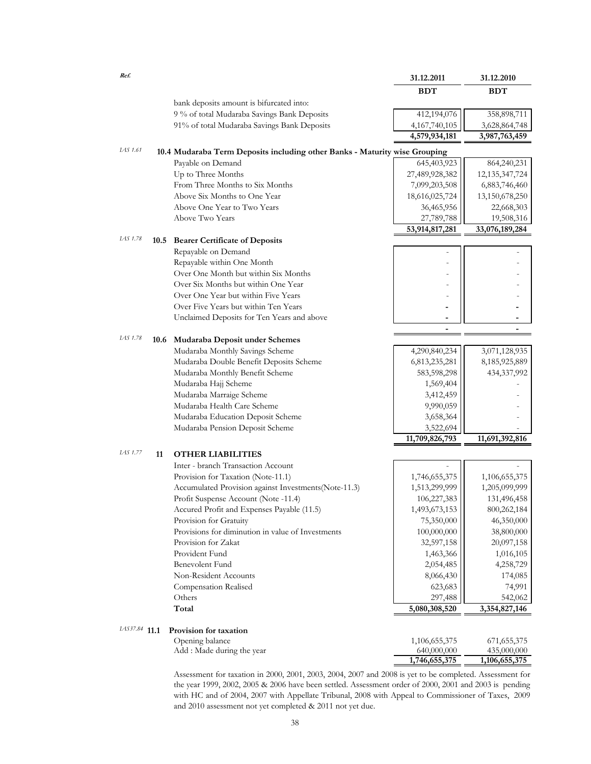| Ref.          |                                                                             | 31.12.2011               | 31.12.2010               |
|---------------|-----------------------------------------------------------------------------|--------------------------|--------------------------|
|               |                                                                             | <b>BDT</b>               | <b>BDT</b>               |
|               | bank deposits amount is bifurcated into:                                    |                          |                          |
|               | 9 % of total Mudaraba Savings Bank Deposits                                 | 412,194,076              | 358,898,711              |
|               | 91% of total Mudaraba Savings Bank Deposits                                 | 4, 167, 740, 105         | 3,628,864,748            |
|               |                                                                             | 4,579,934,181            | 3,987,763,459            |
| LAS 1.61      | 10.4 Mudaraba Term Deposits including other Banks - Maturity wise Grouping  |                          |                          |
|               | Payable on Demand                                                           | 645,403,923              | 864,240,231              |
|               | Up to Three Months                                                          | 27,489,928,382           | 12, 135, 347, 724        |
|               | From Three Months to Six Months                                             | 7,099,203,508            | 6,883,746,460            |
|               | Above Six Months to One Year                                                | 18,616,025,724           | 13,150,678,250           |
|               | Above One Year to Two Years                                                 | 36,465,956               | 22,668,303               |
|               | Above Two Years                                                             | 27,789,788               | 19,508,316               |
|               |                                                                             | 53,914,817,281           | 33,076,189,284           |
| LAS 1.78      | 10.5<br><b>Bearer Certificate of Deposits</b>                               |                          |                          |
|               | Repayable on Demand                                                         |                          |                          |
|               | Repayable within One Month                                                  |                          |                          |
|               | Over One Month but within Six Months                                        |                          |                          |
|               | Over Six Months but within One Year                                         |                          |                          |
|               | Over One Year but within Five Years<br>Over Five Years but within Ten Years |                          |                          |
|               | Unclaimed Deposits for Ten Years and above                                  |                          |                          |
|               |                                                                             |                          |                          |
| LAS 1.78      | 10.6 Mudaraba Deposit under Schemes                                         |                          |                          |
|               | Mudaraba Monthly Savings Scheme                                             | 4,290,840,234            | 3,071,128,935            |
|               | Mudaraba Double Benefit Deposits Scheme                                     | 6,813,235,281            | 8,185,925,889            |
|               | Mudaraba Monthly Benefit Scheme                                             | 583,598,298              | 434,337,992              |
|               | Mudaraba Hajj Scheme                                                        | 1,569,404                |                          |
|               | Mudaraba Marraige Scheme                                                    | 3,412,459                |                          |
|               | Mudaraba Health Care Scheme                                                 | 9,990,059                |                          |
|               | Mudaraba Education Deposit Scheme                                           | 3,658,364                |                          |
|               | Mudaraba Pension Deposit Scheme                                             | 3,522,694                |                          |
|               |                                                                             | 11,709,826,793           | 11,691,392,816           |
| LAS 1.77      | 11<br><b>OTHER LIABILITIES</b>                                              |                          |                          |
|               | Inter - branch Transaction Account                                          |                          |                          |
|               | Provision for Taxation (Note-11.1)                                          | 1,746,655,375            | 1,106,655,375            |
|               | Accumulated Provision against Investments(Note-11.3)                        | 1,513,299,999            | 1,205,099,999            |
|               | Profit Suspense Account (Note -11.4)                                        | 106,227,383              | 131,496,458              |
|               | Accured Profit and Expenses Payable (11.5)                                  | 1,493,673,153            | 800,262,184              |
|               | Provision for Gratuity                                                      | 75,350,000               | 46,350,000               |
|               | Provisions for diminution in value of Investments                           | 100,000,000              | 38,800,000               |
|               | Provision for Zakat                                                         | 32,597,158               | 20,097,158               |
|               | Provident Fund<br><b>Benevolent Fund</b>                                    | 1,463,366                | 1,016,105                |
|               | Non-Resident Accounts                                                       | 2,054,485                | 4,258,729                |
|               | Compensation Realised                                                       | 8,066,430                | 174,085                  |
|               | Others                                                                      | 623,683                  | 74,991                   |
|               | Total                                                                       | 297,488<br>5,080,308,520 | 542,062<br>3,354,827,146 |
|               |                                                                             |                          |                          |
| LAS37.84 11.1 | Provision for taxation                                                      |                          |                          |
|               | Opening balance                                                             | 1,106,655,375            | 671, 655, 375            |
|               | Add : Made during the year                                                  | 640,000,000              | 435,000,000              |
|               |                                                                             | 1,746,655,375            | <u>1,106,655,375</u>     |

Assessment for taxation in 2000, 2001, 2003, 2004, 2007 and 2008 is yet to be completed. Assessment for the year 1999, 2002, 2005 & 2006 have been settled. Assessment order of 2000, 2001 and 2003 is pending with HC and of 2004, 2007 with Appellate Tribunal, 2008 with Appeal to Commissioner of Taxes, 2009 and 2010 assessment not yet completed & 2011 not yet due.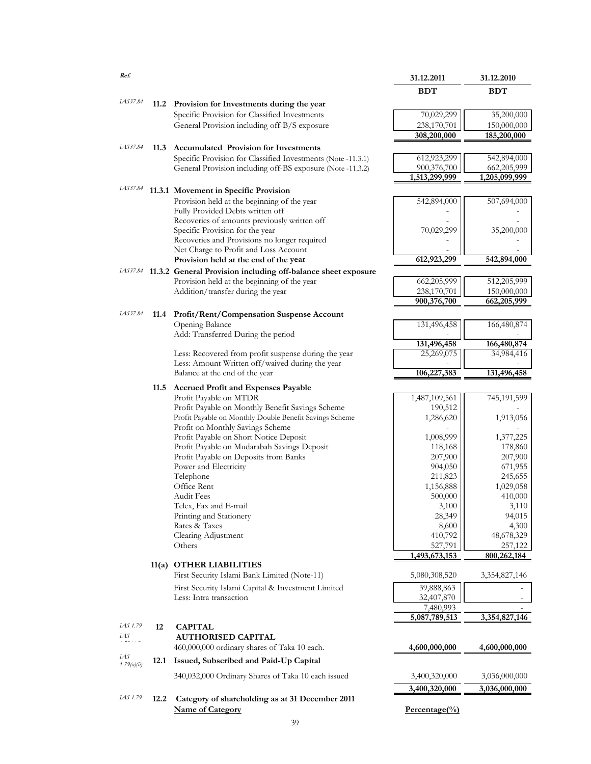| <b>BDT</b><br>BDT<br>LAS37.84<br>11.2 Provision for Investments during the year<br>Specific Provision for Classified Investments<br>70,029,299<br>35,200,000<br>General Provision including off-B/S exposure<br>238,170,701<br>150,000,000<br>308,200,000<br>185,200,000<br>LAS37.84<br><b>Accumulated Provision for Investments</b><br>11.3<br>612,923,299<br>542,894,000<br>Specific Provision for Classified Investments (Note -11.3.1)<br>900,376,700<br>662,205,999<br>General Provision including off-BS exposure (Note -11.3.2)<br>1,513,299,999<br>1,205,099,999<br>LAS37.84<br>11.3.1 Movement in Specific Provision<br>Provision held at the beginning of the year<br>542,894,000<br>507,694,000<br>Fully Provided Debts written off<br>Recoveries of amounts previously written off<br>70,029,299<br>Specific Provision for the year<br>35,200,000<br>Recoveries and Provisions no longer required<br>Net Charge to Profit and Loss Account<br>612,923,299<br>542,894,000<br>Provision held at the end of the year<br>LAS37.84<br>11.3.2 General Provision including off-balance sheet exposure<br>Provision held at the beginning of the year<br>662,205,999<br>512,205,999<br>Addition/transfer during the year<br>238,170,701<br>150,000,000<br>900,376,700<br>662,205,999<br>LAS37.84<br>11.4 Profit/Rent/Compensation Suspense Account<br>Opening Balance<br>131,496,458<br>166,480,874<br>Add: Transferred During the period<br>131,496,458<br>166,480,874<br>34,984,416<br>Less: Recovered from profit suspense during the year<br>25,269,075<br>Less: Amount Written off/waived during the year<br>106,227,383<br>131,496,458<br>Balance at the end of the year<br>11.5 Accrued Profit and Expenses Payable<br>Profit Payable on MTDR<br>1,487,109,561<br>745,191,599<br>Profit Payable on Monthly Benefit Savings Scheme<br>190,512<br>Profit Payable on Monthly Double Benefit Savings Scheme<br>1,286,620<br>1,913,056<br>Profit on Monthly Savings Scheme<br>Profit Payable on Short Notice Deposit<br>1,008,999<br>1,377,225<br>Profit Payable on Mudarabah Savings Deposit<br>178,860<br>118,168<br>Profit Payable on Deposits from Banks<br>207,900<br>207,900<br>Power and Electricity<br>904,050<br>671,955<br>Telephone<br>211,823<br>245,655<br>Office Rent<br>1,156,888<br>1,029,058<br><b>Audit Fees</b><br>500,000<br>410,000<br>3,110<br>Telex, Fax and E-mail<br>3,100<br>28,349<br>94,015<br>Printing and Stationery<br>Rates & Taxes<br>8,600<br>4,300<br>Clearing Adjustment<br>410,792<br>48,678,329<br>257,122<br>Others<br>527,791<br>1,493,673,153<br>800,262,184<br>11(a) OTHER LIABILITIES<br>First Security Islami Bank Limited (Note-11)<br>3,354,827,146<br>5,080,308,520<br>First Security Islami Capital & Investment Limited<br>39,888,863<br>Less: Intra transaction<br>32,407,870<br>7,480,993<br>3,354,827,146<br>5,087,789,513<br>LAS 1.79<br>12<br><b>CAPITAL</b><br>LAS<br><b>AUTHORISED CAPITAL</b><br>460,000,000 ordinary shares of Taka 10 each.<br>4,600,000,000<br>4,600,000,000<br>LAS<br>12.1 Issued, Subscribed and Paid-Up Capital<br>1.79(a)(ii)<br>340,032,000 Ordinary Shares of Taka 10 each issued<br>3,400,320,000<br>3,036,000,000<br>3,400,320,000<br>3,036,000,000 | Ref. |  | 31.12.2011 | 31.12.2010 |
|-----------------------------------------------------------------------------------------------------------------------------------------------------------------------------------------------------------------------------------------------------------------------------------------------------------------------------------------------------------------------------------------------------------------------------------------------------------------------------------------------------------------------------------------------------------------------------------------------------------------------------------------------------------------------------------------------------------------------------------------------------------------------------------------------------------------------------------------------------------------------------------------------------------------------------------------------------------------------------------------------------------------------------------------------------------------------------------------------------------------------------------------------------------------------------------------------------------------------------------------------------------------------------------------------------------------------------------------------------------------------------------------------------------------------------------------------------------------------------------------------------------------------------------------------------------------------------------------------------------------------------------------------------------------------------------------------------------------------------------------------------------------------------------------------------------------------------------------------------------------------------------------------------------------------------------------------------------------------------------------------------------------------------------------------------------------------------------------------------------------------------------------------------------------------------------------------------------------------------------------------------------------------------------------------------------------------------------------------------------------------------------------------------------------------------------------------------------------------------------------------------------------------------------------------------------------------------------------------------------------------------------------------------------------------------------------------------------------------------------------------------------------------------------------------------------------------------------------------------------------------------------------------------------------------------------------------------------------------------------------------------------------------------------------------------------------------------------------------------------------------------------------------------------------------------------------------------------------------------------------------|------|--|------------|------------|
|                                                                                                                                                                                                                                                                                                                                                                                                                                                                                                                                                                                                                                                                                                                                                                                                                                                                                                                                                                                                                                                                                                                                                                                                                                                                                                                                                                                                                                                                                                                                                                                                                                                                                                                                                                                                                                                                                                                                                                                                                                                                                                                                                                                                                                                                                                                                                                                                                                                                                                                                                                                                                                                                                                                                                                                                                                                                                                                                                                                                                                                                                                                                                                                                                                               |      |  |            |            |
|                                                                                                                                                                                                                                                                                                                                                                                                                                                                                                                                                                                                                                                                                                                                                                                                                                                                                                                                                                                                                                                                                                                                                                                                                                                                                                                                                                                                                                                                                                                                                                                                                                                                                                                                                                                                                                                                                                                                                                                                                                                                                                                                                                                                                                                                                                                                                                                                                                                                                                                                                                                                                                                                                                                                                                                                                                                                                                                                                                                                                                                                                                                                                                                                                                               |      |  |            |            |
|                                                                                                                                                                                                                                                                                                                                                                                                                                                                                                                                                                                                                                                                                                                                                                                                                                                                                                                                                                                                                                                                                                                                                                                                                                                                                                                                                                                                                                                                                                                                                                                                                                                                                                                                                                                                                                                                                                                                                                                                                                                                                                                                                                                                                                                                                                                                                                                                                                                                                                                                                                                                                                                                                                                                                                                                                                                                                                                                                                                                                                                                                                                                                                                                                                               |      |  |            |            |
|                                                                                                                                                                                                                                                                                                                                                                                                                                                                                                                                                                                                                                                                                                                                                                                                                                                                                                                                                                                                                                                                                                                                                                                                                                                                                                                                                                                                                                                                                                                                                                                                                                                                                                                                                                                                                                                                                                                                                                                                                                                                                                                                                                                                                                                                                                                                                                                                                                                                                                                                                                                                                                                                                                                                                                                                                                                                                                                                                                                                                                                                                                                                                                                                                                               |      |  |            |            |
|                                                                                                                                                                                                                                                                                                                                                                                                                                                                                                                                                                                                                                                                                                                                                                                                                                                                                                                                                                                                                                                                                                                                                                                                                                                                                                                                                                                                                                                                                                                                                                                                                                                                                                                                                                                                                                                                                                                                                                                                                                                                                                                                                                                                                                                                                                                                                                                                                                                                                                                                                                                                                                                                                                                                                                                                                                                                                                                                                                                                                                                                                                                                                                                                                                               |      |  |            |            |
|                                                                                                                                                                                                                                                                                                                                                                                                                                                                                                                                                                                                                                                                                                                                                                                                                                                                                                                                                                                                                                                                                                                                                                                                                                                                                                                                                                                                                                                                                                                                                                                                                                                                                                                                                                                                                                                                                                                                                                                                                                                                                                                                                                                                                                                                                                                                                                                                                                                                                                                                                                                                                                                                                                                                                                                                                                                                                                                                                                                                                                                                                                                                                                                                                                               |      |  |            |            |
|                                                                                                                                                                                                                                                                                                                                                                                                                                                                                                                                                                                                                                                                                                                                                                                                                                                                                                                                                                                                                                                                                                                                                                                                                                                                                                                                                                                                                                                                                                                                                                                                                                                                                                                                                                                                                                                                                                                                                                                                                                                                                                                                                                                                                                                                                                                                                                                                                                                                                                                                                                                                                                                                                                                                                                                                                                                                                                                                                                                                                                                                                                                                                                                                                                               |      |  |            |            |
|                                                                                                                                                                                                                                                                                                                                                                                                                                                                                                                                                                                                                                                                                                                                                                                                                                                                                                                                                                                                                                                                                                                                                                                                                                                                                                                                                                                                                                                                                                                                                                                                                                                                                                                                                                                                                                                                                                                                                                                                                                                                                                                                                                                                                                                                                                                                                                                                                                                                                                                                                                                                                                                                                                                                                                                                                                                                                                                                                                                                                                                                                                                                                                                                                                               |      |  |            |            |
|                                                                                                                                                                                                                                                                                                                                                                                                                                                                                                                                                                                                                                                                                                                                                                                                                                                                                                                                                                                                                                                                                                                                                                                                                                                                                                                                                                                                                                                                                                                                                                                                                                                                                                                                                                                                                                                                                                                                                                                                                                                                                                                                                                                                                                                                                                                                                                                                                                                                                                                                                                                                                                                                                                                                                                                                                                                                                                                                                                                                                                                                                                                                                                                                                                               |      |  |            |            |
|                                                                                                                                                                                                                                                                                                                                                                                                                                                                                                                                                                                                                                                                                                                                                                                                                                                                                                                                                                                                                                                                                                                                                                                                                                                                                                                                                                                                                                                                                                                                                                                                                                                                                                                                                                                                                                                                                                                                                                                                                                                                                                                                                                                                                                                                                                                                                                                                                                                                                                                                                                                                                                                                                                                                                                                                                                                                                                                                                                                                                                                                                                                                                                                                                                               |      |  |            |            |
|                                                                                                                                                                                                                                                                                                                                                                                                                                                                                                                                                                                                                                                                                                                                                                                                                                                                                                                                                                                                                                                                                                                                                                                                                                                                                                                                                                                                                                                                                                                                                                                                                                                                                                                                                                                                                                                                                                                                                                                                                                                                                                                                                                                                                                                                                                                                                                                                                                                                                                                                                                                                                                                                                                                                                                                                                                                                                                                                                                                                                                                                                                                                                                                                                                               |      |  |            |            |
|                                                                                                                                                                                                                                                                                                                                                                                                                                                                                                                                                                                                                                                                                                                                                                                                                                                                                                                                                                                                                                                                                                                                                                                                                                                                                                                                                                                                                                                                                                                                                                                                                                                                                                                                                                                                                                                                                                                                                                                                                                                                                                                                                                                                                                                                                                                                                                                                                                                                                                                                                                                                                                                                                                                                                                                                                                                                                                                                                                                                                                                                                                                                                                                                                                               |      |  |            |            |
|                                                                                                                                                                                                                                                                                                                                                                                                                                                                                                                                                                                                                                                                                                                                                                                                                                                                                                                                                                                                                                                                                                                                                                                                                                                                                                                                                                                                                                                                                                                                                                                                                                                                                                                                                                                                                                                                                                                                                                                                                                                                                                                                                                                                                                                                                                                                                                                                                                                                                                                                                                                                                                                                                                                                                                                                                                                                                                                                                                                                                                                                                                                                                                                                                                               |      |  |            |            |
|                                                                                                                                                                                                                                                                                                                                                                                                                                                                                                                                                                                                                                                                                                                                                                                                                                                                                                                                                                                                                                                                                                                                                                                                                                                                                                                                                                                                                                                                                                                                                                                                                                                                                                                                                                                                                                                                                                                                                                                                                                                                                                                                                                                                                                                                                                                                                                                                                                                                                                                                                                                                                                                                                                                                                                                                                                                                                                                                                                                                                                                                                                                                                                                                                                               |      |  |            |            |
|                                                                                                                                                                                                                                                                                                                                                                                                                                                                                                                                                                                                                                                                                                                                                                                                                                                                                                                                                                                                                                                                                                                                                                                                                                                                                                                                                                                                                                                                                                                                                                                                                                                                                                                                                                                                                                                                                                                                                                                                                                                                                                                                                                                                                                                                                                                                                                                                                                                                                                                                                                                                                                                                                                                                                                                                                                                                                                                                                                                                                                                                                                                                                                                                                                               |      |  |            |            |
|                                                                                                                                                                                                                                                                                                                                                                                                                                                                                                                                                                                                                                                                                                                                                                                                                                                                                                                                                                                                                                                                                                                                                                                                                                                                                                                                                                                                                                                                                                                                                                                                                                                                                                                                                                                                                                                                                                                                                                                                                                                                                                                                                                                                                                                                                                                                                                                                                                                                                                                                                                                                                                                                                                                                                                                                                                                                                                                                                                                                                                                                                                                                                                                                                                               |      |  |            |            |
|                                                                                                                                                                                                                                                                                                                                                                                                                                                                                                                                                                                                                                                                                                                                                                                                                                                                                                                                                                                                                                                                                                                                                                                                                                                                                                                                                                                                                                                                                                                                                                                                                                                                                                                                                                                                                                                                                                                                                                                                                                                                                                                                                                                                                                                                                                                                                                                                                                                                                                                                                                                                                                                                                                                                                                                                                                                                                                                                                                                                                                                                                                                                                                                                                                               |      |  |            |            |
|                                                                                                                                                                                                                                                                                                                                                                                                                                                                                                                                                                                                                                                                                                                                                                                                                                                                                                                                                                                                                                                                                                                                                                                                                                                                                                                                                                                                                                                                                                                                                                                                                                                                                                                                                                                                                                                                                                                                                                                                                                                                                                                                                                                                                                                                                                                                                                                                                                                                                                                                                                                                                                                                                                                                                                                                                                                                                                                                                                                                                                                                                                                                                                                                                                               |      |  |            |            |
|                                                                                                                                                                                                                                                                                                                                                                                                                                                                                                                                                                                                                                                                                                                                                                                                                                                                                                                                                                                                                                                                                                                                                                                                                                                                                                                                                                                                                                                                                                                                                                                                                                                                                                                                                                                                                                                                                                                                                                                                                                                                                                                                                                                                                                                                                                                                                                                                                                                                                                                                                                                                                                                                                                                                                                                                                                                                                                                                                                                                                                                                                                                                                                                                                                               |      |  |            |            |
|                                                                                                                                                                                                                                                                                                                                                                                                                                                                                                                                                                                                                                                                                                                                                                                                                                                                                                                                                                                                                                                                                                                                                                                                                                                                                                                                                                                                                                                                                                                                                                                                                                                                                                                                                                                                                                                                                                                                                                                                                                                                                                                                                                                                                                                                                                                                                                                                                                                                                                                                                                                                                                                                                                                                                                                                                                                                                                                                                                                                                                                                                                                                                                                                                                               |      |  |            |            |
|                                                                                                                                                                                                                                                                                                                                                                                                                                                                                                                                                                                                                                                                                                                                                                                                                                                                                                                                                                                                                                                                                                                                                                                                                                                                                                                                                                                                                                                                                                                                                                                                                                                                                                                                                                                                                                                                                                                                                                                                                                                                                                                                                                                                                                                                                                                                                                                                                                                                                                                                                                                                                                                                                                                                                                                                                                                                                                                                                                                                                                                                                                                                                                                                                                               |      |  |            |            |
|                                                                                                                                                                                                                                                                                                                                                                                                                                                                                                                                                                                                                                                                                                                                                                                                                                                                                                                                                                                                                                                                                                                                                                                                                                                                                                                                                                                                                                                                                                                                                                                                                                                                                                                                                                                                                                                                                                                                                                                                                                                                                                                                                                                                                                                                                                                                                                                                                                                                                                                                                                                                                                                                                                                                                                                                                                                                                                                                                                                                                                                                                                                                                                                                                                               |      |  |            |            |
|                                                                                                                                                                                                                                                                                                                                                                                                                                                                                                                                                                                                                                                                                                                                                                                                                                                                                                                                                                                                                                                                                                                                                                                                                                                                                                                                                                                                                                                                                                                                                                                                                                                                                                                                                                                                                                                                                                                                                                                                                                                                                                                                                                                                                                                                                                                                                                                                                                                                                                                                                                                                                                                                                                                                                                                                                                                                                                                                                                                                                                                                                                                                                                                                                                               |      |  |            |            |
|                                                                                                                                                                                                                                                                                                                                                                                                                                                                                                                                                                                                                                                                                                                                                                                                                                                                                                                                                                                                                                                                                                                                                                                                                                                                                                                                                                                                                                                                                                                                                                                                                                                                                                                                                                                                                                                                                                                                                                                                                                                                                                                                                                                                                                                                                                                                                                                                                                                                                                                                                                                                                                                                                                                                                                                                                                                                                                                                                                                                                                                                                                                                                                                                                                               |      |  |            |            |
|                                                                                                                                                                                                                                                                                                                                                                                                                                                                                                                                                                                                                                                                                                                                                                                                                                                                                                                                                                                                                                                                                                                                                                                                                                                                                                                                                                                                                                                                                                                                                                                                                                                                                                                                                                                                                                                                                                                                                                                                                                                                                                                                                                                                                                                                                                                                                                                                                                                                                                                                                                                                                                                                                                                                                                                                                                                                                                                                                                                                                                                                                                                                                                                                                                               |      |  |            |            |
|                                                                                                                                                                                                                                                                                                                                                                                                                                                                                                                                                                                                                                                                                                                                                                                                                                                                                                                                                                                                                                                                                                                                                                                                                                                                                                                                                                                                                                                                                                                                                                                                                                                                                                                                                                                                                                                                                                                                                                                                                                                                                                                                                                                                                                                                                                                                                                                                                                                                                                                                                                                                                                                                                                                                                                                                                                                                                                                                                                                                                                                                                                                                                                                                                                               |      |  |            |            |
|                                                                                                                                                                                                                                                                                                                                                                                                                                                                                                                                                                                                                                                                                                                                                                                                                                                                                                                                                                                                                                                                                                                                                                                                                                                                                                                                                                                                                                                                                                                                                                                                                                                                                                                                                                                                                                                                                                                                                                                                                                                                                                                                                                                                                                                                                                                                                                                                                                                                                                                                                                                                                                                                                                                                                                                                                                                                                                                                                                                                                                                                                                                                                                                                                                               |      |  |            |            |
|                                                                                                                                                                                                                                                                                                                                                                                                                                                                                                                                                                                                                                                                                                                                                                                                                                                                                                                                                                                                                                                                                                                                                                                                                                                                                                                                                                                                                                                                                                                                                                                                                                                                                                                                                                                                                                                                                                                                                                                                                                                                                                                                                                                                                                                                                                                                                                                                                                                                                                                                                                                                                                                                                                                                                                                                                                                                                                                                                                                                                                                                                                                                                                                                                                               |      |  |            |            |
|                                                                                                                                                                                                                                                                                                                                                                                                                                                                                                                                                                                                                                                                                                                                                                                                                                                                                                                                                                                                                                                                                                                                                                                                                                                                                                                                                                                                                                                                                                                                                                                                                                                                                                                                                                                                                                                                                                                                                                                                                                                                                                                                                                                                                                                                                                                                                                                                                                                                                                                                                                                                                                                                                                                                                                                                                                                                                                                                                                                                                                                                                                                                                                                                                                               |      |  |            |            |
|                                                                                                                                                                                                                                                                                                                                                                                                                                                                                                                                                                                                                                                                                                                                                                                                                                                                                                                                                                                                                                                                                                                                                                                                                                                                                                                                                                                                                                                                                                                                                                                                                                                                                                                                                                                                                                                                                                                                                                                                                                                                                                                                                                                                                                                                                                                                                                                                                                                                                                                                                                                                                                                                                                                                                                                                                                                                                                                                                                                                                                                                                                                                                                                                                                               |      |  |            |            |
|                                                                                                                                                                                                                                                                                                                                                                                                                                                                                                                                                                                                                                                                                                                                                                                                                                                                                                                                                                                                                                                                                                                                                                                                                                                                                                                                                                                                                                                                                                                                                                                                                                                                                                                                                                                                                                                                                                                                                                                                                                                                                                                                                                                                                                                                                                                                                                                                                                                                                                                                                                                                                                                                                                                                                                                                                                                                                                                                                                                                                                                                                                                                                                                                                                               |      |  |            |            |
|                                                                                                                                                                                                                                                                                                                                                                                                                                                                                                                                                                                                                                                                                                                                                                                                                                                                                                                                                                                                                                                                                                                                                                                                                                                                                                                                                                                                                                                                                                                                                                                                                                                                                                                                                                                                                                                                                                                                                                                                                                                                                                                                                                                                                                                                                                                                                                                                                                                                                                                                                                                                                                                                                                                                                                                                                                                                                                                                                                                                                                                                                                                                                                                                                                               |      |  |            |            |
|                                                                                                                                                                                                                                                                                                                                                                                                                                                                                                                                                                                                                                                                                                                                                                                                                                                                                                                                                                                                                                                                                                                                                                                                                                                                                                                                                                                                                                                                                                                                                                                                                                                                                                                                                                                                                                                                                                                                                                                                                                                                                                                                                                                                                                                                                                                                                                                                                                                                                                                                                                                                                                                                                                                                                                                                                                                                                                                                                                                                                                                                                                                                                                                                                                               |      |  |            |            |
|                                                                                                                                                                                                                                                                                                                                                                                                                                                                                                                                                                                                                                                                                                                                                                                                                                                                                                                                                                                                                                                                                                                                                                                                                                                                                                                                                                                                                                                                                                                                                                                                                                                                                                                                                                                                                                                                                                                                                                                                                                                                                                                                                                                                                                                                                                                                                                                                                                                                                                                                                                                                                                                                                                                                                                                                                                                                                                                                                                                                                                                                                                                                                                                                                                               |      |  |            |            |
|                                                                                                                                                                                                                                                                                                                                                                                                                                                                                                                                                                                                                                                                                                                                                                                                                                                                                                                                                                                                                                                                                                                                                                                                                                                                                                                                                                                                                                                                                                                                                                                                                                                                                                                                                                                                                                                                                                                                                                                                                                                                                                                                                                                                                                                                                                                                                                                                                                                                                                                                                                                                                                                                                                                                                                                                                                                                                                                                                                                                                                                                                                                                                                                                                                               |      |  |            |            |
|                                                                                                                                                                                                                                                                                                                                                                                                                                                                                                                                                                                                                                                                                                                                                                                                                                                                                                                                                                                                                                                                                                                                                                                                                                                                                                                                                                                                                                                                                                                                                                                                                                                                                                                                                                                                                                                                                                                                                                                                                                                                                                                                                                                                                                                                                                                                                                                                                                                                                                                                                                                                                                                                                                                                                                                                                                                                                                                                                                                                                                                                                                                                                                                                                                               |      |  |            |            |
|                                                                                                                                                                                                                                                                                                                                                                                                                                                                                                                                                                                                                                                                                                                                                                                                                                                                                                                                                                                                                                                                                                                                                                                                                                                                                                                                                                                                                                                                                                                                                                                                                                                                                                                                                                                                                                                                                                                                                                                                                                                                                                                                                                                                                                                                                                                                                                                                                                                                                                                                                                                                                                                                                                                                                                                                                                                                                                                                                                                                                                                                                                                                                                                                                                               |      |  |            |            |
|                                                                                                                                                                                                                                                                                                                                                                                                                                                                                                                                                                                                                                                                                                                                                                                                                                                                                                                                                                                                                                                                                                                                                                                                                                                                                                                                                                                                                                                                                                                                                                                                                                                                                                                                                                                                                                                                                                                                                                                                                                                                                                                                                                                                                                                                                                                                                                                                                                                                                                                                                                                                                                                                                                                                                                                                                                                                                                                                                                                                                                                                                                                                                                                                                                               |      |  |            |            |
|                                                                                                                                                                                                                                                                                                                                                                                                                                                                                                                                                                                                                                                                                                                                                                                                                                                                                                                                                                                                                                                                                                                                                                                                                                                                                                                                                                                                                                                                                                                                                                                                                                                                                                                                                                                                                                                                                                                                                                                                                                                                                                                                                                                                                                                                                                                                                                                                                                                                                                                                                                                                                                                                                                                                                                                                                                                                                                                                                                                                                                                                                                                                                                                                                                               |      |  |            |            |
|                                                                                                                                                                                                                                                                                                                                                                                                                                                                                                                                                                                                                                                                                                                                                                                                                                                                                                                                                                                                                                                                                                                                                                                                                                                                                                                                                                                                                                                                                                                                                                                                                                                                                                                                                                                                                                                                                                                                                                                                                                                                                                                                                                                                                                                                                                                                                                                                                                                                                                                                                                                                                                                                                                                                                                                                                                                                                                                                                                                                                                                                                                                                                                                                                                               |      |  |            |            |
|                                                                                                                                                                                                                                                                                                                                                                                                                                                                                                                                                                                                                                                                                                                                                                                                                                                                                                                                                                                                                                                                                                                                                                                                                                                                                                                                                                                                                                                                                                                                                                                                                                                                                                                                                                                                                                                                                                                                                                                                                                                                                                                                                                                                                                                                                                                                                                                                                                                                                                                                                                                                                                                                                                                                                                                                                                                                                                                                                                                                                                                                                                                                                                                                                                               |      |  |            |            |
|                                                                                                                                                                                                                                                                                                                                                                                                                                                                                                                                                                                                                                                                                                                                                                                                                                                                                                                                                                                                                                                                                                                                                                                                                                                                                                                                                                                                                                                                                                                                                                                                                                                                                                                                                                                                                                                                                                                                                                                                                                                                                                                                                                                                                                                                                                                                                                                                                                                                                                                                                                                                                                                                                                                                                                                                                                                                                                                                                                                                                                                                                                                                                                                                                                               |      |  |            |            |
|                                                                                                                                                                                                                                                                                                                                                                                                                                                                                                                                                                                                                                                                                                                                                                                                                                                                                                                                                                                                                                                                                                                                                                                                                                                                                                                                                                                                                                                                                                                                                                                                                                                                                                                                                                                                                                                                                                                                                                                                                                                                                                                                                                                                                                                                                                                                                                                                                                                                                                                                                                                                                                                                                                                                                                                                                                                                                                                                                                                                                                                                                                                                                                                                                                               |      |  |            |            |
|                                                                                                                                                                                                                                                                                                                                                                                                                                                                                                                                                                                                                                                                                                                                                                                                                                                                                                                                                                                                                                                                                                                                                                                                                                                                                                                                                                                                                                                                                                                                                                                                                                                                                                                                                                                                                                                                                                                                                                                                                                                                                                                                                                                                                                                                                                                                                                                                                                                                                                                                                                                                                                                                                                                                                                                                                                                                                                                                                                                                                                                                                                                                                                                                                                               |      |  |            |            |
|                                                                                                                                                                                                                                                                                                                                                                                                                                                                                                                                                                                                                                                                                                                                                                                                                                                                                                                                                                                                                                                                                                                                                                                                                                                                                                                                                                                                                                                                                                                                                                                                                                                                                                                                                                                                                                                                                                                                                                                                                                                                                                                                                                                                                                                                                                                                                                                                                                                                                                                                                                                                                                                                                                                                                                                                                                                                                                                                                                                                                                                                                                                                                                                                                                               |      |  |            |            |
|                                                                                                                                                                                                                                                                                                                                                                                                                                                                                                                                                                                                                                                                                                                                                                                                                                                                                                                                                                                                                                                                                                                                                                                                                                                                                                                                                                                                                                                                                                                                                                                                                                                                                                                                                                                                                                                                                                                                                                                                                                                                                                                                                                                                                                                                                                                                                                                                                                                                                                                                                                                                                                                                                                                                                                                                                                                                                                                                                                                                                                                                                                                                                                                                                                               |      |  |            |            |
|                                                                                                                                                                                                                                                                                                                                                                                                                                                                                                                                                                                                                                                                                                                                                                                                                                                                                                                                                                                                                                                                                                                                                                                                                                                                                                                                                                                                                                                                                                                                                                                                                                                                                                                                                                                                                                                                                                                                                                                                                                                                                                                                                                                                                                                                                                                                                                                                                                                                                                                                                                                                                                                                                                                                                                                                                                                                                                                                                                                                                                                                                                                                                                                                                                               |      |  |            |            |
|                                                                                                                                                                                                                                                                                                                                                                                                                                                                                                                                                                                                                                                                                                                                                                                                                                                                                                                                                                                                                                                                                                                                                                                                                                                                                                                                                                                                                                                                                                                                                                                                                                                                                                                                                                                                                                                                                                                                                                                                                                                                                                                                                                                                                                                                                                                                                                                                                                                                                                                                                                                                                                                                                                                                                                                                                                                                                                                                                                                                                                                                                                                                                                                                                                               |      |  |            |            |
|                                                                                                                                                                                                                                                                                                                                                                                                                                                                                                                                                                                                                                                                                                                                                                                                                                                                                                                                                                                                                                                                                                                                                                                                                                                                                                                                                                                                                                                                                                                                                                                                                                                                                                                                                                                                                                                                                                                                                                                                                                                                                                                                                                                                                                                                                                                                                                                                                                                                                                                                                                                                                                                                                                                                                                                                                                                                                                                                                                                                                                                                                                                                                                                                                                               |      |  |            |            |
|                                                                                                                                                                                                                                                                                                                                                                                                                                                                                                                                                                                                                                                                                                                                                                                                                                                                                                                                                                                                                                                                                                                                                                                                                                                                                                                                                                                                                                                                                                                                                                                                                                                                                                                                                                                                                                                                                                                                                                                                                                                                                                                                                                                                                                                                                                                                                                                                                                                                                                                                                                                                                                                                                                                                                                                                                                                                                                                                                                                                                                                                                                                                                                                                                                               |      |  |            |            |
|                                                                                                                                                                                                                                                                                                                                                                                                                                                                                                                                                                                                                                                                                                                                                                                                                                                                                                                                                                                                                                                                                                                                                                                                                                                                                                                                                                                                                                                                                                                                                                                                                                                                                                                                                                                                                                                                                                                                                                                                                                                                                                                                                                                                                                                                                                                                                                                                                                                                                                                                                                                                                                                                                                                                                                                                                                                                                                                                                                                                                                                                                                                                                                                                                                               |      |  |            |            |
|                                                                                                                                                                                                                                                                                                                                                                                                                                                                                                                                                                                                                                                                                                                                                                                                                                                                                                                                                                                                                                                                                                                                                                                                                                                                                                                                                                                                                                                                                                                                                                                                                                                                                                                                                                                                                                                                                                                                                                                                                                                                                                                                                                                                                                                                                                                                                                                                                                                                                                                                                                                                                                                                                                                                                                                                                                                                                                                                                                                                                                                                                                                                                                                                                                               |      |  |            |            |
|                                                                                                                                                                                                                                                                                                                                                                                                                                                                                                                                                                                                                                                                                                                                                                                                                                                                                                                                                                                                                                                                                                                                                                                                                                                                                                                                                                                                                                                                                                                                                                                                                                                                                                                                                                                                                                                                                                                                                                                                                                                                                                                                                                                                                                                                                                                                                                                                                                                                                                                                                                                                                                                                                                                                                                                                                                                                                                                                                                                                                                                                                                                                                                                                                                               |      |  |            |            |
|                                                                                                                                                                                                                                                                                                                                                                                                                                                                                                                                                                                                                                                                                                                                                                                                                                                                                                                                                                                                                                                                                                                                                                                                                                                                                                                                                                                                                                                                                                                                                                                                                                                                                                                                                                                                                                                                                                                                                                                                                                                                                                                                                                                                                                                                                                                                                                                                                                                                                                                                                                                                                                                                                                                                                                                                                                                                                                                                                                                                                                                                                                                                                                                                                                               |      |  |            |            |
|                                                                                                                                                                                                                                                                                                                                                                                                                                                                                                                                                                                                                                                                                                                                                                                                                                                                                                                                                                                                                                                                                                                                                                                                                                                                                                                                                                                                                                                                                                                                                                                                                                                                                                                                                                                                                                                                                                                                                                                                                                                                                                                                                                                                                                                                                                                                                                                                                                                                                                                                                                                                                                                                                                                                                                                                                                                                                                                                                                                                                                                                                                                                                                                                                                               |      |  |            |            |
|                                                                                                                                                                                                                                                                                                                                                                                                                                                                                                                                                                                                                                                                                                                                                                                                                                                                                                                                                                                                                                                                                                                                                                                                                                                                                                                                                                                                                                                                                                                                                                                                                                                                                                                                                                                                                                                                                                                                                                                                                                                                                                                                                                                                                                                                                                                                                                                                                                                                                                                                                                                                                                                                                                                                                                                                                                                                                                                                                                                                                                                                                                                                                                                                                                               |      |  |            |            |

*IAS 1.79* **12.2 Category of shareholding as at 31 December 2011 Name of Category Percentage(%)**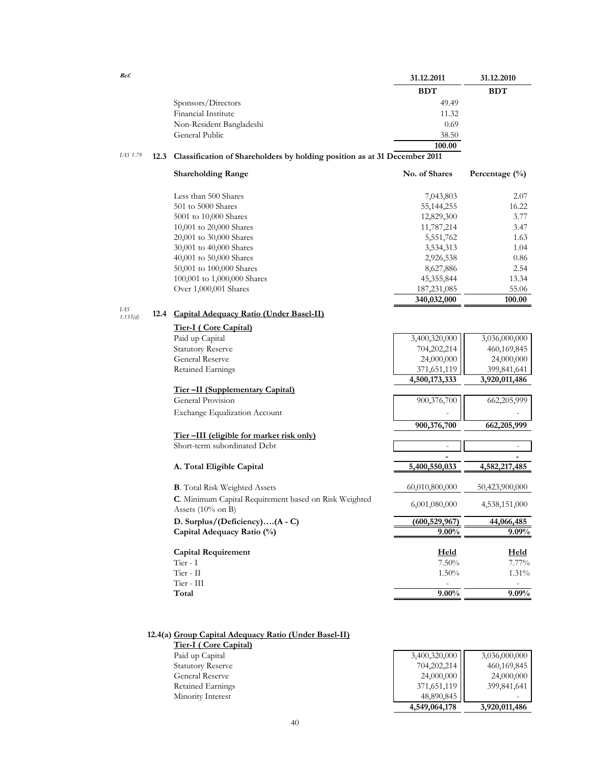| Ref.       |                                                                                                      | 31.12.2011 | 31.12.2010 |
|------------|------------------------------------------------------------------------------------------------------|------------|------------|
|            | <b>BDT</b>                                                                                           | <b>BDT</b> |            |
|            | Sponsors/Directors                                                                                   | 49.49      |            |
|            | Financial Institute                                                                                  | 11.32      |            |
|            | Non-Resident Bangladeshi                                                                             | 0.69       |            |
|            | General Public                                                                                       | 38.50      |            |
|            |                                                                                                      | 100.00     |            |
| I A C 1 70 | $\mathcal{A} \cap \mathcal{A}$ and $\mathcal{A} \cap \mathcal{A}$ and $\mathcal{A} \cap \mathcal{A}$ | 0.044      |            |

# *IAS 1.79* **12.3 Classification of Shareholders by holding position as at 31 December 2011**

| <b>Shareholding Range</b>   | No. of Shares | Percentage $(\% )$ |
|-----------------------------|---------------|--------------------|
| Less than 500 Shares        | 7,043,803     | 2.07               |
| 501 to 5000 Shares          | 55, 144, 255  | 16.22              |
| 5001 to 10,000 Shares       | 12,829,300    | 3.77               |
| 10,001 to 20,000 Shares     | 11,787,214    | 3.47               |
| 20,001 to 30,000 Shares     | 5,551,762     | 1.63               |
| 30,001 to 40,000 Shares     | 3,534,313     | 1.04               |
| 40,001 to 50,000 Shares     | 2,926,538     | 0.86               |
| 50,001 to 100,000 Shares    | 8,627,886     | 2.54               |
| 100,001 to 1,000,000 Shares | 45, 355, 844  | 13.34              |
| Over 1,000,001 Shares       | 187, 231, 085 | 55.06              |
|                             | 340,032,000   | 100.00             |

*IAS* 

### 12.4 Capital Adequacy Ratio (Under Basel-II)

| Tier-I (Core Capital)    |               |               |
|--------------------------|---------------|---------------|
| Paid up Capital          | 3,400,320,000 | 3,036,000,000 |
| <b>Statutory Reserve</b> | 704, 202, 214 | 460,169,845   |
| General Reserve          | 24,000,000    | 24,000,000    |
| <b>Retained Earnings</b> | 371,651,119   | 399,841,641   |
|                          | 1.500.452.222 | 2.020.044.406 |

### **Tier –II (Supplementary Capital)**

General Provision 900,376,700 662,205,999 Exchange Equalization Account

### **Tier –III (eligible for market risk only)**

Short-term subordinated Debt  $\qquad \qquad$  -

# A. Total Eligible Capital **6,400,550,033** 4,582,217,485

**B**. Total Risk Weighted Assets 60,010,800,000 60,010,800,000 60,010,800,000 **C**. Minimum Capital Requirement based on Risk Weighted **C.** Minimum Capital Requirement based on Risk weighted  $6,001,080,000$   $4,538,151,000$   $4,538,151,000$ **D. Surplus/(Deficiency)....(A - C)** (600,529,967) 44,066,485 Capital Adequacy Ratio (%) 8.09% 9.09% 9.09%

**Capital Requirement Held Held Held Held Held Held Held Held Held Held Held Held Held Held Held Held Held Held Held Held Held Held Held Held Held Held Held Held Hel** Tier - I 7.50% 7.77% Tier - II 1.50% 1.31%  $Tier - III$  -  $\blacksquare$ **Total** 9.00% 9.09% 9.09%

Paid up Capital Statutory Reserve General Reserve Retained Earnings Minority Interest

| 3,400,320,000 | 3,036,000,000 |
|---------------|---------------|
| 704,202,214   | 460,169,845   |
| 24,000,000    | 24,000,000    |
| 371,651,119   | 399,841,641   |
| 48,890,845    |               |
| 4,549,064,178 | 3,920,011,486 |

 **3,920,011,486 4,500,173,333** 

 **662,205,999 900,376,700** 

 **- -** 

### **12.4(a) Group Capital Adequacy Ratio (Under Basel-II) Tier-I ( Core Capital)**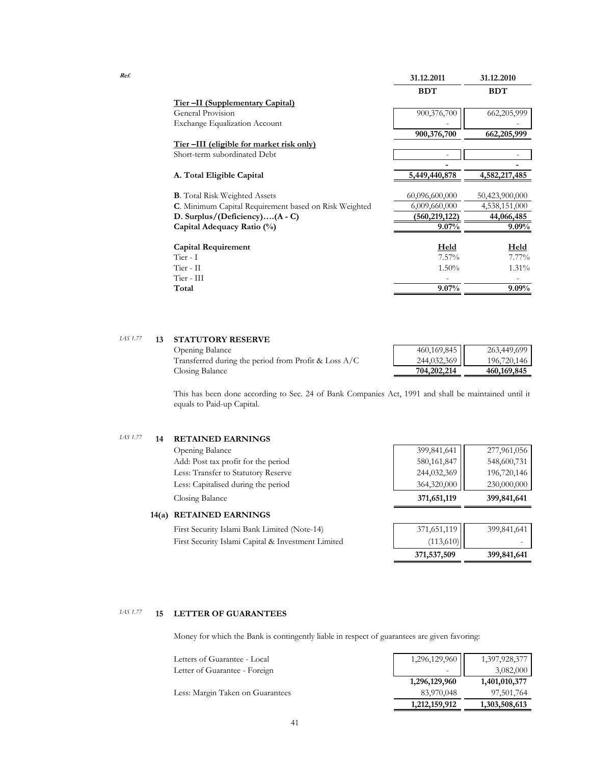| Ref. |                                                       | 31.12.2011      | 31.12.2010     |
|------|-------------------------------------------------------|-----------------|----------------|
|      |                                                       | <b>BDT</b>      | <b>BDT</b>     |
|      | <u>Tier-II (Supplementary Capital)</u>                |                 |                |
|      | General Provision                                     | 900,376,700     | 662,205,999    |
|      | <b>Exchange Equalization Account</b>                  |                 |                |
|      |                                                       | 900,376,700     | 662,205,999    |
|      | Tier-III (eligible for market risk only)              |                 |                |
|      | Short-term subordinated Debt                          |                 |                |
|      |                                                       |                 |                |
|      | A. Total Eligible Capital                             | 5,449,440,878   | 4,582,217,485  |
|      |                                                       |                 |                |
|      | <b>B.</b> Total Risk Weighted Assets                  | 60,096,600,000  | 50,423,900,000 |
|      | C. Minimum Capital Requirement based on Risk Weighted | 6,009,660,000   | 4,538,151,000  |
|      | D. Surplus/(Deficiency) $(A - C)$                     | (560, 219, 122) | 44,066,485     |
|      | Capital Adequacy Ratio (%)                            | 9.07%           | $9.09\%$       |
|      | <b>Capital Requirement</b>                            | Held            | <b>Held</b>    |
|      | $Tier - I$                                            | $7.57\%$        | $7.77\%$       |
|      | $Tier - II$                                           | $1.50\%$        | $1.31\%$       |
|      | $Tier - III$                                          |                 |                |
|      | Total                                                 | $9.07\%$        | $9.09\%$       |
|      |                                                       |                 |                |

### *IAS 1.77* **13 STATUTORY RESERVE**

 $Closing Balance$ 

| Opening Balance                                        | 460,169,845 | 263,449,699   |
|--------------------------------------------------------|-------------|---------------|
| Transferred during the period from Profit & Loss $A/C$ | 244,032,369 | 196,720,146   |
| Closing Balance                                        | 704.202.214 | 460, 169, 845 |

This has been done according to Sec. 24 of Bank Companies Act, 1991 and shall be maintained until it equals to Paid-up Capital.

### *IAS 1.77* **14 RETAINED EARNINGS**

| <b>RETAINED EARNINGS</b><br>14(a)   |             |             |
|-------------------------------------|-------------|-------------|
| Closing Balance                     | 371,651,119 | 399,841,641 |
| Less: Capitalised during the period | 364,320,000 | 230,000,000 |
| Less: Transfer to Statutory Reserve | 244,032,369 | 196,720,146 |
| Add: Post tax profit for the period | 580,161,847 | 548,600,731 |
| Opening Balance                     | 399,841,641 | 277,961,056 |

|                                                    | 371,537,509 | 399,841,641 |
|----------------------------------------------------|-------------|-------------|
| First Security Islami Capital & Investment Limited | $(113,610)$ |             |
| First Security Islami Bank Limited (Note-14)       | 371,651,119 | 399,841,641 |

# *IAS 1.77* **15 LETTER OF GUARANTEES**

Money for which the Bank is contingently liable in respect of guarantees are given favoring:

| Letters of Guarantee - Local     | 1,296,129,960 | 1,397,928,377 |
|----------------------------------|---------------|---------------|
| Letter of Guarantee - Foreign    | -             | 3,082,000     |
|                                  | 1,296,129,960 | 1,401,010,377 |
| Less: Margin Taken on Guarantees | 83,970,048    | 97,501,764    |
|                                  | 1,212,159,912 | 1,303,508,613 |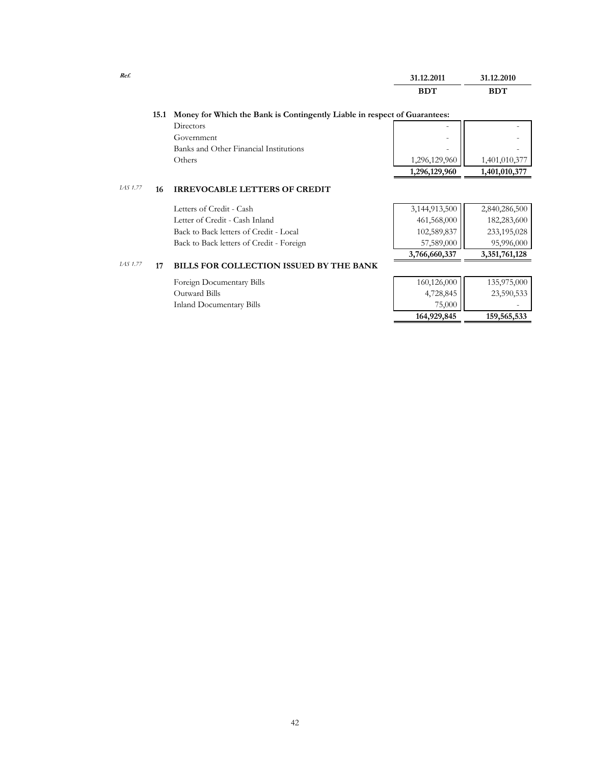| 31.12.2011 | 31.12.2010 |
|------------|------------|
| <b>BDT</b> | <b>BDT</b> |

**15.1 Money for Which the Bank is Contingently Liable in respect of Guarantees:**

| Government<br>Banks and Other Financial Institutions |               |               |
|------------------------------------------------------|---------------|---------------|
| Others                                               | 1,296,129,960 | 1,401,010,377 |
|                                                      | 1,296,129,960 | 1,401,010,377 |

# *IAS 1.77* **16 IRREVOCABLE LETTERS OF CREDIT**

Letters of Credit - Cash Letter of Credit - Cash Inland Back to Back letters of Credit - Local Back to Back letters of Credit - Foreign

|                                           | 2,840,286,500 |
|-------------------------------------------|---------------|
| $\overline{3,144,913,500}$<br>461,568,000 | 182,283,600   |
| 102,589,837                               | 233,195,028   |
| 57,589,000                                | 95,996,000    |
| 3,766,660,337                             | 3,351,761,128 |

# *IAS 1.77* **17 BILLS FOR COLLECTION ISSUED BY THE BANK**

|                           | 164,929,845 | 159, 565, 533 |
|---------------------------|-------------|---------------|
| Inland Documentary Bills  | 75,000      |               |
| Outward Bills             | 4,728,845   | 23,590,533    |
| Foreign Documentary Bills | 160,126,000 | 135,975,000   |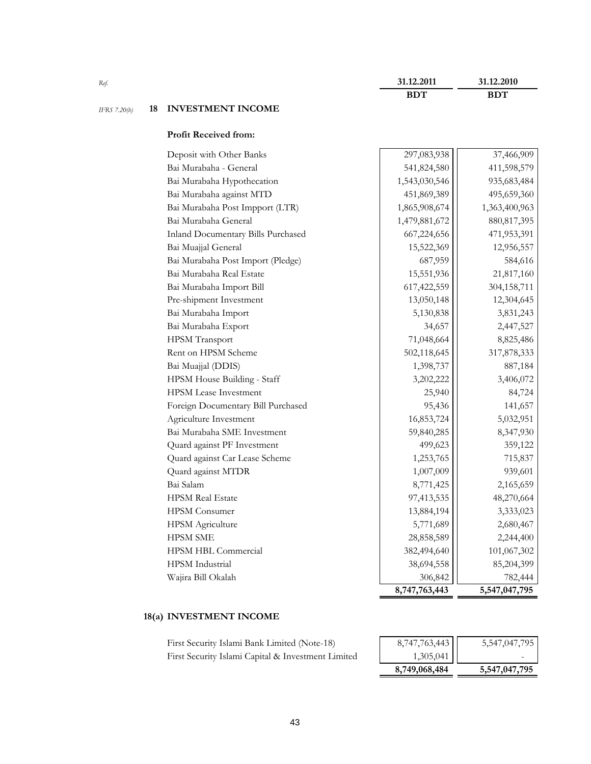| Ref.            |                             | 31.12.2011 | 31.12.2010 |
|-----------------|-----------------------------|------------|------------|
|                 |                             | <b>BDT</b> | <b>BDT</b> |
| IFRS 7.20 $(b)$ | <b>18 INVESTMENT INCOME</b> |            |            |

## **Profit Received from:**

| Deposit with Other Banks           | 297,083,938   | 37,466,909    |
|------------------------------------|---------------|---------------|
| Bai Murabaha - General             | 541,824,580   | 411,598,579   |
| Bai Murabaha Hypothecation         | 1,543,030,546 | 935,683,484   |
| Bai Murabaha against MTD           | 451,869,389   | 495,659,360   |
| Bai Murabaha Post Impport (LTR)    | 1,865,908,674 | 1,363,400,963 |
| Bai Murabaha General               | 1,479,881,672 | 880, 817, 395 |
| Inland Documentary Bills Purchased | 667,224,656   | 471,953,391   |
| Bai Muajjal General                | 15,522,369    | 12,956,557    |
| Bai Murabaha Post Import (Pledge)  | 687,959       | 584,616       |
| Bai Murabaha Real Estate           | 15,551,936    | 21,817,160    |
| Bai Murabaha Import Bill           | 617,422,559   | 304,158,711   |
| Pre-shipment Investment            | 13,050,148    | 12,304,645    |
| Bai Murabaha Import                | 5,130,838     | 3,831,243     |
| Bai Murabaha Export                | 34,657        | 2,447,527     |
| <b>HPSM</b> Transport              | 71,048,664    | 8,825,486     |
| Rent on HPSM Scheme                | 502,118,645   | 317,878,333   |
| Bai Muajjal (DDIS)                 | 1,398,737     | 887,184       |
| HPSM House Building - Staff        | 3,202,222     | 3,406,072     |
| HPSM Lease Investment              | 25,940        | 84,724        |
| Foreign Documentary Bill Purchased | 95,436        | 141,657       |
| Agriculture Investment             | 16,853,724    | 5,032,951     |
| Bai Murabaha SME Investment        | 59,840,285    | 8,347,930     |
| Quard against PF Investment        | 499,623       | 359,122       |
| Quard against Car Lease Scheme     | 1,253,765     | 715,837       |
| Quard against MTDR                 | 1,007,009     | 939,601       |
| Bai Salam                          | 8,771,425     | 2,165,659     |
| <b>HPSM Real Estate</b>            | 97,413,535    | 48,270,664    |
| <b>HPSM</b> Consumer               | 13,884,194    | 3,333,023     |
| <b>HPSM</b> Agriculture            | 5,771,689     | 2,680,467     |
| <b>HPSM SME</b>                    | 28,858,589    | 2,244,400     |
| HPSM HBL Commercial                | 382,494,640   | 101,067,302   |
| HPSM Industrial                    | 38,694,558    | 85,204,399    |
| Wajira Bill Okalah                 | 306,842       | 782,444       |
|                                    | 8,747,763,443 | 5,547,047,795 |

# **18(a) INVESTMENT INCOME**

First Security Islami Bank Limited (Note-18) First Security Islami Capital & Investment Limited

| 8,747,763,443 | 5,547,047,795 |
|---------------|---------------|
| $1,305,041$   |               |
| 8,749,068,484 | 5,547,047,795 |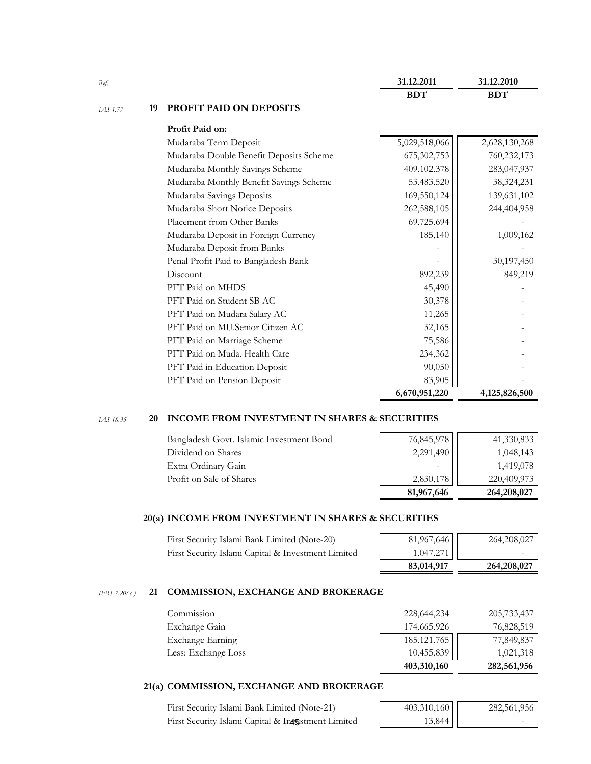| Ref.           |                                         | 31.12.2011    | 31.12.2010    |
|----------------|-----------------------------------------|---------------|---------------|
|                |                                         | <b>BDT</b>    | <b>BDT</b>    |
| 19<br>LAS 1.77 | PROFIT PAID ON DEPOSITS                 |               |               |
|                | Profit Paid on:                         |               |               |
|                | Mudaraba Term Deposit                   | 5,029,518,066 | 2,628,130,268 |
|                | Mudaraba Double Benefit Deposits Scheme | 675,302,753   | 760,232,173   |
|                | Mudaraba Monthly Savings Scheme         | 409,102,378   | 283,047,937   |
|                | Mudaraba Monthly Benefit Savings Scheme | 53,483,520    | 38,324,231    |
|                | Mudaraba Savings Deposits               | 169,550,124   | 139,631,102   |
|                | Mudaraba Short Notice Deposits          | 262,588,105   | 244,404,958   |
|                | Placement from Other Banks              | 69,725,694    |               |
|                | Mudaraba Deposit in Foreign Currency    | 185,140       | 1,009,162     |
|                | Mudaraba Deposit from Banks             |               |               |
|                | Penal Profit Paid to Bangladesh Bank    |               | 30,197,450    |
|                | Discount                                | 892,239       | 849,219       |
|                | PFT Paid on MHDS                        | 45,490        |               |
|                | PFT Paid on Student SB AC               | 30,378        |               |
|                | PFT Paid on Mudara Salary AC            | 11,265        |               |
|                | PFT Paid on MU.Senior Citizen AC        | 32,165        |               |
|                | PFT Paid on Marriage Scheme             | 75,586        |               |
|                | PFT Paid on Muda. Health Care           | 234,362       |               |
|                | PFT Paid in Education Deposit           | 90,050        |               |
|                | PFT Paid on Pension Deposit             | 83,905        |               |
|                |                                         | 6,670,951,220 | 4,125,826,500 |

### *IAS 18.35* **20 INCOME FROM INVESTMENT IN SHARES & SECURITIES**

| Bangladesh Govt. Islamic Investment Bond | 76,845,978 | 41,330,833    |
|------------------------------------------|------------|---------------|
| Dividend on Shares                       | 2,291,490  | 1,048,143     |
| Extra Ordinary Gain                      |            | 1,419,078     |
| Profit on Sale of Shares                 | 2,830,178  | 220,409,973   |
|                                          | 81,967,646 | 264, 208, 027 |

# **20(a) INCOME FROM INVESTMENT IN SHARES & SECURITIES**

| First Security Islami Bank Limited (Note-20)       | 81,967,646  | 264, 208, 027 |
|----------------------------------------------------|-------------|---------------|
| First Security Islami Capital & Investment Limited | $1,047,271$ |               |
|                                                    | 83,014,917  | 264, 208, 027 |

### *IFRS 7.20( c )* **21 COMMISSION, EXCHANGE AND BROKERAGE**

|                     | 403,310,160   | 282,561,956   |
|---------------------|---------------|---------------|
| Less: Exchange Loss | 10,455,839    | 1,021,318     |
| Exchange Earning    | 185, 121, 765 | 77,849,837    |
| Exchange Gain       | 174,665,926   | 76,828,519    |
| Commission          | 228,644,234   | 205, 733, 437 |

# **21(a) COMMISSION, EXCHANGE AND BROKERAGE**

First Security Islami Bank Limited (Note-21) First Security Islami Capital & Investment Limited

| 403,310,160 | 282,561,956 |
|-------------|-------------|
| 13,844      |             |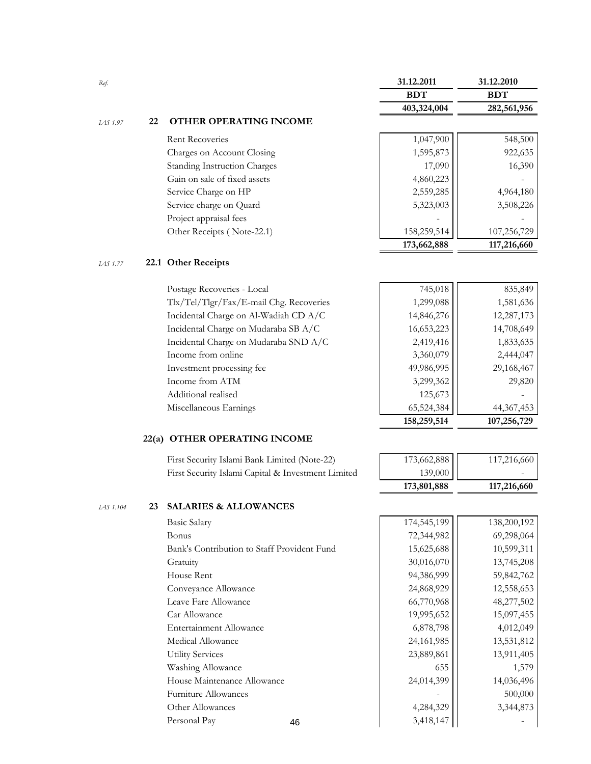|                                     | 31.12.2011  | 31.12.2010  |
|-------------------------------------|-------------|-------------|
|                                     | <b>BDT</b>  | <b>BDT</b>  |
|                                     | 403,324,004 | 282,561,956 |
| OTHER OPERATING INCOME              |             |             |
| Rent Recoveries                     | 1,047,900   | 548,500     |
| Charges on Account Closing          | 1,595,873   | 922,635     |
| <b>Standing Instruction Charges</b> | 17,090      | 16,390      |
| Gain on sale of fixed assets        | 4,860,223   |             |
| Service Charge on HP                | 2,559,285   | 4,964,180   |
| Service charge on Quard             | 5,323,003   | 3,508,226   |
| Project appraisal fees              |             |             |
| Other Receipts (Note-22.1)          | 158,259,514 | 107,256,729 |
|                                     | 173,662,888 | 117,216,660 |
|                                     |             |             |

# *IAS 1.77* **22.1 Other Receipts**

| 65,524,384 | 44,367,453 |
|------------|------------|
| 125,673    |            |
| 3,299,362  | 29,820     |
| 49,986,995 | 29,168,467 |
| 3,360,079  | 2,444,047  |
| 2,419,416  | 1,833,635  |
| 16,653,223 | 14,708,649 |
| 14,846,276 | 12,287,173 |
| 1,299,088  | 1,581,636  |
| 745,018    | 835,849    |

## **22(a) OTHER OPERATING INCOME**

Postage Recoveries - Local

Income from online Investment processing fee Income from ATM Additional realised Miscellaneous Earnings

Tlx/Tel/Tlgr/Fax/E-mail Chg. Recoveries Incidental Charge on Al-Wadiah CD A/C Incidental Charge on Mudaraba SB A/C 16,653,223 14,708,649 Incidental Charge on Mudaraba SND A/C

First Security Islami Bank Limited (Note-22) First Security Islami Capital & Investment Limited

### *IAS 1.104* **23 SALARIES & ALLOWANCES**

| <b>Basic Salary</b>                         |    | 174,545,199  | 138,200,192 |
|---------------------------------------------|----|--------------|-------------|
| <b>Bonus</b>                                |    | 72,344,982   | 69,298,064  |
| Bank's Contribution to Staff Provident Fund |    | 15,625,688   | 10,599,311  |
| Gratuity                                    |    | 30,016,070   | 13,745,208  |
| House Rent                                  |    | 94,386,999   | 59,842,762  |
| Conveyance Allowance                        |    | 24,868,929   | 12,558,653  |
| Leave Fare Allowance                        |    | 66,770,968   | 48,277,502  |
| Car Allowance                               |    | 19,995,652   | 15,097,455  |
| <b>Entertainment Allowance</b>              |    | 6,878,798    | 4,012,049   |
| Medical Allowance                           |    | 24, 161, 985 | 13,531,812  |
| <b>Utility Services</b>                     |    | 23,889,861   | 13,911,405  |
| Washing Allowance                           |    | 655          | 1,579       |
| House Maintenance Allowance                 |    | 24,014,399   | 14,036,496  |
| <b>Furniture Allowances</b>                 |    |              | 500,000     |
| Other Allowances                            |    | 4,284,329    | 3,344,873   |
| Personal Pay                                | 46 | 3,418,147    |             |

| 173,662,888 | 117,216,660 |
|-------------|-------------|
| 139,000     |             |
| 173,801,888 | 117,216,660 |

| 174,545,199  | 138,200,192 |
|--------------|-------------|
| 72,344,982   | 69,298,064  |
| 15,625,688   | 10,599,311  |
| 30,016,070   | 13,745,208  |
| 94,386,999   | 59,842,762  |
| 24,868,929   | 12,558,653  |
| 66,770,968   | 48,277,502  |
| 19,995,652   | 15,097,455  |
| 6,878,798    | 4,012,049   |
| 24, 161, 985 | 13,531,812  |
| 23,889,861   | 13,911,405  |
| 655          | 1,579       |
| 24,014,399   | 14,036,496  |
|              | 500,000     |
| 4,284,329    | 3,344,873   |
| 3,418,147    |             |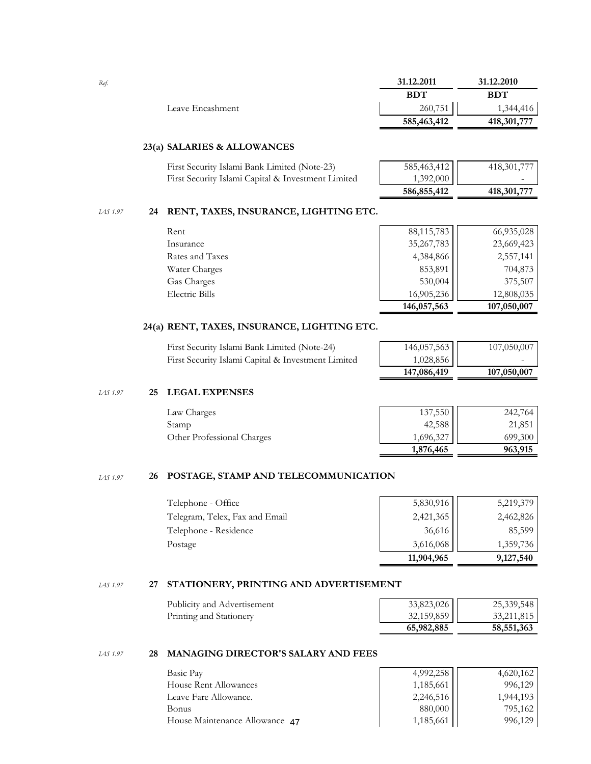| Ref.             | 31.12.2011  | 31.12.2010  |
|------------------|-------------|-------------|
|                  | <b>BDT</b>  | <b>BDT</b>  |
| Leave Encashment | 260,751     | 1,344,416   |
|                  | 585,463,412 | 418,301,777 |

### **23(a) SALARIES & ALLOWANCES**

| First Security Islami Bank Limited (Note-23)       | 585,463,412 | 418, 301, 777 |
|----------------------------------------------------|-------------|---------------|
| First Security Islami Capital & Investment Limited | 1,392,000   |               |
|                                                    | 586,855,412 | 418,301,777   |

# *IAS 1.97* **24 RENT, TAXES, INSURANCE, LIGHTING ETC.**

|                 | 146,057,563  | 107,050,007 |
|-----------------|--------------|-------------|
| Electric Bills  | 16,905,236   | 12,808,035  |
| Gas Charges     | 530,004      | 375,507     |
| Water Charges   | 853,891      | 704,873     |
| Rates and Taxes | 4,384,866    | 2,557,141   |
| Insurance       | 35, 267, 783 | 23,669,423  |
| Rent            | 88, 115, 783 | 66,935,028  |

# **24(a) RENT, TAXES, INSURANCE, LIGHTING ETC.**

|                                                    | 147,086,419 | 107,050,007 |
|----------------------------------------------------|-------------|-------------|
| First Security Islami Capital & Investment Limited | 1,028,856   | -           |
| First Security Islami Bank Limited (Note-24)       | 146,057,563 | 107,050,007 |

### *IAS 1.97* **25 LEGAL EXPENSES**

| Other Professional Charges | 1,696,327<br>1,876,465 | 699,300<br>963,915 |
|----------------------------|------------------------|--------------------|
| Stamp                      | 42,588                 | 21,851             |
| Law Charges                | 137,550                | 242,764            |

### *IAS 1.97* **26 POSTAGE, STAMP AND TELECOMMUNICATION**

|                                | 11,904,965 | 9,127,540 |
|--------------------------------|------------|-----------|
| Postage                        | 3,616,068  | 1,359,736 |
| Telephone - Residence          | 36,616     | 85,599    |
| Telegram, Telex, Fax and Email | 2,421,365  | 2,462,826 |
| Telephone - Office             | 5,830,916  | 5,219,379 |

# *IAS 1.97* **27 STATIONERY, PRINTING AND ADVERTISEMENT**

| Publicity and Advertisement | 33,823,026 | 25,339,548   |
|-----------------------------|------------|--------------|
| Printing and Stationery     | 32,159,859 | 33,211,815   |
|                             | 65,982,885 | 58, 551, 363 |

# *IAS 1.97* **28 MANAGING DIRECTOR'S SALARY AND FEES**

| Basic Pay                      | 4,992,258 | 4,620,162 |
|--------------------------------|-----------|-----------|
| House Rent Allowances          | 1,185,661 | 996,129   |
| Leave Fare Allowance.          | 2,246,516 | 1,944,193 |
| <b>Bonus</b>                   | 880,000   | 795,162   |
| House Maintenance Allowance 47 | 1,185,661 | 996,129   |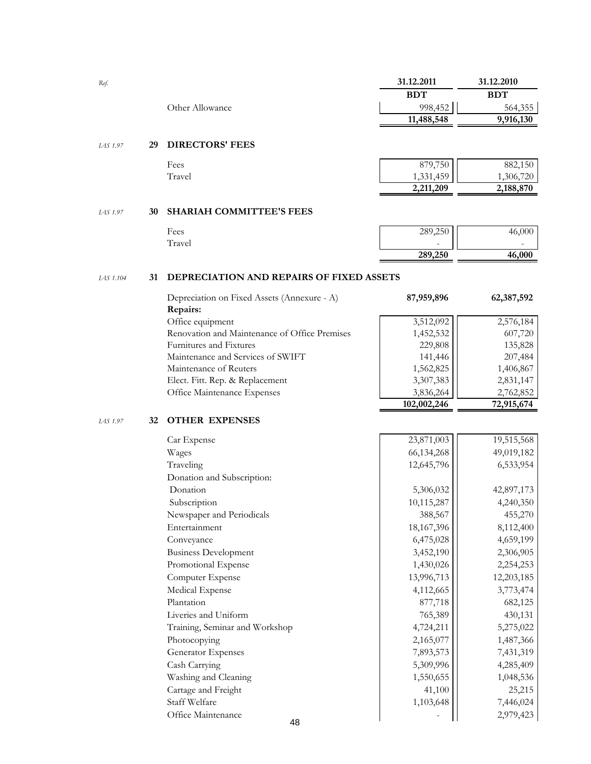| Ref.            | 31.12.2011 | 31.12.2010 |
|-----------------|------------|------------|
|                 | <b>BDT</b> | <b>BDT</b> |
| Other Allowance | 998,452    | 564,355    |
|                 | 11,488,548 | 9,916,130  |

# *IAS 1.97* **29 DIRECTORS' FEES**

|        | 2,211,209 | 2,188,870 |
|--------|-----------|-----------|
| Travel | 1,331,459 | 1,306,720 |
| Fees   | 879,750   | 882,150   |

# *IAS 1.97* **30 SHARIAH COMMITTEE'S FEES**

| 289,250                  | 46,000                   |
|--------------------------|--------------------------|
| $\overline{\phantom{m}}$ | $\overline{\phantom{0}}$ |
| 289,250                  | 46.000                   |
|                          |                          |

# *IAS 1.104* **31 DEPRECIATION AND REPAIRS OF FIXED ASSETS**

| Depreciation on Fixed Assets (Annexure - A)   | 87,959,896  | 62,387,592 |
|-----------------------------------------------|-------------|------------|
| Repairs:                                      |             |            |
| Office equipment                              | 3,512,092   | 2,576,184  |
| Renovation and Maintenance of Office Premises | 1,452,532   | 607,720    |
| Furnitures and Fixtures                       | 229,808     | 135,828    |
| Maintenance and Services of SWIFT             | 141,446     | 207,484    |
| Maintenance of Reuters                        | 1,562,825   | 1,406,867  |
| Elect. Fitt. Rep. & Replacement               | 3,307,383   | 2,831,147  |
| Office Maintenance Expenses                   | 3,836,264   | 2,762,852  |
|                                               | 102,002,246 | 72,915,674 |

# *IAS 1.97* **32 OTHER EXPENSES**

| Car Expense                    | 23,871,003 | 19,515,568 |
|--------------------------------|------------|------------|
| Wages                          | 66,134,268 | 49,019,182 |
| Traveling                      | 12,645,796 | 6,533,954  |
| Donation and Subscription:     |            |            |
| Donation                       | 5,306,032  | 42,897,173 |
| Subscription                   | 10,115,287 | 4,240,350  |
| Newspaper and Periodicals      | 388,567    | 455,270    |
| Entertainment                  | 18,167,396 | 8,112,400  |
| Conveyance                     | 6,475,028  | 4,659,199  |
| <b>Business Development</b>    | 3,452,190  | 2,306,905  |
| Promotional Expense            | 1,430,026  | 2,254,253  |
| Computer Expense               | 13,996,713 | 12,203,185 |
| Medical Expense                | 4,112,665  | 3,773,474  |
| Plantation                     | 877,718    | 682,125    |
| Liveries and Uniform           | 765,389    | 430,131    |
| Training, Seminar and Workshop | 4,724,211  | 5,275,022  |
| Photocopying                   | 2,165,077  | 1,487,366  |
| Generator Expenses             | 7,893,573  | 7,431,319  |
| Cash Carrying                  | 5,309,996  | 4,285,409  |
| Washing and Cleaning           | 1,550,655  | 1,048,536  |
| Cartage and Freight            | 41,100     | 25,215     |
| Staff Welfare                  | 1,103,648  | 7,446,024  |
| Office Maintenance<br>48       |            | 2,979,423  |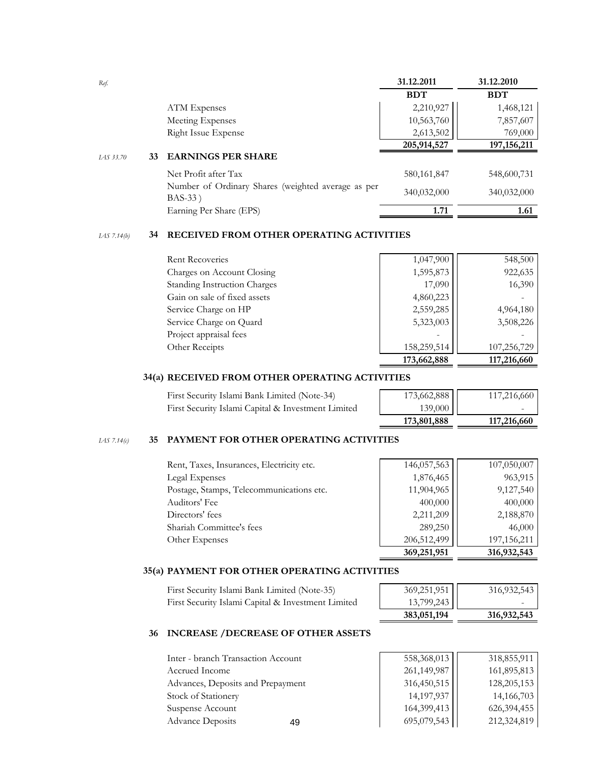| Ref.      |    |                                                               | 31.12.2011    | 31.12.2010    |
|-----------|----|---------------------------------------------------------------|---------------|---------------|
|           |    |                                                               | <b>BDT</b>    | <b>BDT</b>    |
|           |    | ATM Expenses                                                  | 2,210,927     | 1,468,121     |
|           |    | Meeting Expenses                                              | 10,563,760    | 7,857,607     |
|           |    | Right Issue Expense                                           | 2,613,502     | 769,000       |
|           |    |                                                               | 205,914,527   | 197, 156, 211 |
| LAS 33.70 | 33 | <b>EARNINGS PER SHARE</b>                                     |               |               |
|           |    | Net Profit after Tax                                          | 580, 161, 847 | 548,600,731   |
|           |    | Number of Ordinary Shares (weighted average as per<br>BAS-33) | 340,032,000   | 340,032,000   |
|           |    | Earning Per Share (EPS)                                       | 1.71          | 1.61          |

# *IAS 7.14(b)* **34 RECEIVED FROM OTHER OPERATING ACTIVITIES**

| Rent Recoveries                     | 1,047,900   | 548,500     |
|-------------------------------------|-------------|-------------|
| Charges on Account Closing          | 1,595,873   | 922,635     |
| <b>Standing Instruction Charges</b> | 17,090      | 16,390      |
| Gain on sale of fixed assets        | 4,860,223   |             |
| Service Charge on HP                | 2,559,285   | 4,964,180   |
| Service Charge on Quard             | 5,323,003   | 3,508,226   |
| Project appraisal fees              |             |             |
| Other Receipts                      | 158,259,514 | 107,256,729 |
|                                     | 173,662,888 | 117,216,660 |

# **34(a) RECEIVED FROM OTHER OPERATING ACTIVITIES**

|                                                    | 173,801,888 | 117,216,660 |
|----------------------------------------------------|-------------|-------------|
| First Security Islami Capital & Investment Limited | $139,000$   |             |
| First Security Islami Bank Limited (Note-34)       | 173,662,888 | 117,216,660 |

## *IAS 7.14(c)* **35 PAYMENT FOR OTHER OPERATING ACTIVITIES**

| Rent, Taxes, Insurances, Electricity etc. | 146,057,563 | 107,050,007 |
|-------------------------------------------|-------------|-------------|
| Legal Expenses                            | 1,876,465   | 963,915     |
| Postage, Stamps, Telecommunications etc.  | 11,904,965  | 9,127,540   |
| Auditors' Fee                             | 400,000     | 400,000     |
| Directors' fees                           | 2,211,209   | 2,188,870   |
| Shariah Committee's fees                  | 289,250     | 46,000      |
| Other Expenses                            | 206,512,499 | 197,156,211 |
|                                           | 369,251,951 | 316,932,543 |

# **35(a) PAYMENT FOR OTHER OPERATING ACTIVITIES**

| First Security Islami Bank Limited (Note-35)       | 369,251,951 | 316,932,543 |
|----------------------------------------------------|-------------|-------------|
| First Security Islami Capital & Investment Limited | 13,799,243  |             |
|                                                    | 383,051,194 | 316,932,543 |

# **36 INCREASE /DECREASE OF OTHER ASSETS**

| Inter - branch Transaction Account | 558,368,013 | 318,855,911   |
|------------------------------------|-------------|---------------|
| Accrued Income                     | 261,149,987 | 161,895,813   |
| Advances, Deposits and Prepayment  | 316,450,515 | 128, 205, 153 |
| Stock of Stationery                | 14,197,937  | 14,166,703    |
| Suspense Account                   | 164,399,413 | 626, 394, 455 |
| <b>Advance Deposits</b><br>49      | 695,079,543 | 212,324,819   |
|                                    |             |               |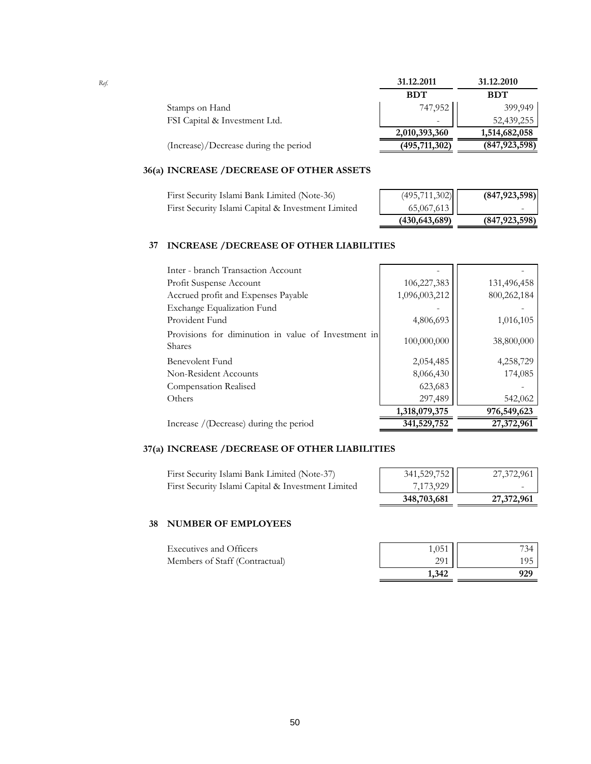| Ref.                                  | 31.12.2011    | 31.12.2010      |
|---------------------------------------|---------------|-----------------|
|                                       | <b>BDT</b>    | <b>BDT</b>      |
| Stamps on Hand                        | 747,952       | 399,949         |
| FSI Capital & Investment Ltd.         |               | 52,439,255      |
|                                       | 2,010,393,360 | 1,514,682,058   |
| (Increase)/Decrease during the period | (495,711,302) | (847, 923, 598) |

# **36(a) INCREASE /DECREASE OF OTHER ASSETS**

| First Security Islami Bank Limited (Note-36)       | (495, 711, 302) | (847, 923, 598) |
|----------------------------------------------------|-----------------|-----------------|
| First Security Islami Capital & Investment Limited | 65,067,613      |                 |
|                                                    | (430, 643, 689) | (847, 923, 598) |

# **37 INCREASE /DECREASE OF OTHER LIABILITIES**

| Inter - branch Transaction Account                            |               |             |
|---------------------------------------------------------------|---------------|-------------|
| Profit Suspense Account                                       | 106,227,383   | 131,496,458 |
| Accrued profit and Expenses Payable                           | 1,096,003,212 | 800,262,184 |
| Exchange Equalization Fund                                    |               |             |
| Provident Fund                                                | 4,806,693     | 1,016,105   |
| Provisions for diminution in value of Investment in<br>Shares | 100,000,000   | 38,800,000  |
| Benevolent Fund                                               | 2,054,485     | 4,258,729   |
| Non-Resident Accounts                                         | 8,066,430     | 174,085     |
| Compensation Realised                                         | 623,683       |             |
| Others                                                        | 297,489       | 542,062     |
|                                                               | 1,318,079,375 | 976,549,623 |
| Increase / (Decrease) during the period                       | 341,529,752   | 27,372,961  |

# **37(a) INCREASE /DECREASE OF OTHER LIABILITIES**

| First Security Islami Bank Limited (Note-37)       | 341,529,752 | 27,372,961 |
|----------------------------------------------------|-------------|------------|
| First Security Islami Capital & Investment Limited | 7,173,929   |            |

| $\begin{array}{c} 341,529,752 \\ 7,173,929 \end{array}$ | 27,372,961 |
|---------------------------------------------------------|------------|
|                                                         |            |
| 348,703,681                                             | 27,372,961 |

# **38 NUMBER OF EMPLOYEES**

| Executives and Officers        |  |
|--------------------------------|--|
| Members of Staff (Contractual) |  |

|                                | 1.342 | 929  |
|--------------------------------|-------|------|
| Members of Staff (Contractual) |       | 195. |
| <b>Executives and Officers</b> | 1,051 |      |
|                                |       |      |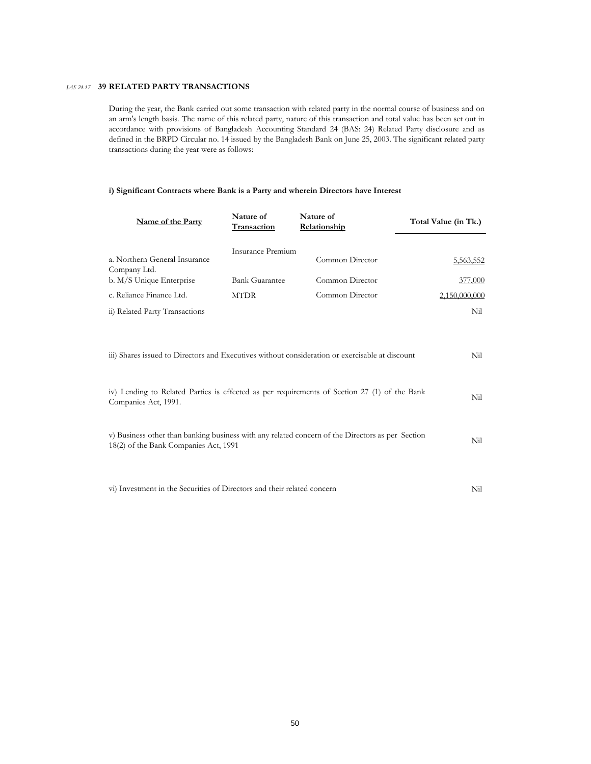### *IAS 24.17* **39 RELATED PARTY TRANSACTIONS**

During the year, the Bank carried out some transaction with related party in the normal course of business and on an arm's length basis. The name of this related party, nature of this transaction and total value has been set out in accordance with provisions of Bangladesh Accounting Standard 24 (BAS: 24) Related Party disclosure and as defined in the BRPD Circular no. 14 issued by the Bangladesh Bank on June 25, 2003. The significant related party transactions during the year were as follows:

### **i) Significant Contracts where Bank is a Party and wherein Directors have Interest**

| Name of the Party                                                       | Nature of<br>Transaction | Nature of<br>Relationship                                                                                                                                                                       | Total Value (in Tk.) |
|-------------------------------------------------------------------------|--------------------------|-------------------------------------------------------------------------------------------------------------------------------------------------------------------------------------------------|----------------------|
| a. Northern General Insurance<br>Company Ltd.                           | <b>Insurance Premium</b> | Common Director                                                                                                                                                                                 | 5,563,552            |
| b. M/S Unique Enterprise                                                | <b>Bank Guarantee</b>    | Common Director                                                                                                                                                                                 | 377,000              |
| c. Reliance Finance Ltd.                                                | <b>MTDR</b>              | Common Director                                                                                                                                                                                 | 2,150,000,000        |
| ii) Related Party Transactions                                          |                          |                                                                                                                                                                                                 | Nil                  |
| Companies Act, 1991.                                                    |                          | iii) Shares issued to Directors and Executives without consideration or exercisable at discount<br>iv) Lending to Related Parties is effected as per requirements of Section 27 (1) of the Bank | Nil<br>Nil           |
| 18(2) of the Bank Companies Act, 1991                                   |                          | v) Business other than banking business with any related concern of the Directors as per Section                                                                                                | Nil                  |
| vi) Investment in the Securities of Directors and their related concern |                          |                                                                                                                                                                                                 | Nil                  |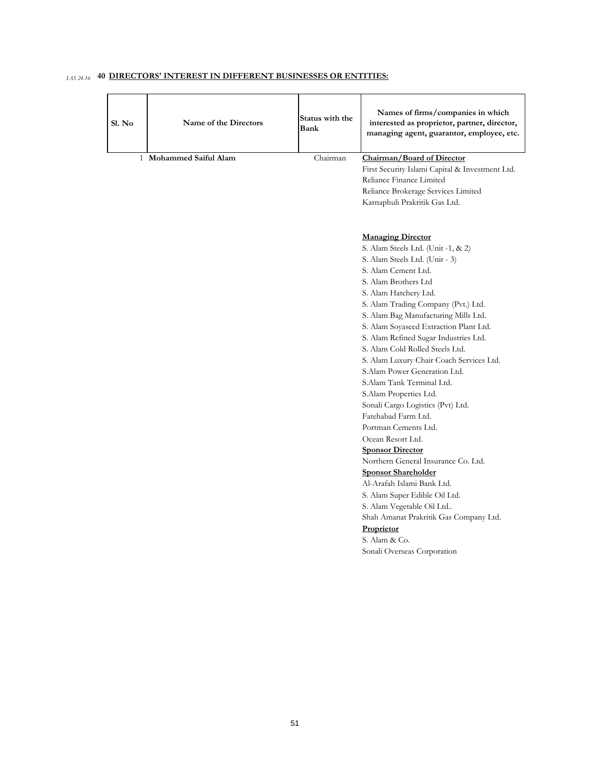# *IAS 24.16* **40 DIRECTORS' INTEREST IN DIFFERENT BUSINESSES OR ENTITIES:**

| Sl. No | Name of the Directors  | Status with the<br>Bank | Names of firms/companies in which<br>interested as proprietor, partner, director,<br>managing agent, guarantor, employee, etc.                                                                                                                                                                                                                                                                                                                                                                                                                                                                                                                                                                                                                                                                                                                                                                                                |
|--------|------------------------|-------------------------|-------------------------------------------------------------------------------------------------------------------------------------------------------------------------------------------------------------------------------------------------------------------------------------------------------------------------------------------------------------------------------------------------------------------------------------------------------------------------------------------------------------------------------------------------------------------------------------------------------------------------------------------------------------------------------------------------------------------------------------------------------------------------------------------------------------------------------------------------------------------------------------------------------------------------------|
|        | 1 Mohammed Saiful Alam | Chairman                | Chairman/Board of Director<br>First Security Islami Capital & Investment Ltd.<br>Reliance Finance Limited<br>Reliance Brokerage Services Limited<br>Karnaphuli Prakritik Gas Ltd.                                                                                                                                                                                                                                                                                                                                                                                                                                                                                                                                                                                                                                                                                                                                             |
|        |                        |                         | <b>Managing Director</b><br>S. Alam Steels Ltd. (Unit -1, & 2)<br>S. Alam Steels Ltd. (Unit - 3)<br>S. Alam Cement Ltd.<br>S. Alam Brothers Ltd<br>S. Alam Hatchery Ltd.<br>S. Alam Trading Company (Pvt.) Ltd.<br>S. Alam Bag Manufacturing Mills Ltd.<br>S. Alam Soyaseed Extraction Plant Ltd.<br>S. Alam Refined Sugar Industries Ltd.<br>S. Alam Cold Rolled Steels Ltd.<br>S. Alam Luxury Chair Coach Services Ltd.<br>S.Alam Power Generation Ltd.<br>S.Alam Tank Terminal Ltd.<br>S.Alam Properties Ltd.<br>Sonali Cargo Logistics (Pvt) Ltd.<br>Fatehabad Farm Ltd.<br>Portman Cements Ltd.<br>Ocean Resort Ltd.<br><b>Sponsor Director</b><br>Northern General Insurance Co. Ltd.<br><b>Sponsor Shareholder</b><br>Al-Arafah Islami Bank Ltd.<br>S. Alam Super Edible Oil Ltd.<br>S. Alam Vegetable Oil Ltd<br>Shah Amanat Prakritik Gas Company Ltd.<br>Proprietor<br>S. Alam & Co.<br>Sonali Overseas Corporation |
|        |                        |                         |                                                                                                                                                                                                                                                                                                                                                                                                                                                                                                                                                                                                                                                                                                                                                                                                                                                                                                                               |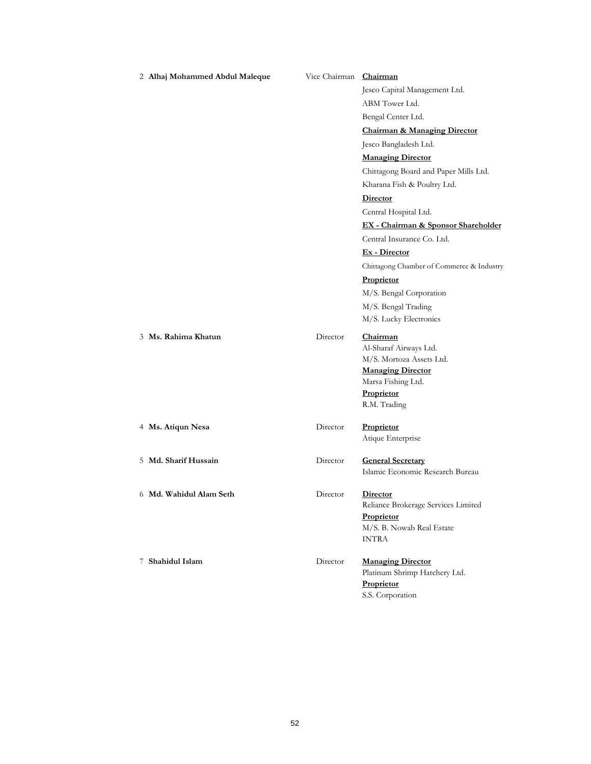| 2 Alhaj Mohammed Abdul Maleque | Vice Chairman | <b>Chairman</b>                                                                                                                                |
|--------------------------------|---------------|------------------------------------------------------------------------------------------------------------------------------------------------|
|                                |               | Jesco Capital Management Ltd.                                                                                                                  |
|                                |               | ABM Tower Ltd.                                                                                                                                 |
|                                |               | Bengal Center Ltd.                                                                                                                             |
|                                |               | <b>Chairman &amp; Managing Director</b>                                                                                                        |
|                                |               | Jesco Bangladesh Ltd.                                                                                                                          |
|                                |               | <b>Managing Director</b>                                                                                                                       |
|                                |               | Chittagong Board and Paper Mills Ltd.                                                                                                          |
|                                |               | Kharana Fish & Poultry Ltd.                                                                                                                    |
|                                |               | <b>Director</b>                                                                                                                                |
|                                |               | Central Hospital Ltd.                                                                                                                          |
|                                |               | EX - Chairman & Sponsor Shareholder                                                                                                            |
|                                |               | Central Insurance Co. Ltd.                                                                                                                     |
|                                |               | Ex - Director                                                                                                                                  |
|                                |               | Chittagong Chamber of Commerce & Industry                                                                                                      |
|                                |               | Proprietor                                                                                                                                     |
|                                |               | M/S. Bengal Corporation                                                                                                                        |
|                                |               | M/S. Bengal Trading                                                                                                                            |
|                                |               | M/S. Lucky Electronics                                                                                                                         |
| 3 Ms. Rahima Khatun            | Director      | Chairman<br>Al-Sharaf Airways Ltd.<br>M/S. Mortoza Assets Ltd.<br><b>Managing Director</b><br>Marsa Fishing Ltd.<br>Proprietor<br>R.M. Trading |
| 4 Ms. Atiqun Nesa              | Director      | Proprietor                                                                                                                                     |
|                                |               | Atique Enterprise                                                                                                                              |
| 5 Md. Sharif Hussain           | Director      | <b>General Secretary</b><br>Islamic Economic Research Bureau                                                                                   |
| 6 Md. Wahidul Alam Seth        | Director      | <u>Director</u><br>Reliance Brokerage Services Limited<br>Proprietor<br>M/S. B. Nowab Real Estate                                              |
|                                |               | INTRA                                                                                                                                          |
| 7 Shahidul Islam               | Director      | <b>Managing Director</b><br>Platinum Shrimp Hatchery Ltd.<br>Proprietor<br>S.S. Corporation                                                    |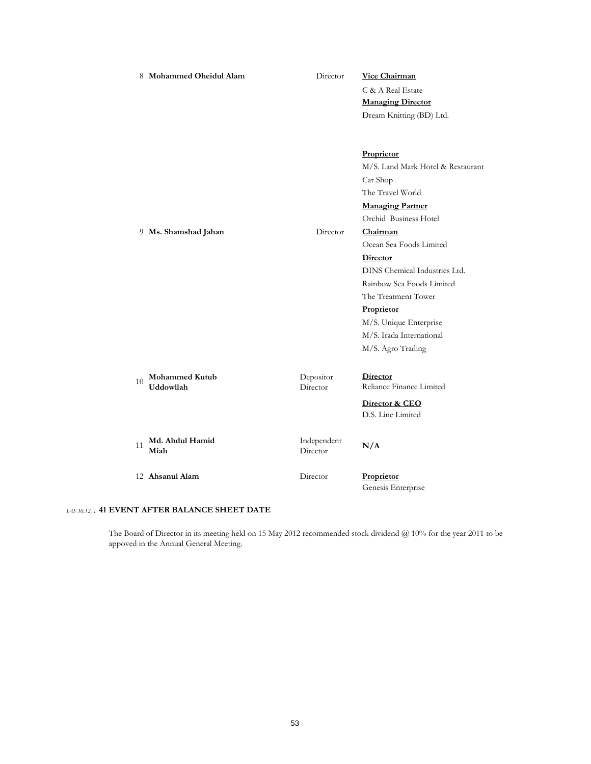|    | 8 Mohammed Oheidul Alam     | Director                | Vice Chairman<br>C & A Real Estate<br><b>Managing Director</b><br>Dream Knitting (BD) Ltd.                                                                                                                                                                                                                                                                                  |
|----|-----------------------------|-------------------------|-----------------------------------------------------------------------------------------------------------------------------------------------------------------------------------------------------------------------------------------------------------------------------------------------------------------------------------------------------------------------------|
|    | 9 Ms. Shamshad Jahan        | Director                | Proprietor<br>M/S. Land Mark Hotel & Restaurant<br>Car Shop<br>The Travel World<br><b>Managing Partner</b><br>Orchid Business Hotel<br>Chairman<br>Ocean Sea Foods Limited<br><b>Director</b><br>DINS Chemical Industries Ltd.<br>Rainbow Sea Foods Limited<br>The Treatment Tower<br>Proprietor<br>M/S. Unique Enterprise<br>M/S. Irada International<br>M/S. Agro Trading |
| 10 | Mohammed Kutub<br>Uddowllah | Depositor<br>Director   | <b>Director</b><br>Reliance Finance Limited<br>Director & CEO<br>D.S. Line Limited                                                                                                                                                                                                                                                                                          |
| 11 | Md. Abdul Hamid<br>Miah     | Independent<br>Director | N/A                                                                                                                                                                                                                                                                                                                                                                         |
|    | 12 Ahsanul Alam             | Director                | Proprietor<br>Genesis Enterprise                                                                                                                                                                                                                                                                                                                                            |

# *IAS 10.12, 1* **41 EVENT AFTER BALANCE SHEET DATE**

The Board of Director in its meeting held on 15 May 2012 recommended stock dividend @ 10% for the year 2011 to be appoved in the Annual General Meeting.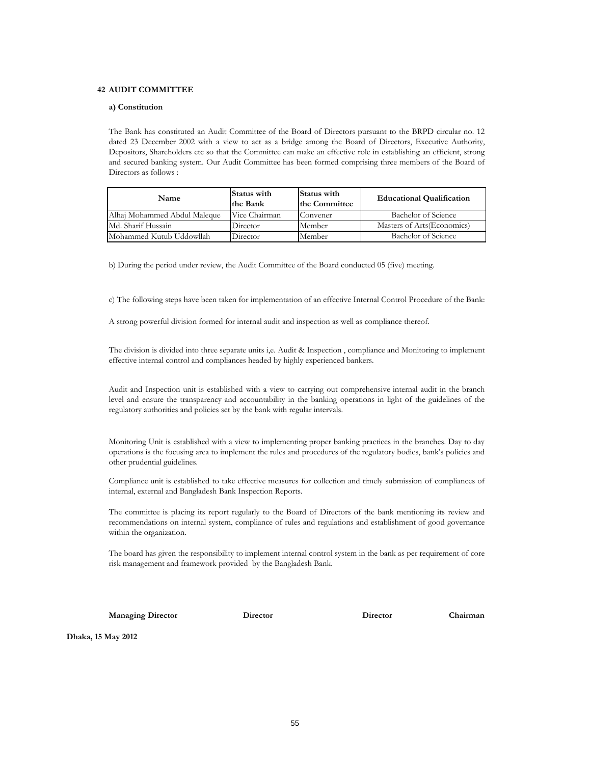### **42 AUDIT COMMITTEE**

### **a) Constitution**

The Bank has constituted an Audit Committee of the Board of Directors pursuant to the BRPD circular no. 12 dated 23 December 2002 with a view to act as a bridge among the Board of Directors, Executive Authority, Depositors, Shareholders etc so that the Committee can make an effective role in establishing an efficient, strong and secured banking system. Our Audit Committee has been formed comprising three members of the Board of Directors as follows :

| Name                         | <b>Status with</b><br>the Bank | <b>Status with</b><br>the Committee | <b>Educational Qualification</b> |
|------------------------------|--------------------------------|-------------------------------------|----------------------------------|
| Alhaj Mohammed Abdul Maleque | Vice Chairman                  | Convener                            | Bachelor of Science              |
| Md. Sharif Hussain           | Director                       | Member                              | Masters of Arts (Economics)      |
| Mohammed Kutub Uddowllah     | Director                       | Member                              | Bachelor of Science              |

b) During the period under review, the Audit Committee of the Board conducted 05 (five) meeting.

c) The following steps have been taken for implementation of an effective Internal Control Procedure of the Bank:

A strong powerful division formed for internal audit and inspection as well as compliance thereof.

The division is divided into three separate units i,e. Audit & Inspection , compliance and Monitoring to implement effective internal control and compliances headed by highly experienced bankers.

Audit and Inspection unit is established with a view to carrying out comprehensive internal audit in the branch level and ensure the transparency and accountability in the banking operations in light of the guidelines of the regulatory authorities and policies set by the bank with regular intervals.

Monitoring Unit is established with a view to implementing proper banking practices in the branches. Day to day operations is the focusing area to implement the rules and procedures of the regulatory bodies, bank's policies and other prudential guidelines.

Compliance unit is established to take effective measures for collection and timely submission of compliances of internal, external and Bangladesh Bank Inspection Reports.

The committee is placing its report regularly to the Board of Directors of the bank mentioning its review and recommendations on internal system, compliance of rules and regulations and establishment of good governance within the organization.

The board has given the responsibility to implement internal control system in the bank as per requirement of core risk management and framework provided by the Bangladesh Bank.

**Managing Director Director Director Chairman**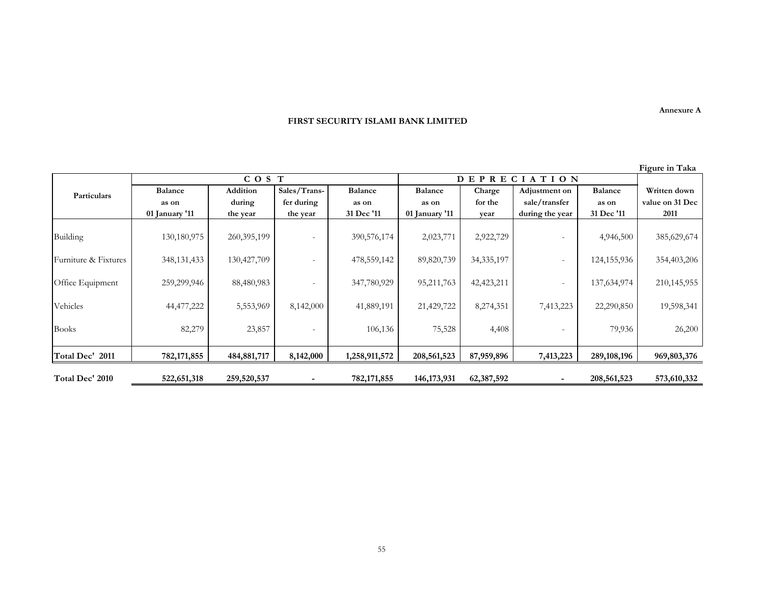#### **Annexure A**

#### **FIRST SECURITY ISLAMI BANK LIMITED**

|                      |                |             |                          |                |                |              |                 |                | Figure in Taka  |
|----------------------|----------------|-------------|--------------------------|----------------|----------------|--------------|-----------------|----------------|-----------------|
| COST                 |                |             | <b>DEPRECIATION</b>      |                |                |              |                 |                |                 |
| Particulars          | <b>Balance</b> | Addition    | Sales/Trans-             | <b>Balance</b> | <b>Balance</b> | Charge       | Adjustment on   | <b>Balance</b> | Written down    |
|                      | as on          | during      | fer during               | as on          | as on          | for the      | sale/transfer   | as on          | value on 31 Dec |
|                      | 01 January '11 | the year    | the year                 | 31 Dec '11     | 01 January '11 | year         | during the year | 31 Dec '11     | 2011            |
| Building             | 130,180,975    | 260,395,199 | $\overline{\phantom{a}}$ | 390, 576, 174  | 2,023,771      | 2,922,729    |                 | 4,946,500      | 385,629,674     |
| Furniture & Fixtures | 348, 131, 433  | 130,427,709 | $\overline{\phantom{a}}$ | 478,559,142    | 89,820,739     | 34, 335, 197 |                 | 124, 155, 936  | 354,403,206     |
| Office Equipment     | 259,299,946    | 88,480,983  | $\overline{\phantom{a}}$ | 347,780,929    | 95,211,763     | 42, 423, 211 |                 | 137,634,974    | 210,145,955     |
| Vehicles             | 44, 477, 222   | 5,553,969   | 8,142,000                | 41,889,191     | 21,429,722     | 8,274,351    | 7,413,223       | 22,290,850     | 19,598,341      |
| <b>Books</b>         | 82,279         | 23,857      |                          | 106,136        | 75,528         | 4,408        |                 | 79,936         | 26,200          |
| Total Dec' 2011      | 782,171,855    | 484,881,717 | 8,142,000                | 1,258,911,572  | 208, 561, 523  | 87,959,896   | 7,413,223       | 289, 108, 196  | 969,803,376     |
| Total Dec' 2010      | 522,651,318    | 259,520,537 |                          | 782,171,855    | 146, 173, 931  | 62,387,592   |                 | 208, 561, 523  | 573,610,332     |

55